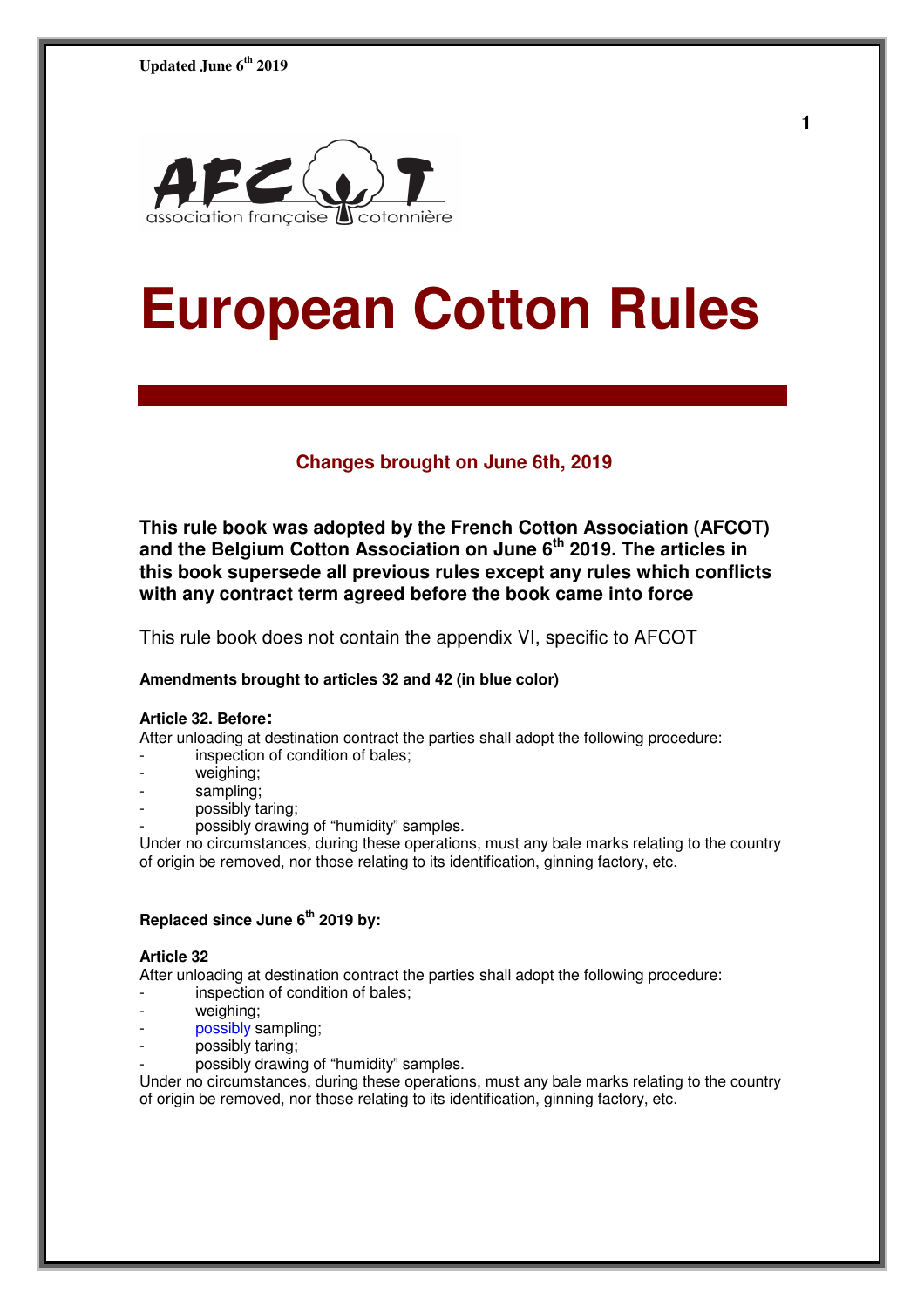

# **European Cotton Rules**

# **Changes brought on June 6th, 2019**

**This rule book was adopted by the French Cotton Association (AFCOT) and the Belgium Cotton Association on June 6th 2019. The articles in this book supersede all previous rules except any rules which conflicts with any contract term agreed before the book came into force** 

This rule book does not contain the appendix VI, specific to AFCOT

#### **Amendments brought to articles 32 and 42 (in blue color)**

#### **Article 32. Before:**

After unloading at destination contract the parties shall adopt the following procedure:

- inspection of condition of bales;
- weighing;
- sampling;
- possibly taring;
- possibly drawing of "humidity" samples.

Under no circumstances, during these operations, must any bale marks relating to the country of origin be removed, nor those relating to its identification, ginning factory, etc.

#### **Replaced since June 6th 2019 by:**

#### **Article 32**

After unloading at destination contract the parties shall adopt the following procedure:

- inspection of condition of bales;
- weighing;
- possibly sampling;
- possibly taring;
- possibly drawing of "humidity" samples.

Under no circumstances, during these operations, must any bale marks relating to the country of origin be removed, nor those relating to its identification, ginning factory, etc.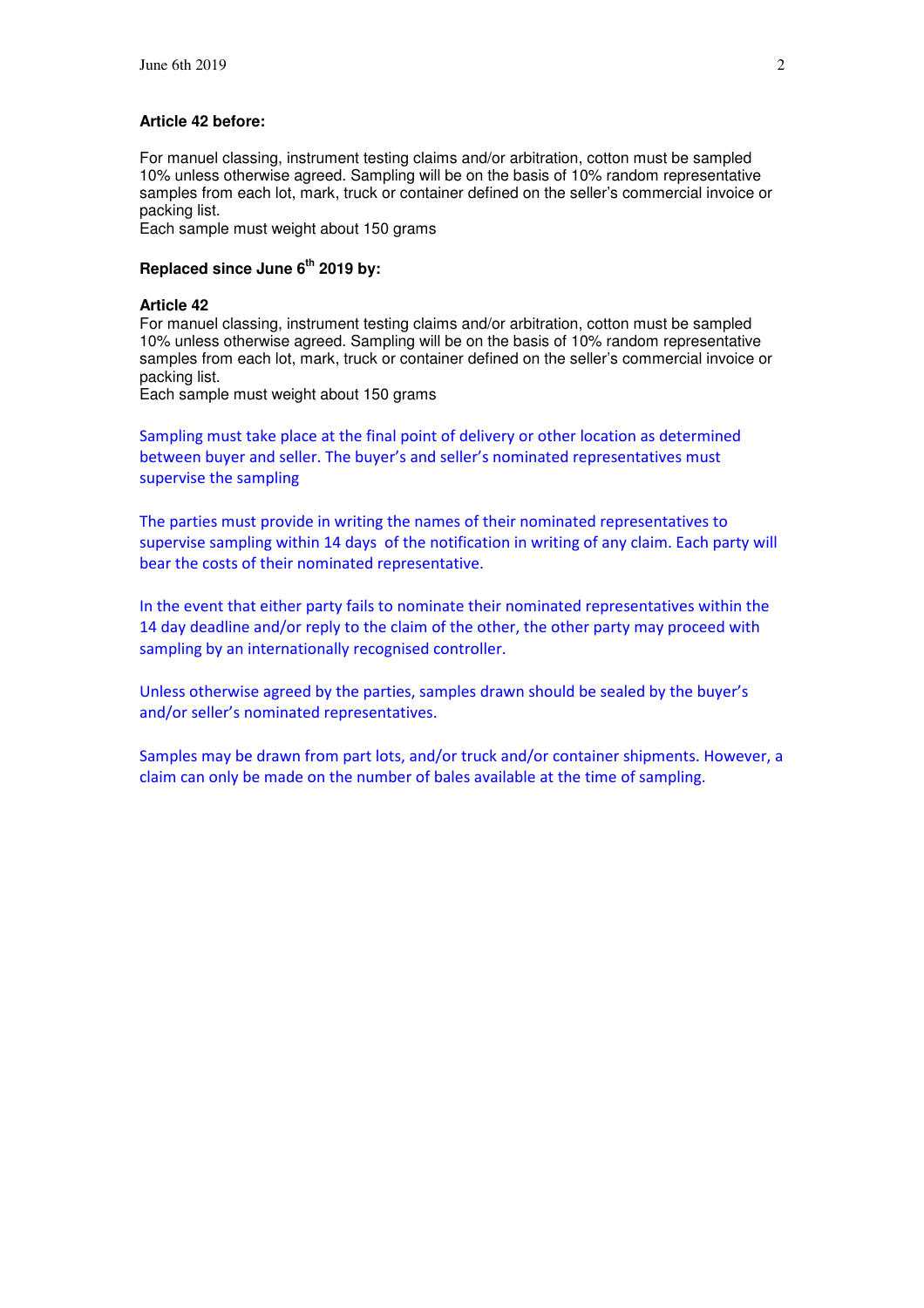#### **Article 42 before:**

For manuel classing, instrument testing claims and/or arbitration, cotton must be sampled 10% unless otherwise agreed. Sampling will be on the basis of 10% random representative samples from each lot, mark, truck or container defined on the seller's commercial invoice or packing list.

Each sample must weight about 150 grams

#### **Replaced since June 6th 2019 by:**

#### **Article 42**

For manuel classing, instrument testing claims and/or arbitration, cotton must be sampled 10% unless otherwise agreed. Sampling will be on the basis of 10% random representative samples from each lot, mark, truck or container defined on the seller's commercial invoice or packing list.

Each sample must weight about 150 grams

Sampling must take place at the final point of delivery or other location as determined between buyer and seller. The buyer's and seller's nominated representatives must supervise the sampling

The parties must provide in writing the names of their nominated representatives to supervise sampling within 14 days of the notification in writing of any claim. Each party will bear the costs of their nominated representative.

In the event that either party fails to nominate their nominated representatives within the 14 day deadline and/or reply to the claim of the other, the other party may proceed with sampling by an internationally recognised controller.

Unless otherwise agreed by the parties, samples drawn should be sealed by the buyer's and/or seller's nominated representatives.

Samples may be drawn from part lots, and/or truck and/or container shipments. However, a claim can only be made on the number of bales available at the time of sampling.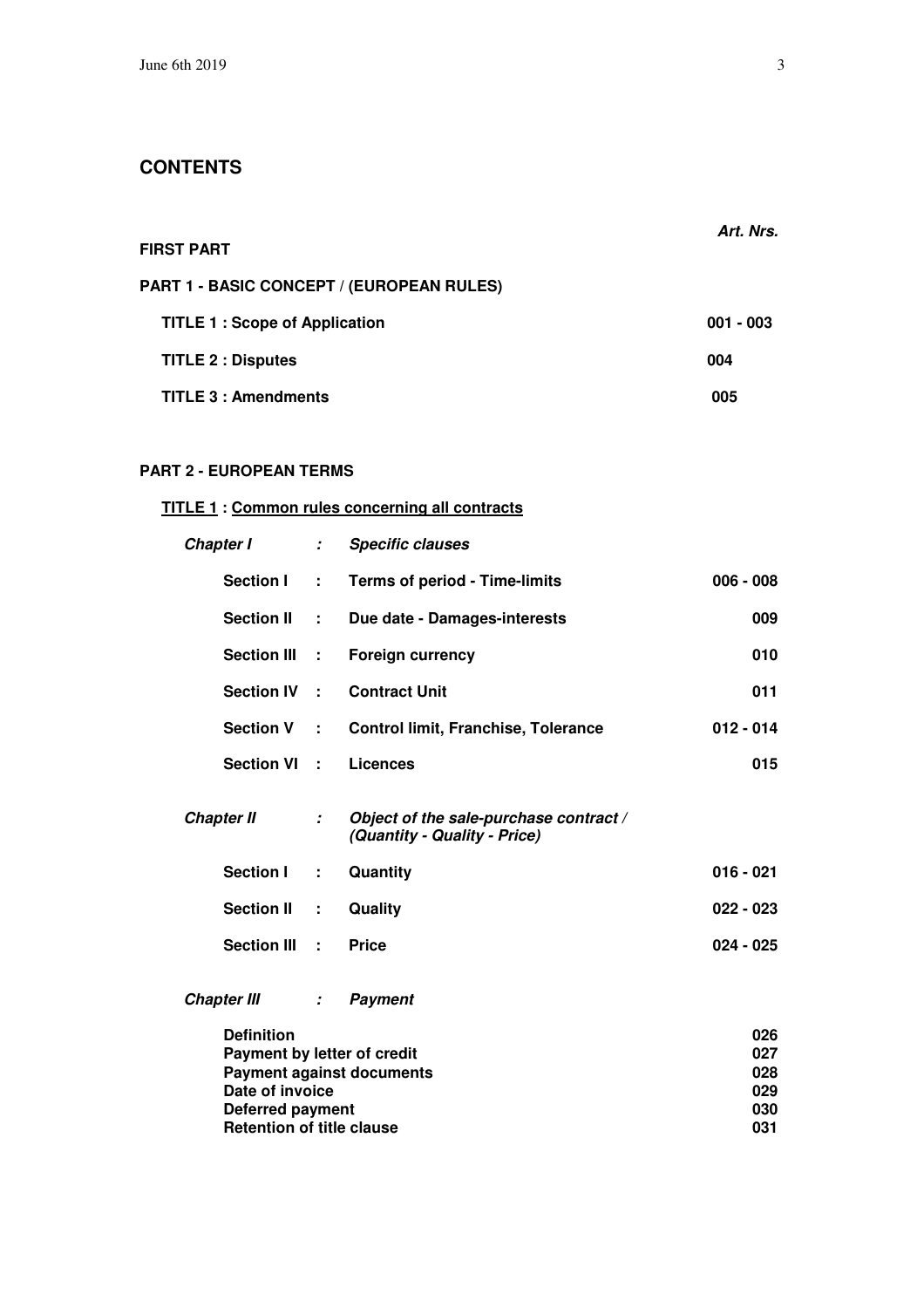| <b>FIRST PART</b>                                | Art Nrs     |
|--------------------------------------------------|-------------|
| <b>PART 1 - BASIC CONCEPT / (EUROPEAN RULES)</b> |             |
| <b>TITLE 1: Scope of Application</b>             | $001 - 003$ |
| <b>TITLE 2 : Disputes</b>                        | 004         |
| <b>TITLE 3: Amendments</b>                       | 005         |

# **PART 2 - EUROPEAN TERMS**

# **TITLE 1 : Common rules concerning all contracts**

| Chapter I                                        | $\mathcal{I}^{\mathcal{I}}$ | <b>Specific clauses</b>                                                |                   |
|--------------------------------------------------|-----------------------------|------------------------------------------------------------------------|-------------------|
| <b>Section I</b>                                 | $\mathbf{L}$                | <b>Terms of period - Time-limits</b>                                   | $006 - 008$       |
| <b>Section II</b>                                | $\sim$ 10                   | Due date - Damages-interests                                           | 009               |
| Section III :                                    |                             | <b>Foreign currency</b>                                                | 010               |
| Section IV :                                     |                             | <b>Contract Unit</b>                                                   | 011               |
| Section V :                                      |                             | <b>Control limit, Franchise, Tolerance</b>                             | $012 - 014$       |
| Section VI :                                     |                             | <b>Licences</b>                                                        | 015               |
| <b>Chapter II</b>                                | $\mathcal{L}$               | Object of the sale-purchase contract /<br>(Quantity - Quality - Price) |                   |
| <b>Section I</b>                                 | ÷.                          | Quantity                                                               | $016 - 021$       |
| <b>Section II</b>                                | $\sim$ 10                   | Quality                                                                | $022 - 023$       |
| Section III :                                    |                             | <b>Price</b>                                                           | $024 - 025$       |
| <b>Chapter III</b>                               | $\mathcal{L}_{\mathcal{A}}$ | <b>Payment</b>                                                         |                   |
| <b>Definition</b><br>Payment by letter of credit |                             | <b>Payment against documents</b>                                       | 026<br>027<br>028 |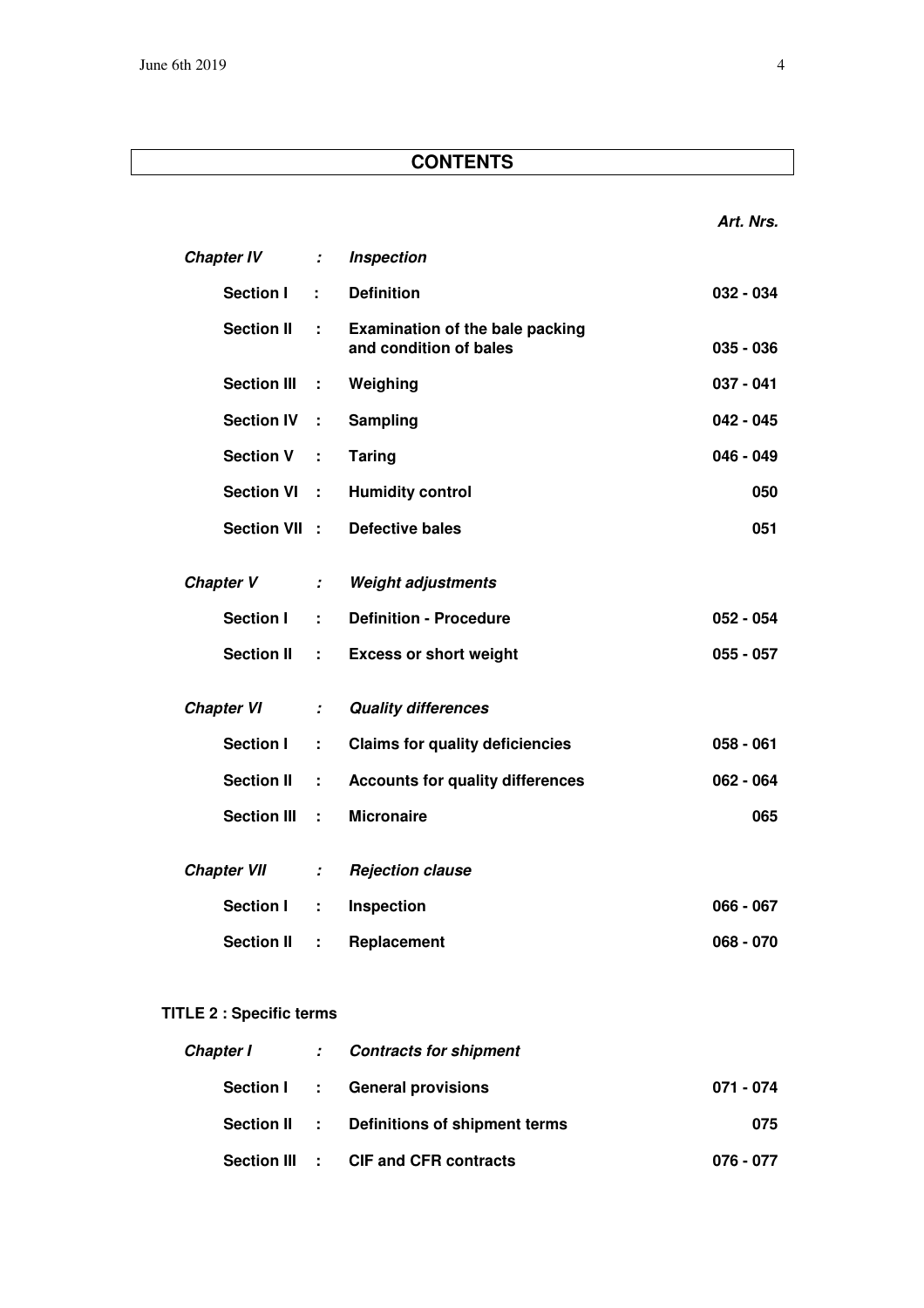| Art. Nrs. |
|-----------|
|           |

| <b>Chapter IV</b>  | ÷.                          | <b>Inspection</b>                                                |             |
|--------------------|-----------------------------|------------------------------------------------------------------|-------------|
| <b>Section I</b>   | ÷                           | <b>Definition</b>                                                | $032 - 034$ |
| <b>Section II</b>  | ÷.                          | <b>Examination of the bale packing</b><br>and condition of bales | $035 - 036$ |
| <b>Section III</b> | ÷                           | Weighing                                                         | $037 - 041$ |
| <b>Section IV</b>  | ÷                           | Sampling                                                         | $042 - 045$ |
| <b>Section V</b>   | ÷                           | <b>Taring</b>                                                    | $046 - 049$ |
| <b>Section VI</b>  | ÷                           | <b>Humidity control</b>                                          | 050         |
| <b>Section VII</b> | $\mathbb{R}^2$              | <b>Defective bales</b>                                           | 051         |
| <b>Chapter V</b>   | $\mathcal I$                | <b>Weight adjustments</b>                                        |             |
| <b>Section I</b>   | ÷                           | <b>Definition - Procedure</b>                                    | $052 - 054$ |
| <b>Section II</b>  | ÷,                          | <b>Excess or short weight</b>                                    | $055 - 057$ |
| <b>Chapter VI</b>  | $\mathcal{I}^{\mathcal{I}}$ | <b>Quality differences</b>                                       |             |
| <b>Section I</b>   | ÷.                          | <b>Claims for quality deficiencies</b>                           | $058 - 061$ |
| <b>Section II</b>  | ÷                           | <b>Accounts for quality differences</b>                          | $062 - 064$ |
| <b>Section III</b> | ÷                           | <b>Micronaire</b>                                                | 065         |
| <b>Chapter VII</b> | $\mathcal{I}$               | <b>Rejection clause</b>                                          |             |
| <b>Section I</b>   | ÷                           | Inspection                                                       | $066 - 067$ |
| <b>Section II</b>  | ÷.                          | Replacement                                                      | $068 - 070$ |
|                    |                             |                                                                  |             |

# **TITLE 2 : Specific terms**

|  | Chapter I : Contracts for shipment         |           |
|--|--------------------------------------------|-----------|
|  | Section I : General provisions             | 071 - 074 |
|  | Section II : Definitions of shipment terms | 075       |
|  | Section III : CIF and CFR contracts        | 076 - 077 |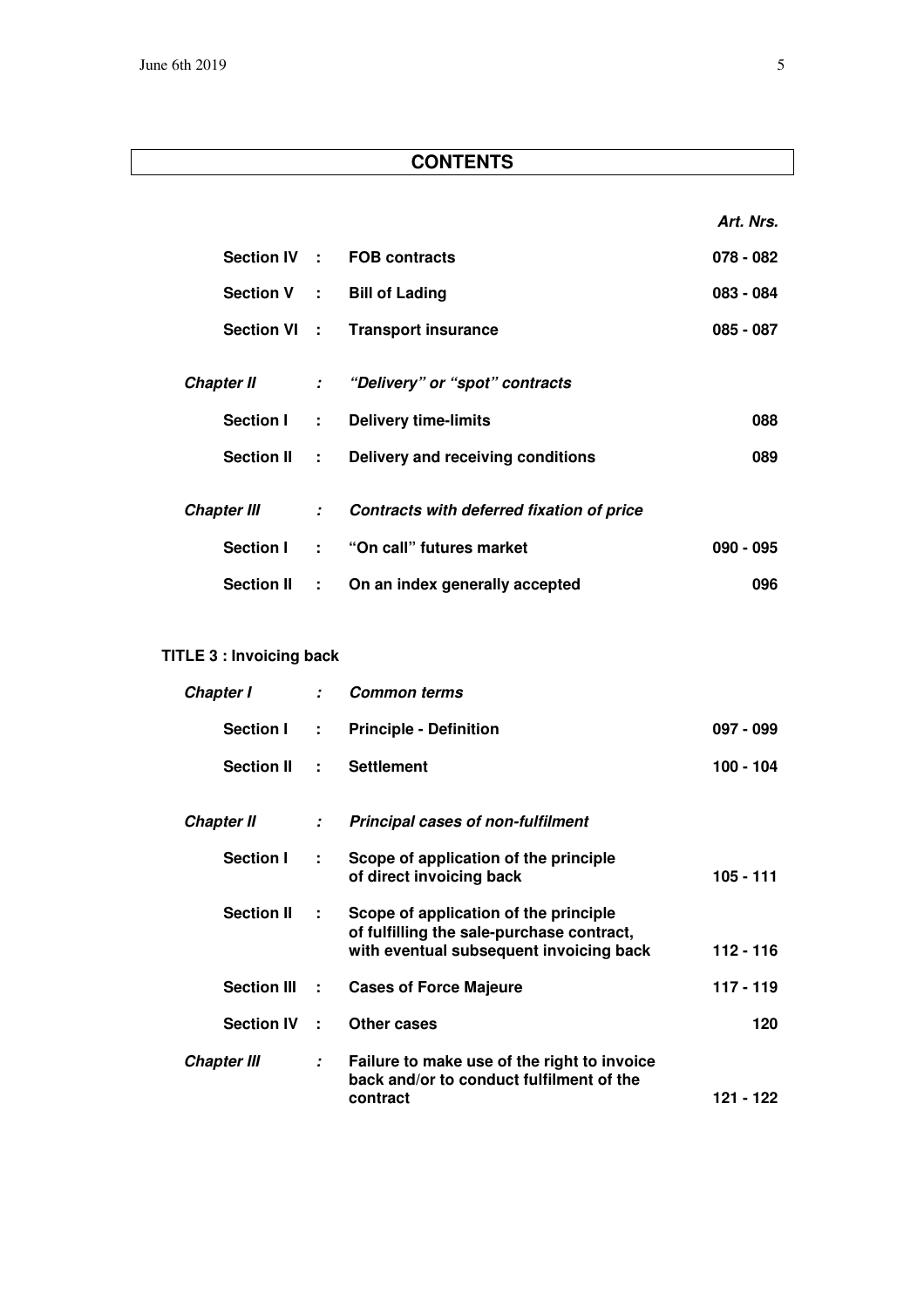**Art. Nrs.** 

|                    |                           | Section IV : FOB contracts                  | $078 - 082$ |
|--------------------|---------------------------|---------------------------------------------|-------------|
|                    |                           | Section V : Bill of Lading                  | $083 - 084$ |
|                    |                           | Section VI : Transport insurance            | $085 - 087$ |
| Chapter II         |                           | : "Delivery" or "spot" contracts            |             |
| <b>Section I</b>   | $\mathbb{Z}^{\mathbb{Z}}$ | <b>Delivery time-limits</b>                 | 088         |
| Section II :       |                           | Delivery and receiving conditions           | 089         |
| <b>Chapter III</b> |                           | : Contracts with deferred fixation of price |             |
| <b>Section I</b>   |                           | : "On call" futures market                  | $090 - 095$ |
| <b>Section II</b>  | $\mathbf{r}$              | On an index generally accepted              | 096         |

## **TITLE 3 : Invoicing back**

| Chapter I          | $\mathcal{I}^{\mathcal{I}}$ | <b>Common terms</b>                                                                                                           |             |
|--------------------|-----------------------------|-------------------------------------------------------------------------------------------------------------------------------|-------------|
| Section I          | $\mathbb{Z}^{n+1}$          | <b>Principle - Definition</b>                                                                                                 | 097 - 099   |
| <b>Section II</b>  | $\mathbf{r}$                | <b>Settlement</b>                                                                                                             | 100 - 104   |
| <b>Chapter II</b>  | $\mathcal{L}^{\mathcal{L}}$ | <b>Principal cases of non-fulfilment</b>                                                                                      |             |
| Section I          | ÷                           | Scope of application of the principle<br>of direct invoicing back                                                             | 105 - 111   |
| <b>Section II</b>  | ÷                           | Scope of application of the principle<br>of fulfilling the sale-purchase contract,<br>with eventual subsequent invoicing back | $112 - 116$ |
| Section III :      |                             | <b>Cases of Force Majeure</b>                                                                                                 | $117 - 119$ |
| <b>Section IV</b>  | ÷                           | Other cases                                                                                                                   | 120         |
| <b>Chapter III</b> | $\mathcal{L}$               | Failure to make use of the right to invoice<br>back and/or to conduct fulfilment of the<br>contract                           | 121 - 122   |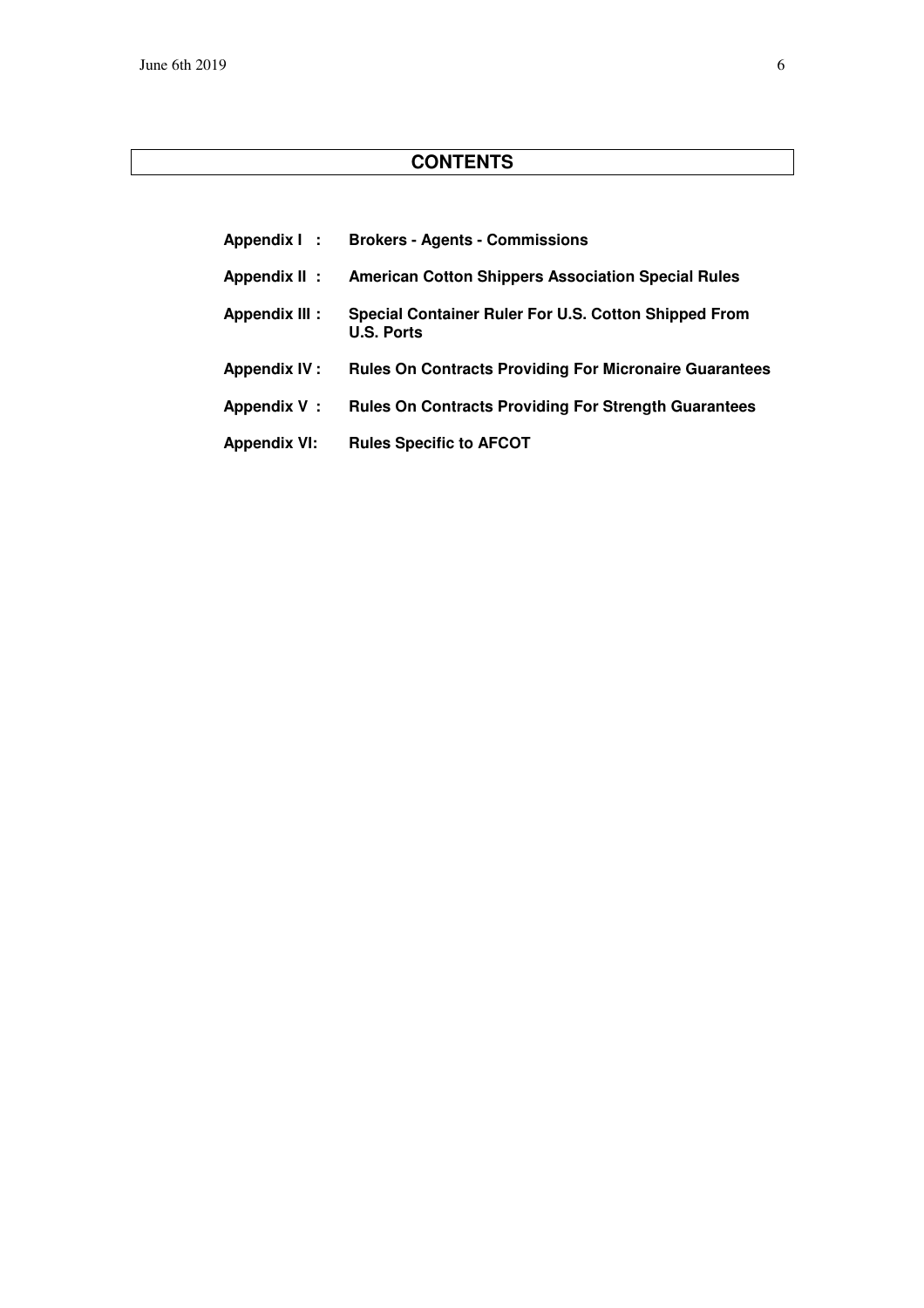| Appendix I:          | <b>Brokers - Agents - Commissions</b>                                     |
|----------------------|---------------------------------------------------------------------------|
| Appendix II:         | <b>American Cotton Shippers Association Special Rules</b>                 |
| <b>Appendix III:</b> | Special Container Ruler For U.S. Cotton Shipped From<br><b>U.S. Ports</b> |
| <b>Appendix IV:</b>  | <b>Rules On Contracts Providing For Micronaire Guarantees</b>             |
| Appendix V:          | <b>Rules On Contracts Providing For Strength Guarantees</b>               |
| <b>Appendix VI:</b>  | <b>Rules Specific to AFCOT</b>                                            |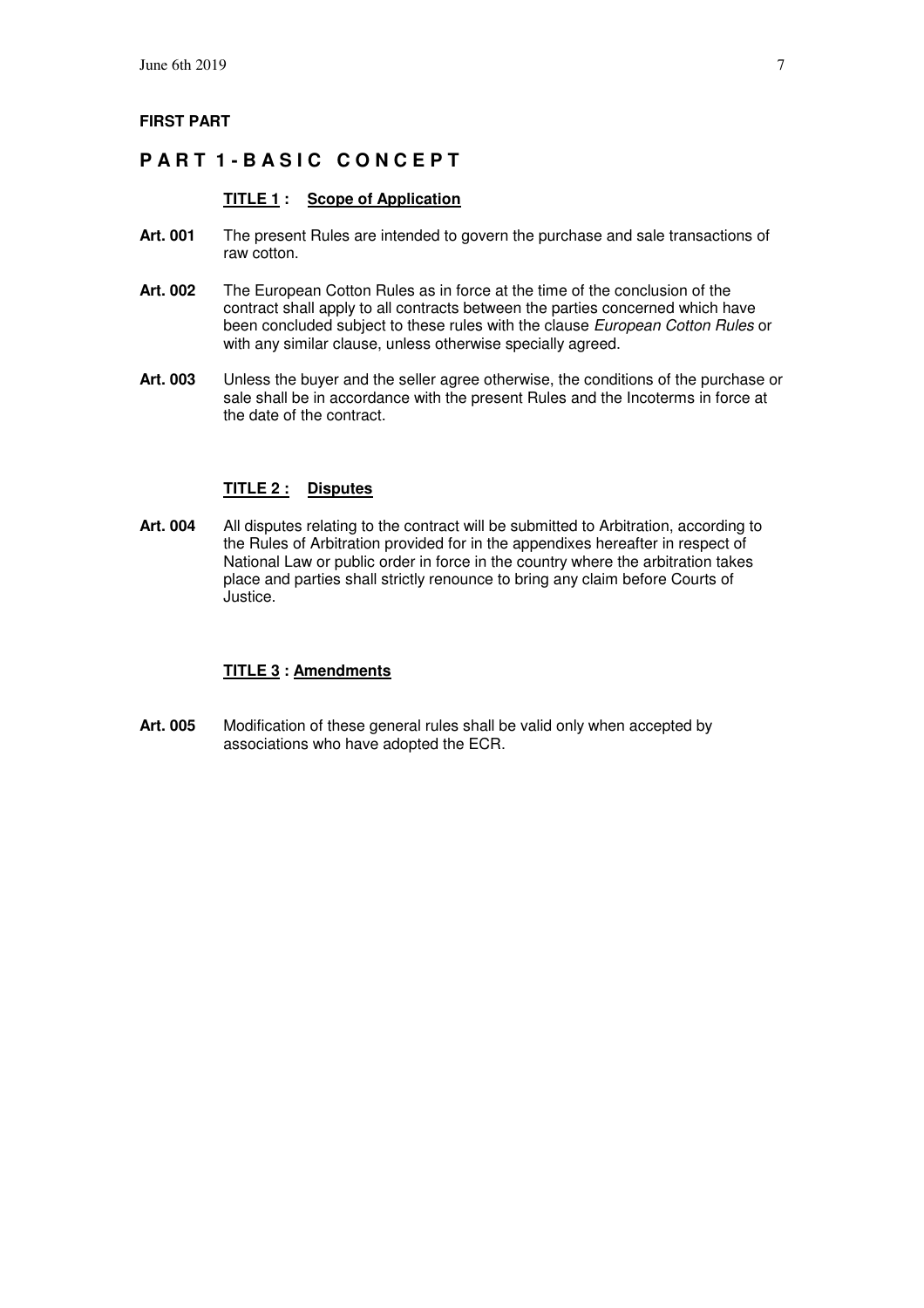#### **FIRST PART**

### **PART 1-BASIC CONCEPT**

#### **TITLE 1 : Scope of Application**

- **Art. 001** The present Rules are intended to govern the purchase and sale transactions of raw cotton.
- **Art. 002** The European Cotton Rules as in force at the time of the conclusion of the contract shall apply to all contracts between the parties concerned which have been concluded subject to these rules with the clause European Cotton Rules or with any similar clause, unless otherwise specially agreed.
- **Art. 003** Unless the buyer and the seller agree otherwise, the conditions of the purchase or sale shall be in accordance with the present Rules and the Incoterms in force at the date of the contract.

#### **TITLE 2 : Disputes**

**Art. 004** All disputes relating to the contract will be submitted to Arbitration, according to the Rules of Arbitration provided for in the appendixes hereafter in respect of National Law or public order in force in the country where the arbitration takes place and parties shall strictly renounce to bring any claim before Courts of Justice.

#### **TITLE 3 : Amendments**

**Art. 005** Modification of these general rules shall be valid only when accepted by associations who have adopted the ECR.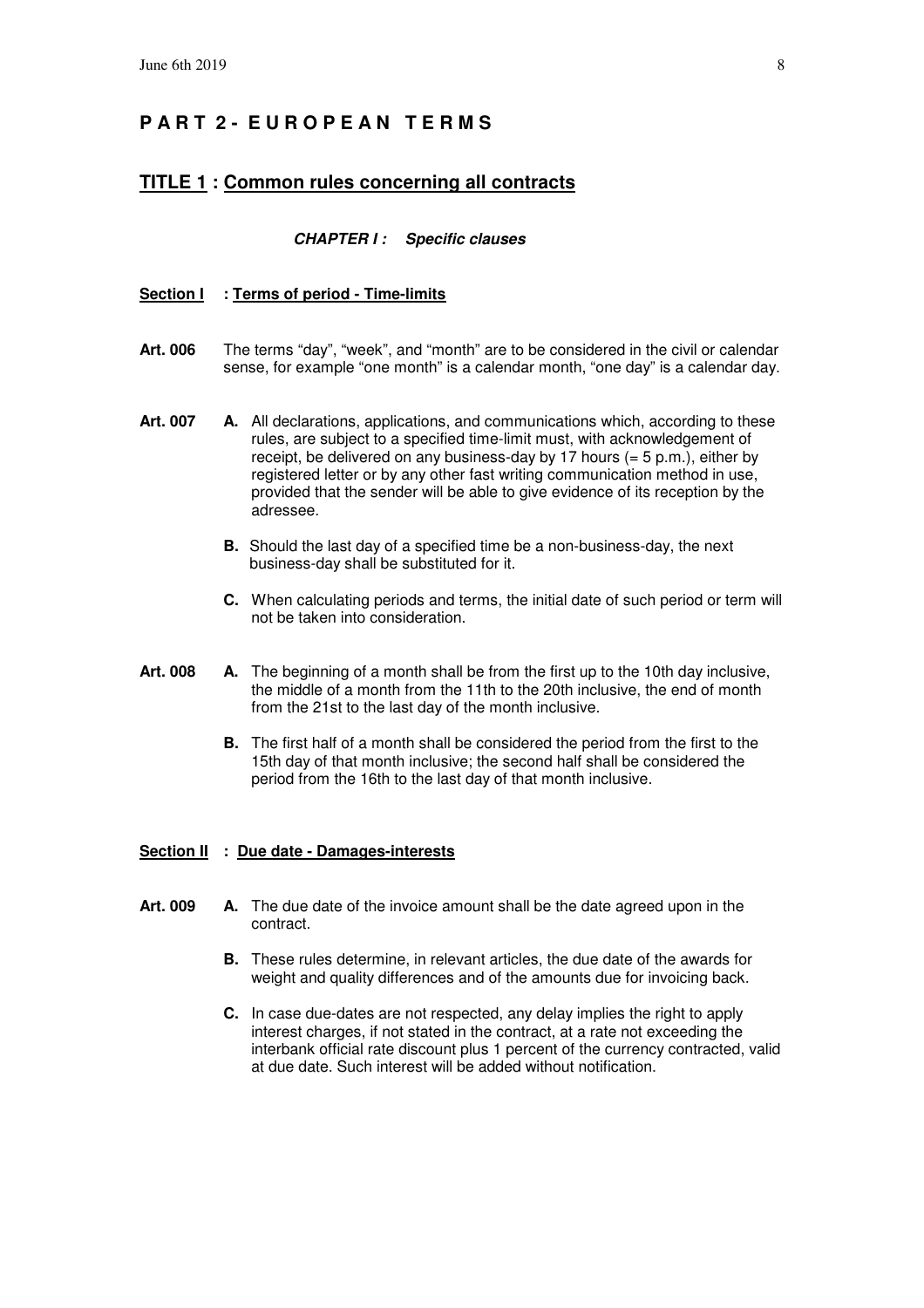# **P A R T 2 - E U R O P E A N T E R M S**

#### **TITLE 1 : Common rules concerning all contracts**

#### **CHAPTER I : Specific clauses**

#### **Section I : Terms of period - Time-limits**

- **Art. 006** The terms "day", "week", and "month" are to be considered in the civil or calendar sense, for example "one month" is a calendar month, "one day" is a calendar day.
- Art. 007 A. All declarations, applications, and communications which, according to these rules, are subject to a specified time-limit must, with acknowledgement of receipt, be delivered on any business-day by 17 hours  $(= 5 \text{ p.m.})$ , either by registered letter or by any other fast writing communication method in use, provided that the sender will be able to give evidence of its reception by the adressee.
	- **B.** Should the last day of a specified time be a non-business-day, the next business-day shall be substituted for it.
	- **C.** When calculating periods and terms, the initial date of such period or term will not be taken into consideration.
- **Art. 008 A.** The beginning of a month shall be from the first up to the 10th day inclusive, the middle of a month from the 11th to the 20th inclusive, the end of month from the 21st to the last day of the month inclusive.
	- **B.** The first half of a month shall be considered the period from the first to the 15th day of that month inclusive; the second half shall be considered the period from the 16th to the last day of that month inclusive.

#### **Section II : Due date - Damages-interests**

- **Art. 009 A.** The due date of the invoice amount shall be the date agreed upon in the contract.
	- **B.** These rules determine, in relevant articles, the due date of the awards for weight and quality differences and of the amounts due for invoicing back.
	- **C.** In case due-dates are not respected, any delay implies the right to apply interest charges, if not stated in the contract, at a rate not exceeding the interbank official rate discount plus 1 percent of the currency contracted, valid at due date. Such interest will be added without notification.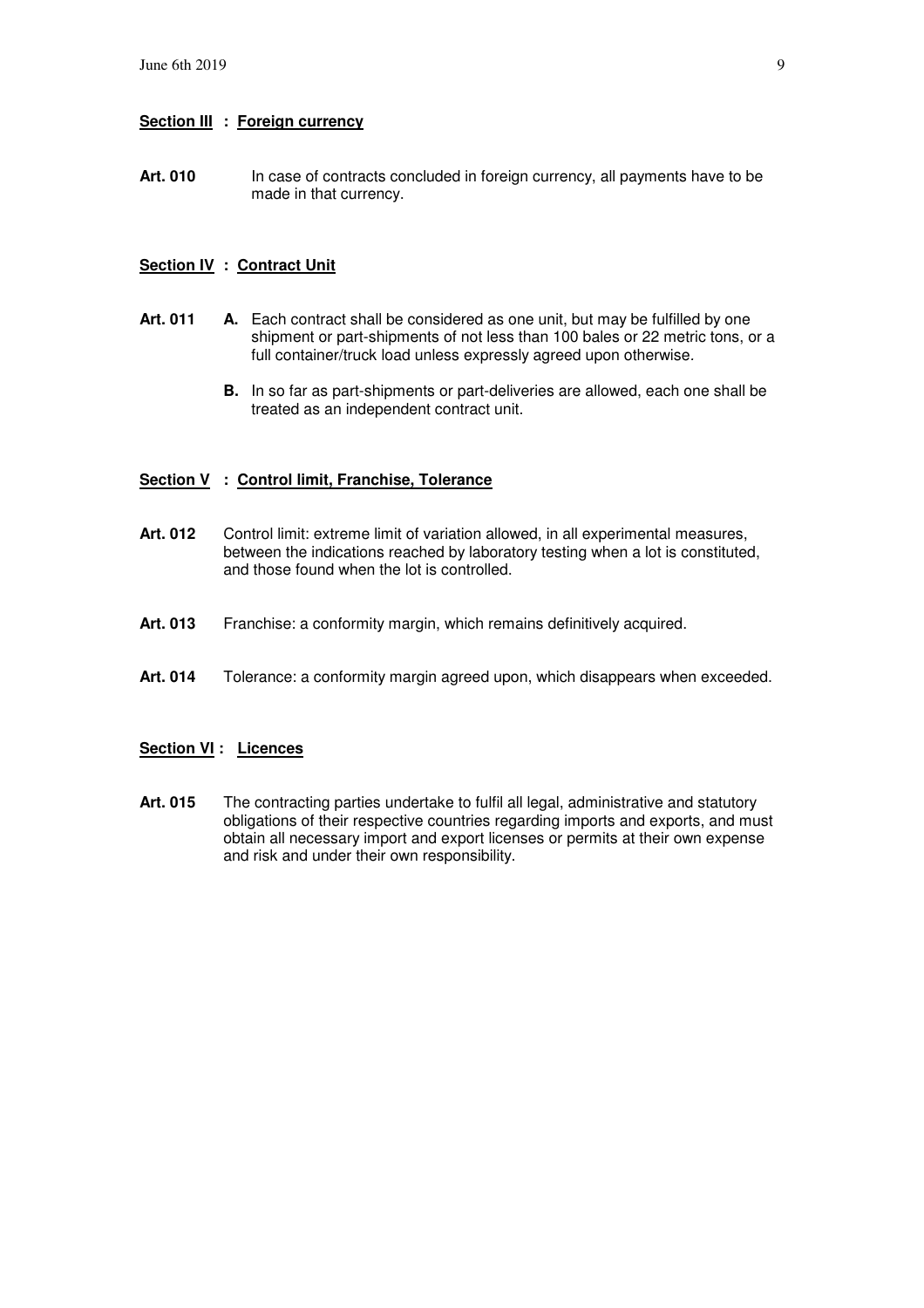#### **Section III : Foreign currency**

Art. 010 In case of contracts concluded in foreign currency, all payments have to be made in that currency.

#### **Section IV : Contract Unit**

- Art. 011 A. Each contract shall be considered as one unit, but may be fulfilled by one shipment or part-shipments of not less than 100 bales or 22 metric tons, or a full container/truck load unless expressly agreed upon otherwise.
	- **B.** In so far as part-shipments or part-deliveries are allowed, each one shall be treated as an independent contract unit.

#### **Section V : Control limit, Franchise, Tolerance**

- Art. 012 Control limit: extreme limit of variation allowed, in all experimental measures, between the indications reached by laboratory testing when a lot is constituted, and those found when the lot is controlled.
- Art. 013 Franchise: a conformity margin, which remains definitively acquired.
- **Art. 014** Tolerance: a conformity margin agreed upon, which disappears when exceeded.

#### **Section VI : Licences**

Art. 015 The contracting parties undertake to fulfil all legal, administrative and statutory obligations of their respective countries regarding imports and exports, and must obtain all necessary import and export licenses or permits at their own expense and risk and under their own responsibility.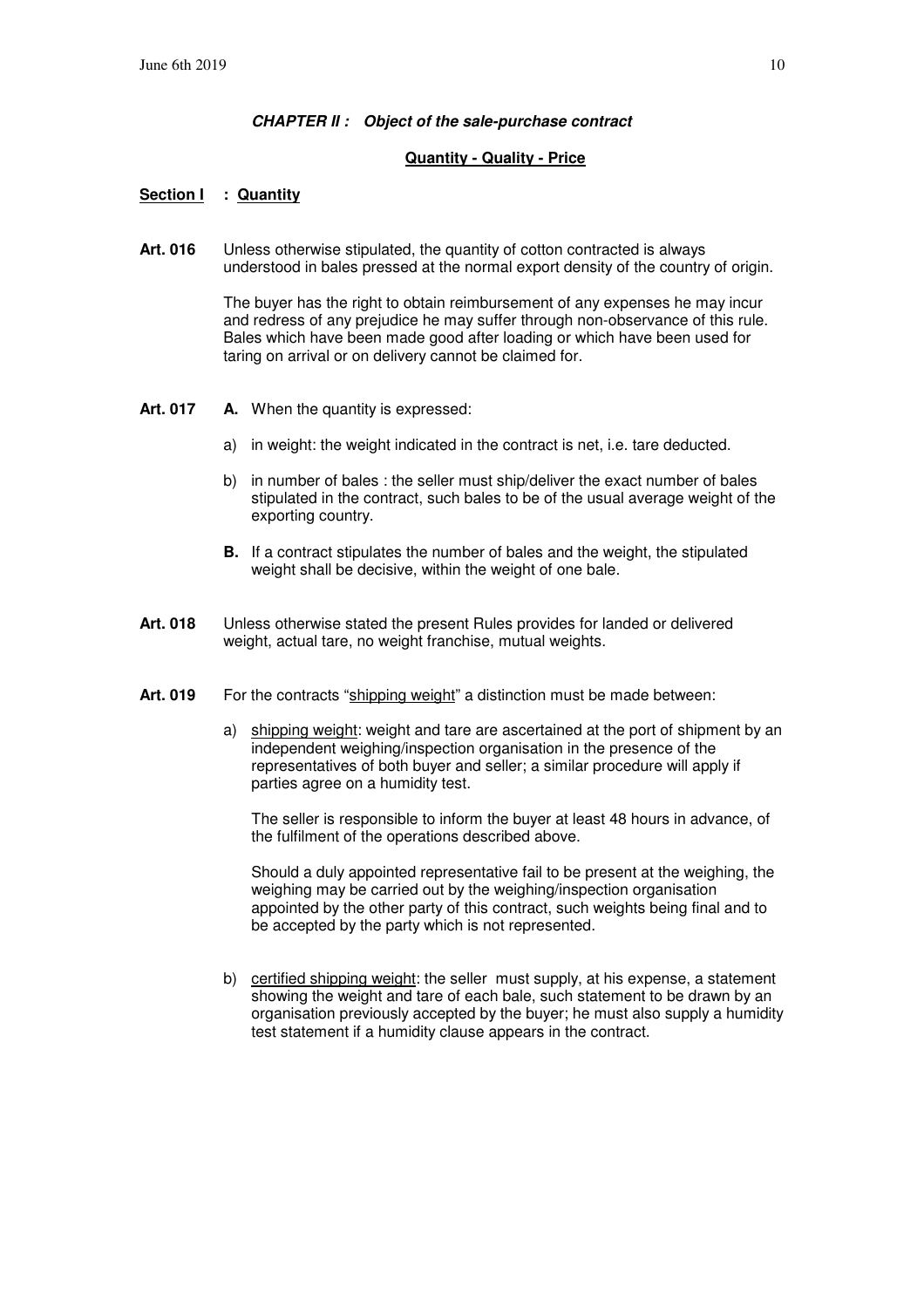#### **CHAPTER II : Object of the sale-purchase contract**

#### **Quantity - Quality - Price**

#### **Section I : Quantity**

**Art. 016** Unless otherwise stipulated, the quantity of cotton contracted is always understood in bales pressed at the normal export density of the country of origin.

> The buyer has the right to obtain reimbursement of any expenses he may incur and redress of any prejudice he may suffer through non-observance of this rule. Bales which have been made good after loading or which have been used for taring on arrival or on delivery cannot be claimed for.

- **Art. 017 A.** When the quantity is expressed:
	- a) in weight: the weight indicated in the contract is net, i.e. tare deducted.
	- b) in number of bales : the seller must ship/deliver the exact number of bales stipulated in the contract, such bales to be of the usual average weight of the exporting country.
	- **B.** If a contract stipulates the number of bales and the weight, the stipulated weight shall be decisive, within the weight of one bale.
- **Art. 018** Unless otherwise stated the present Rules provides for landed or delivered weight, actual tare, no weight franchise, mutual weights.
- Art. 019 For the contracts "shipping weight" a distinction must be made between:
	- a) shipping weight: weight and tare are ascertained at the port of shipment by an independent weighing/inspection organisation in the presence of the representatives of both buyer and seller; a similar procedure will apply if parties agree on a humidity test.

 The seller is responsible to inform the buyer at least 48 hours in advance, of the fulfilment of the operations described above.

 Should a duly appointed representative fail to be present at the weighing, the weighing may be carried out by the weighing/inspection organisation appointed by the other party of this contract, such weights being final and to be accepted by the party which is not represented.

 b) certified shipping weight: the seller must supply, at his expense, a statement showing the weight and tare of each bale, such statement to be drawn by an organisation previously accepted by the buyer; he must also supply a humidity test statement if a humidity clause appears in the contract.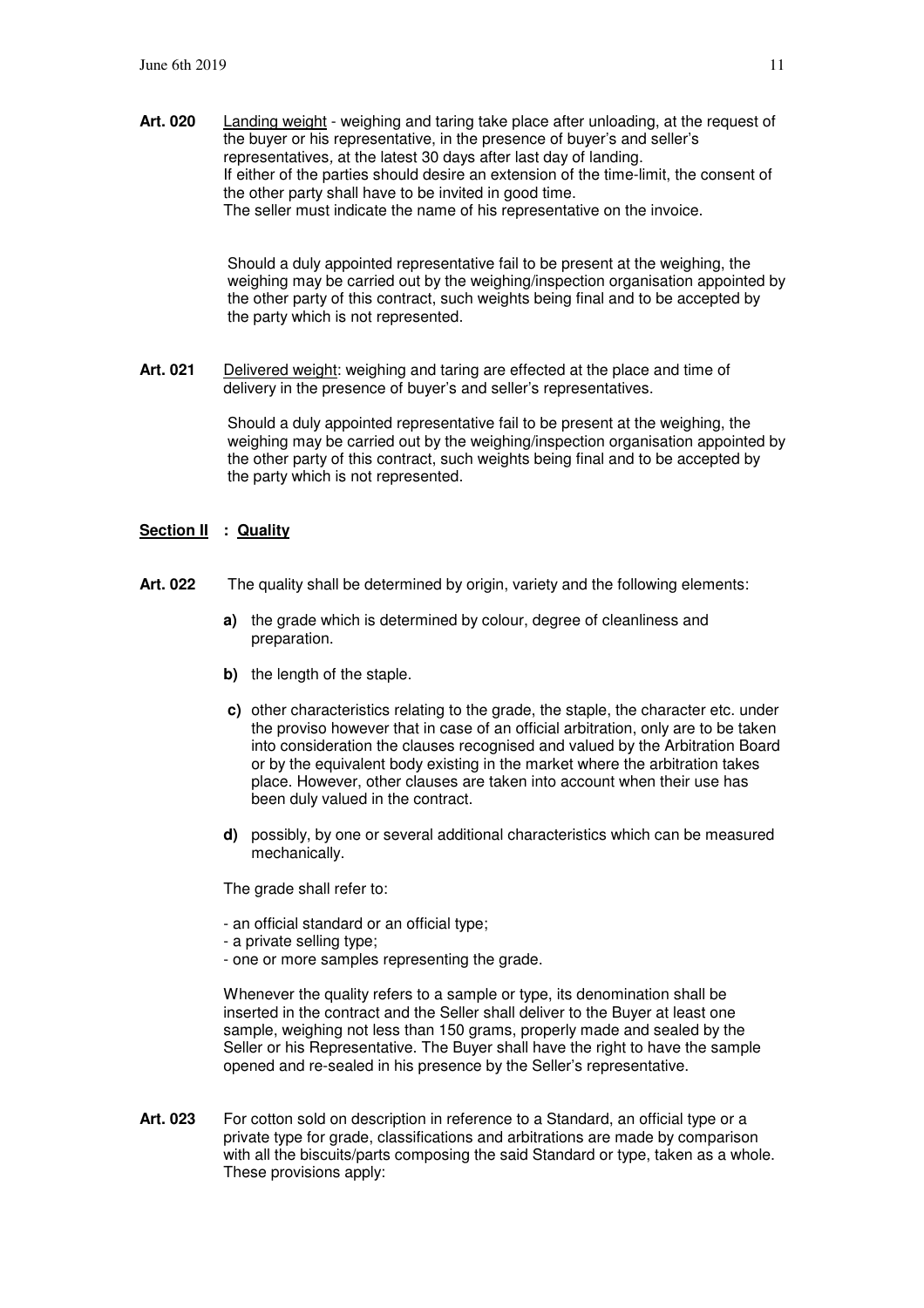**Art. 020** Landing weight - weighing and taring take place after unloading, at the request of the buyer or his representative, in the presence of buyer's and seller's representatives, at the latest 30 days after last day of landing. If either of the parties should desire an extension of the time-limit, the consent of the other party shall have to be invited in good time. The seller must indicate the name of his representative on the invoice.

> Should a duly appointed representative fail to be present at the weighing, the weighing may be carried out by the weighing/inspection organisation appointed by the other party of this contract, such weights being final and to be accepted by the party which is not represented.

**Art. 021** Delivered weight: weighing and taring are effected at the place and time of delivery in the presence of buyer's and seller's representatives.

> Should a duly appointed representative fail to be present at the weighing, the weighing may be carried out by the weighing/inspection organisation appointed by the other party of this contract, such weights being final and to be accepted by the party which is not represented.

#### **Section II : Quality**

- **Art. 022** The quality shall be determined by origin, variety and the following elements:
	- **a)** the grade which is determined by colour, degree of cleanliness and preparation.
	- **b**) the length of the staple.
	- **c)** other characteristics relating to the grade, the staple, the character etc. under the proviso however that in case of an official arbitration, only are to be taken into consideration the clauses recognised and valued by the Arbitration Board or by the equivalent body existing in the market where the arbitration takes place. However, other clauses are taken into account when their use has been duly valued in the contract.
	- **d)** possibly, by one or several additional characteristics which can be measured mechanically.

The grade shall refer to:

- an official standard or an official type;
- a private selling type;
- one or more samples representing the grade.

 Whenever the quality refers to a sample or type, its denomination shall be inserted in the contract and the Seller shall deliver to the Buyer at least one sample, weighing not less than 150 grams, properly made and sealed by the Seller or his Representative. The Buyer shall have the right to have the sample opened and re-sealed in his presence by the Seller's representative.

**Art. 023** For cotton sold on description in reference to a Standard, an official type or a private type for grade, classifications and arbitrations are made by comparison with all the biscuits/parts composing the said Standard or type, taken as a whole. These provisions apply: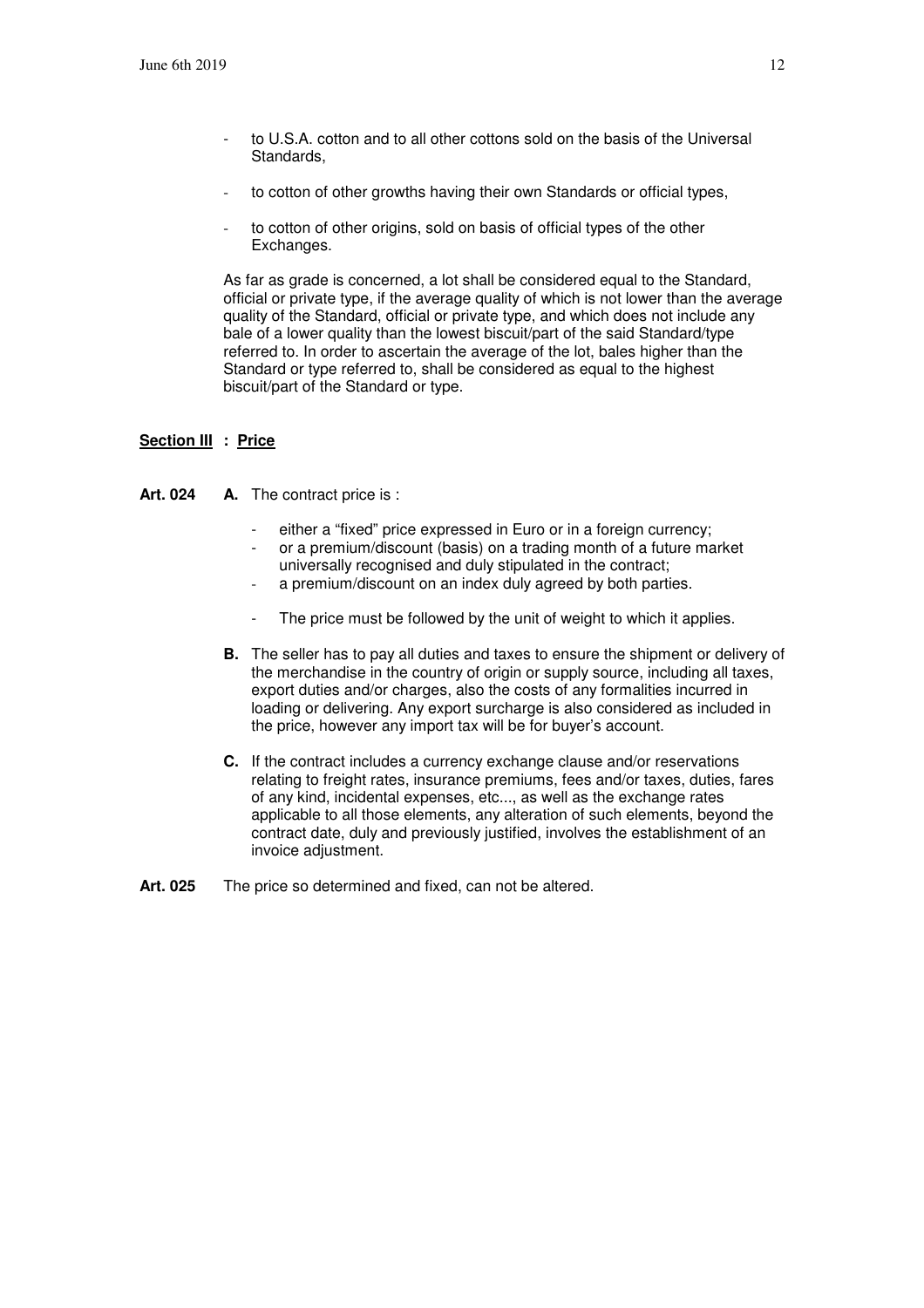- to U.S.A. cotton and to all other cottons sold on the basis of the Universal Standards,
- to cotton of other growths having their own Standards or official types,
- to cotton of other origins, sold on basis of official types of the other Exchanges.

 As far as grade is concerned, a lot shall be considered equal to the Standard, official or private type, if the average quality of which is not lower than the average quality of the Standard, official or private type, and which does not include any bale of a lower quality than the lowest biscuit/part of the said Standard/type referred to. In order to ascertain the average of the lot, bales higher than the Standard or type referred to, shall be considered as equal to the highest biscuit/part of the Standard or type.

#### **Section III : Price**

Art. 024 A. The contract price is :

- either a "fixed" price expressed in Euro or in a foreign currency;
- or a premium/discount (basis) on a trading month of a future market universally recognised and duly stipulated in the contract;
- a premium/discount on an index duly agreed by both parties.
- The price must be followed by the unit of weight to which it applies.
- **B.** The seller has to pay all duties and taxes to ensure the shipment or delivery of the merchandise in the country of origin or supply source, including all taxes, export duties and/or charges, also the costs of any formalities incurred in loading or delivering. Any export surcharge is also considered as included in the price, however any import tax will be for buyer's account.
- **C.** If the contract includes a currency exchange clause and/or reservations relating to freight rates, insurance premiums, fees and/or taxes, duties, fares of any kind, incidental expenses, etc..., as well as the exchange rates applicable to all those elements, any alteration of such elements, beyond the contract date, duly and previously justified, involves the establishment of an invoice adjustment.
- Art. 025 The price so determined and fixed, can not be altered.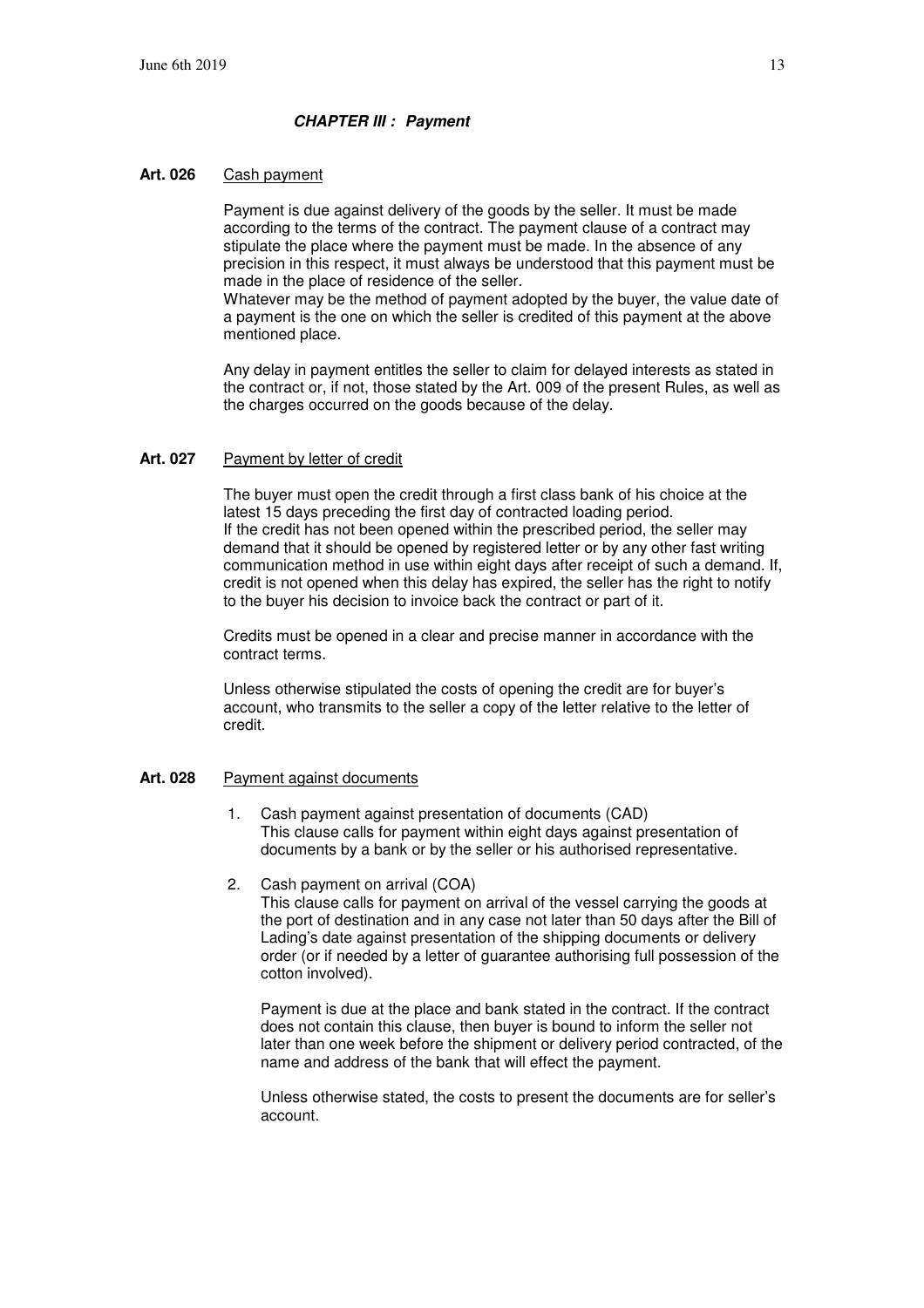#### **CHAPTER III : Payment**

#### **Art. 026** Cash payment

 Payment is due against delivery of the goods by the seller. It must be made according to the terms of the contract. The payment clause of a contract may stipulate the place where the payment must be made. In the absence of any precision in this respect, it must always be understood that this payment must be made in the place of residence of the seller.

 Whatever may be the method of payment adopted by the buyer, the value date of a payment is the one on which the seller is credited of this payment at the above mentioned place.

 Any delay in payment entitles the seller to claim for delayed interests as stated in the contract or, if not, those stated by the Art. 009 of the present Rules, as well as the charges occurred on the goods because of the delay.

#### **Art. 027** Payment by letter of credit

 The buyer must open the credit through a first class bank of his choice at the latest 15 days preceding the first day of contracted loading period. If the credit has not been opened within the prescribed period, the seller may demand that it should be opened by registered letter or by any other fast writing communication method in use within eight days after receipt of such a demand. If, credit is not opened when this delay has expired, the seller has the right to notify to the buyer his decision to invoice back the contract or part of it.

 Credits must be opened in a clear and precise manner in accordance with the contract terms.

 Unless otherwise stipulated the costs of opening the credit are for buyer's account, who transmits to the seller a copy of the letter relative to the letter of credit.

#### **Art. 028** Payment against documents

- 1. Cash payment against presentation of documents (CAD) This clause calls for payment within eight days against presentation of documents by a bank or by the seller or his authorised representative.
- 2. Cash payment on arrival (COA)

This clause calls for payment on arrival of the vessel carrying the goods at the port of destination and in any case not later than 50 days after the Bill of Lading's date against presentation of the shipping documents or delivery order (or if needed by a letter of guarantee authorising full possession of the cotton involved).

Payment is due at the place and bank stated in the contract. If the contract does not contain this clause, then buyer is bound to inform the seller not later than one week before the shipment or delivery period contracted, of the name and address of the bank that will effect the payment.

Unless otherwise stated, the costs to present the documents are for seller's account.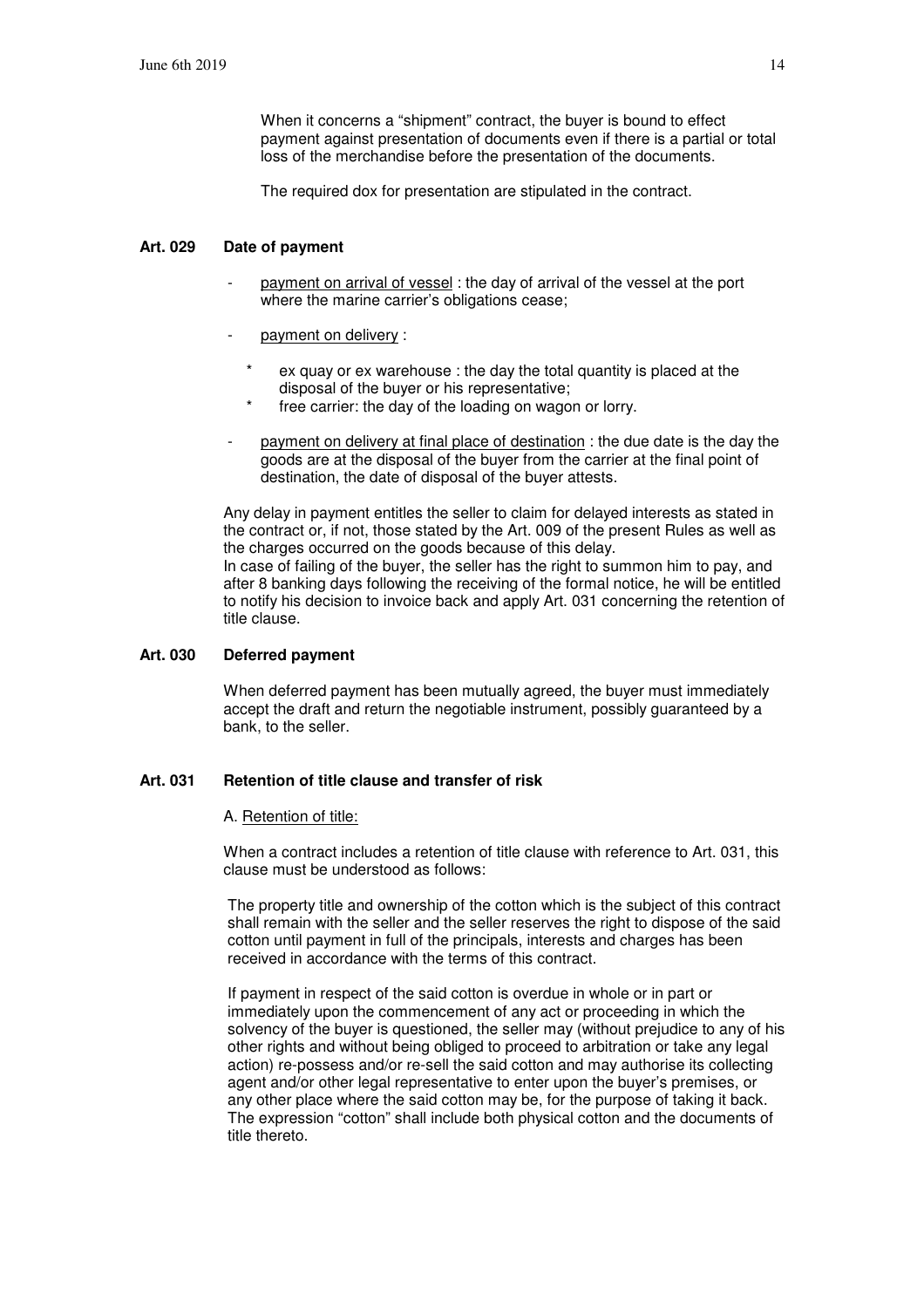When it concerns a "shipment" contract, the buyer is bound to effect payment against presentation of documents even if there is a partial or total loss of the merchandise before the presentation of the documents.

The required dox for presentation are stipulated in the contract.

#### **Art. 029 Date of payment**

- payment on arrival of vessel : the day of arrival of the vessel at the port where the marine carrier's obligations cease;
- payment on delivery :
	- ex quay or ex warehouse : the day the total quantity is placed at the disposal of the buyer or his representative;
	- free carrier: the day of the loading on wagon or lorry.
- payment on delivery at final place of destination : the due date is the day the goods are at the disposal of the buyer from the carrier at the final point of destination, the date of disposal of the buyer attests.

Any delay in payment entitles the seller to claim for delayed interests as stated in the contract or, if not, those stated by the Art. 009 of the present Rules as well as the charges occurred on the goods because of this delay. In case of failing of the buyer, the seller has the right to summon him to pay, and

after 8 banking days following the receiving of the formal notice, he will be entitled to notify his decision to invoice back and apply Art. 031 concerning the retention of title clause.

#### **Art. 030 Deferred payment**

When deferred payment has been mutually agreed, the buyer must immediately accept the draft and return the negotiable instrument, possibly guaranteed by a bank, to the seller.

#### **Art. 031 Retention of title clause and transfer of risk**

#### A. Retention of title:

When a contract includes a retention of title clause with reference to Art. 031, this clause must be understood as follows:

The property title and ownership of the cotton which is the subject of this contract shall remain with the seller and the seller reserves the right to dispose of the said cotton until payment in full of the principals, interests and charges has been received in accordance with the terms of this contract.

If payment in respect of the said cotton is overdue in whole or in part or immediately upon the commencement of any act or proceeding in which the solvency of the buyer is questioned, the seller may (without prejudice to any of his other rights and without being obliged to proceed to arbitration or take any legal action) re-possess and/or re-sell the said cotton and may authorise its collecting agent and/or other legal representative to enter upon the buyer's premises, or any other place where the said cotton may be, for the purpose of taking it back. The expression "cotton" shall include both physical cotton and the documents of title thereto.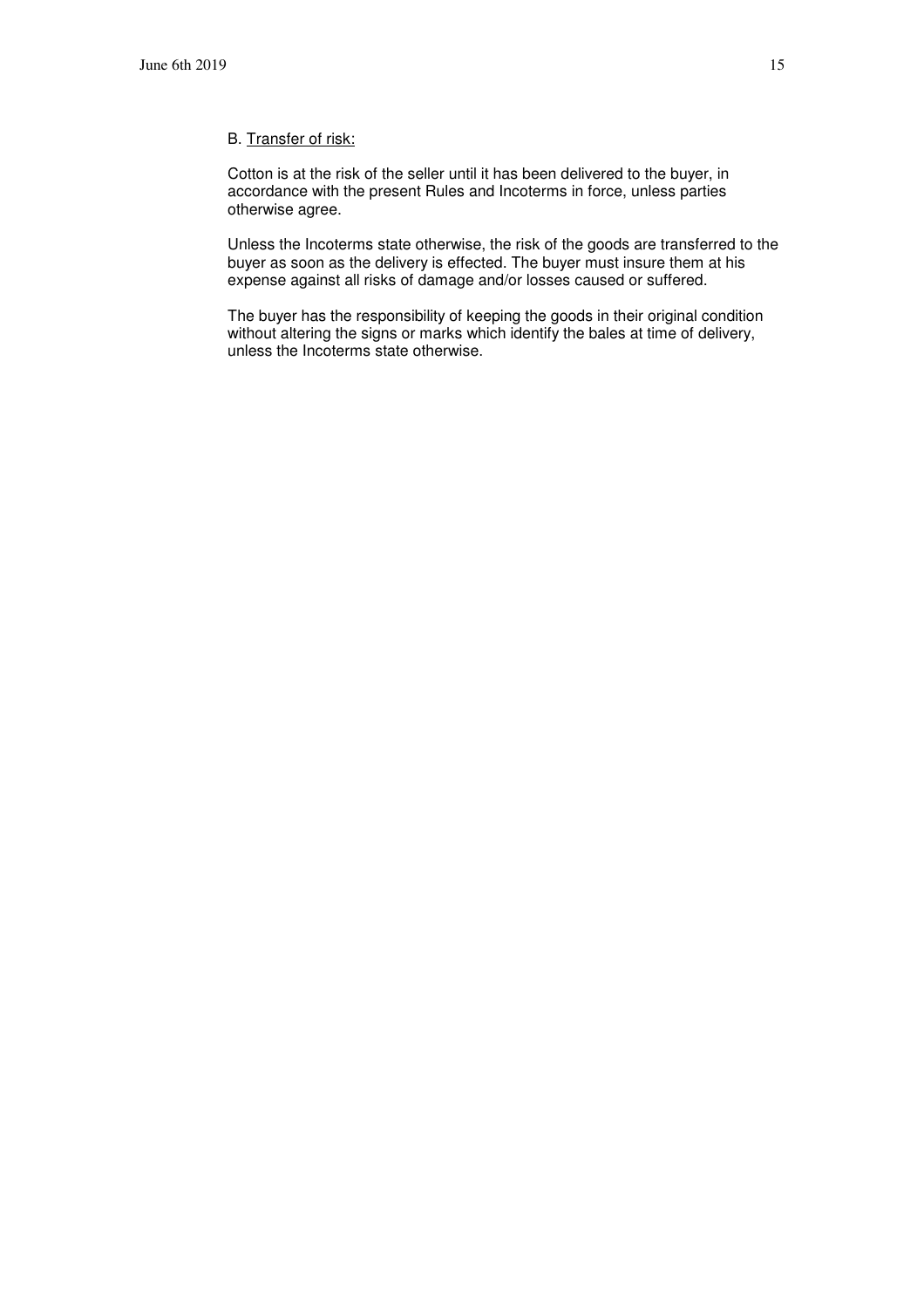#### B. Transfer of risk:

Cotton is at the risk of the seller until it has been delivered to the buyer, in accordance with the present Rules and Incoterms in force, unless parties otherwise agree.

Unless the Incoterms state otherwise, the risk of the goods are transferred to the buyer as soon as the delivery is effected. The buyer must insure them at his expense against all risks of damage and/or losses caused or suffered.

The buyer has the responsibility of keeping the goods in their original condition without altering the signs or marks which identify the bales at time of delivery, unless the Incoterms state otherwise.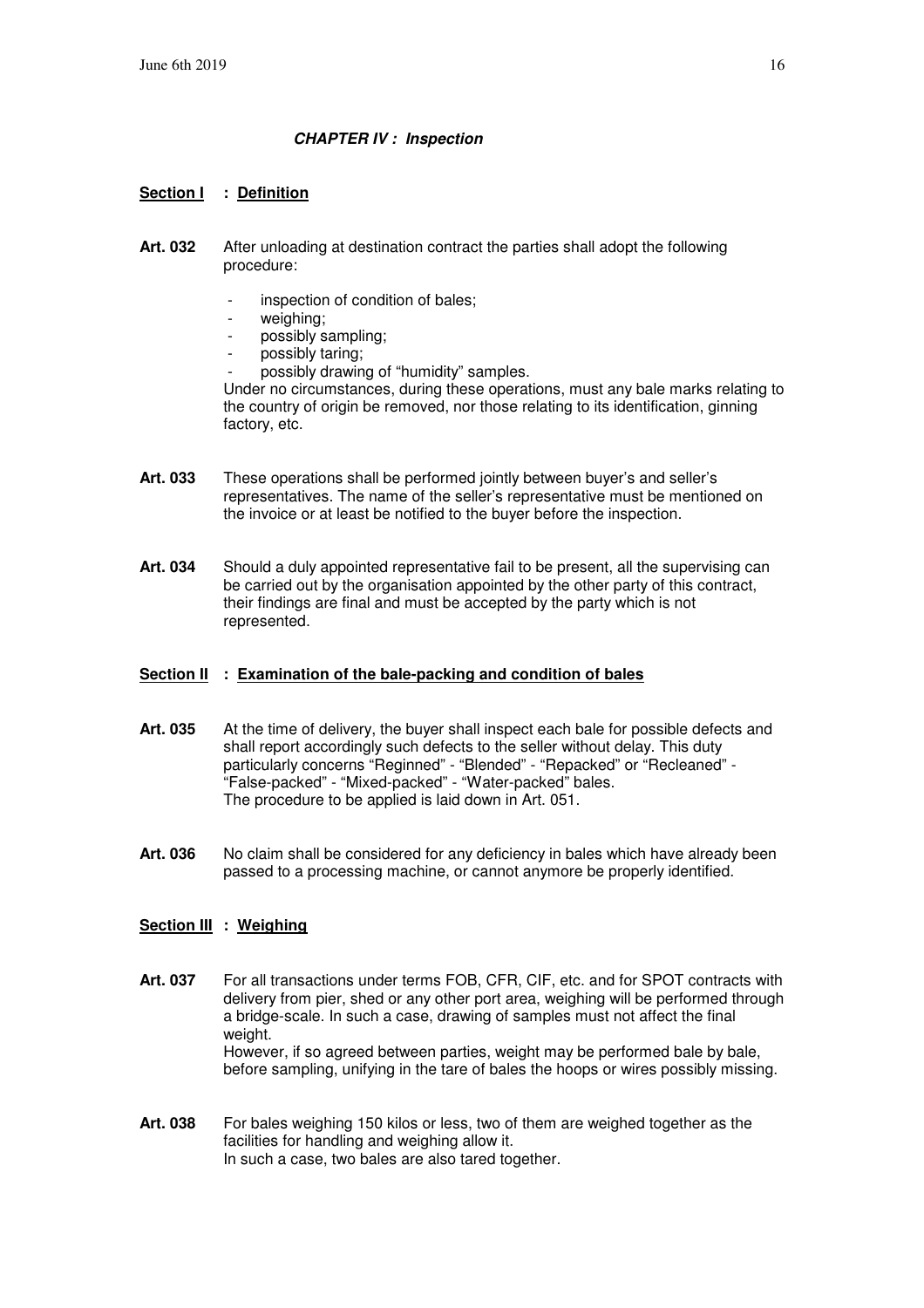#### **CHAPTER IV : Inspection**

#### **Section I : Definition**

- **Art. 032** After unloading at destination contract the parties shall adopt the following procedure:
	- inspection of condition of bales;
	- weighing:
	- possibly sampling;
	- possibly taring;
	- possibly drawing of "humidity" samples.

Under no circumstances, during these operations, must any bale marks relating to the country of origin be removed, nor those relating to its identification, ginning factory, etc.

- **Art. 033** These operations shall be performed jointly between buyer's and seller's representatives. The name of the seller's representative must be mentioned on the invoice or at least be notified to the buyer before the inspection.
- **Art. 034** Should a duly appointed representative fail to be present, all the supervising can be carried out by the organisation appointed by the other party of this contract, their findings are final and must be accepted by the party which is not represented.

#### **Section II : Examination of the bale-packing and condition of bales**

- **Art. 035** At the time of delivery, the buyer shall inspect each bale for possible defects and shall report accordingly such defects to the seller without delay. This duty particularly concerns "Reginned" - "Blended" - "Repacked" or "Recleaned" - "False-packed" - "Mixed-packed" - "Water-packed" bales. The procedure to be applied is laid down in Art. 051.
- **Art. 036** No claim shall be considered for any deficiency in bales which have already been passed to a processing machine, or cannot anymore be properly identified.

#### **Section III : Weighing**

- **Art. 037** For all transactions under terms FOB, CFR, CIF, etc. and for SPOT contracts with delivery from pier, shed or any other port area, weighing will be performed through a bridge-scale. In such a case, drawing of samples must not affect the final weight. However, if so agreed between parties, weight may be performed bale by bale, before sampling, unifying in the tare of bales the hoops or wires possibly missing.
- **Art. 038** For bales weighing 150 kilos or less, two of them are weighed together as the facilities for handling and weighing allow it. In such a case, two bales are also tared together.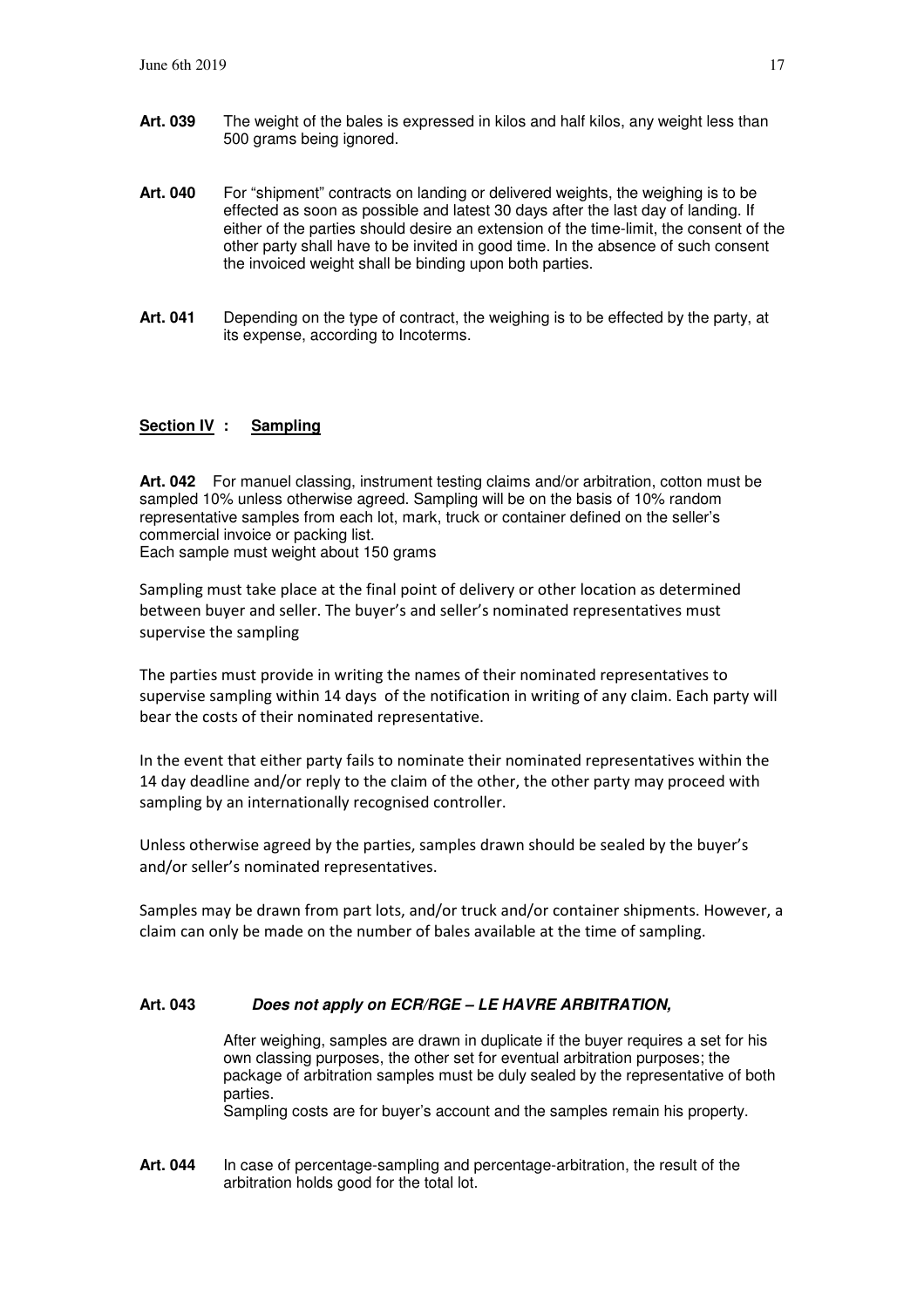- **Art. 039** The weight of the bales is expressed in kilos and half kilos, any weight less than 500 grams being ignored.
- **Art. 040** For "shipment" contracts on landing or delivered weights, the weighing is to be effected as soon as possible and latest 30 days after the last day of landing. If either of the parties should desire an extension of the time-limit, the consent of the other party shall have to be invited in good time. In the absence of such consent the invoiced weight shall be binding upon both parties.
- **Art. 041** Depending on the type of contract, the weighing is to be effected by the party, at its expense, according to Incoterms.

#### **Section IV : Sampling**

**Art. 042** For manuel classing, instrument testing claims and/or arbitration, cotton must be sampled 10% unless otherwise agreed. Sampling will be on the basis of 10% random representative samples from each lot, mark, truck or container defined on the seller's commercial invoice or packing list.

Each sample must weight about 150 grams

Sampling must take place at the final point of delivery or other location as determined between buyer and seller. The buyer's and seller's nominated representatives must supervise the sampling

The parties must provide in writing the names of their nominated representatives to supervise sampling within 14 days of the notification in writing of any claim. Each party will bear the costs of their nominated representative.

In the event that either party fails to nominate their nominated representatives within the 14 day deadline and/or reply to the claim of the other, the other party may proceed with sampling by an internationally recognised controller.

Unless otherwise agreed by the parties, samples drawn should be sealed by the buyer's and/or seller's nominated representatives.

Samples may be drawn from part lots, and/or truck and/or container shipments. However, a claim can only be made on the number of bales available at the time of sampling.

#### **Art. 043 Does not apply on ECR/RGE – LE HAVRE ARBITRATION,**

After weighing, samples are drawn in duplicate if the buyer requires a set for his own classing purposes, the other set for eventual arbitration purposes; the package of arbitration samples must be duly sealed by the representative of both parties.

Sampling costs are for buyer's account and the samples remain his property.

**Art. 044** In case of percentage-sampling and percentage-arbitration, the result of the arbitration holds good for the total lot.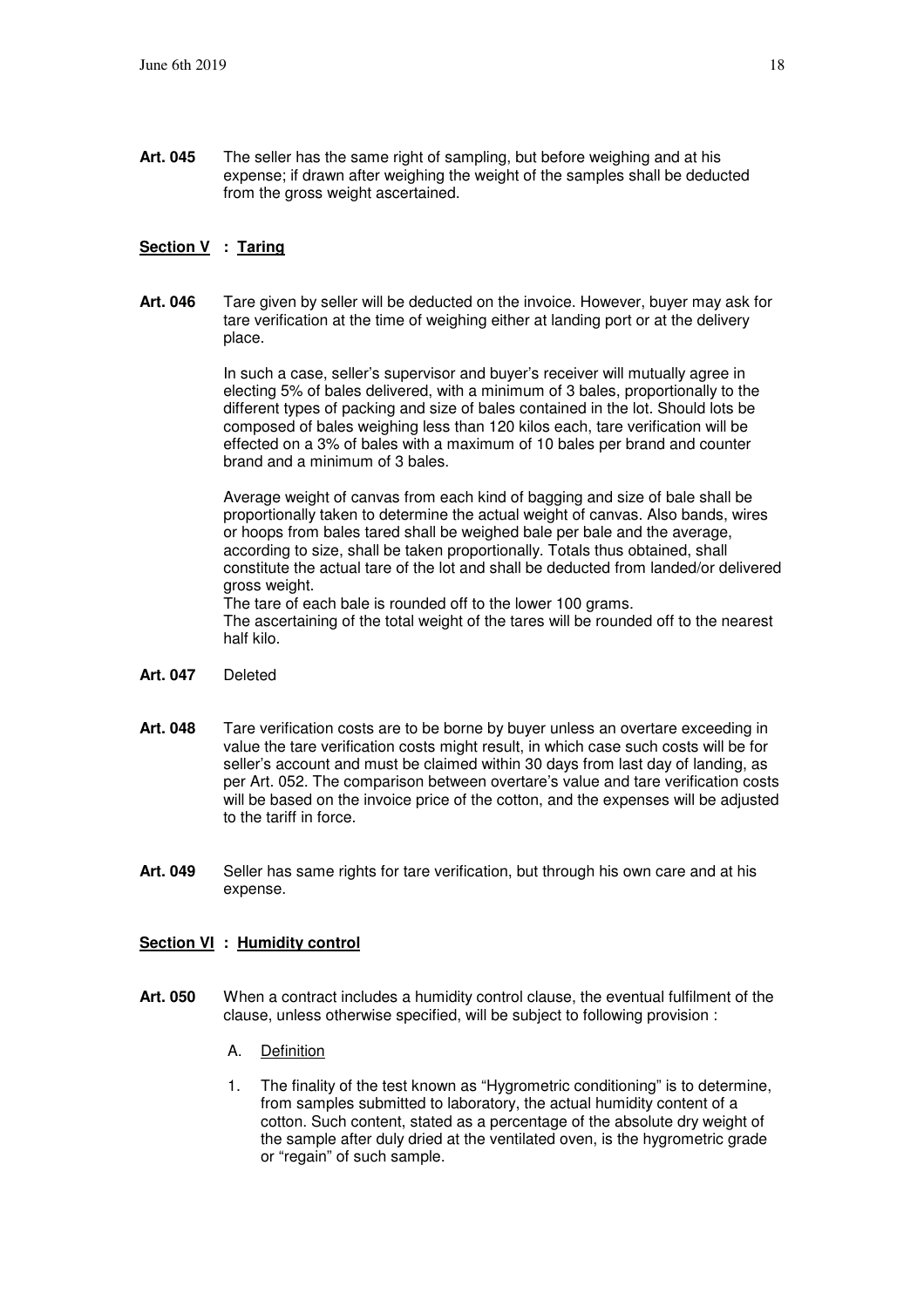**Art. 045** The seller has the same right of sampling, but before weighing and at his expense; if drawn after weighing the weight of the samples shall be deducted from the gross weight ascertained.

#### **Section V : Taring**

**Art. 046** Tare given by seller will be deducted on the invoice. However, buyer may ask for tare verification at the time of weighing either at landing port or at the delivery place.

> In such a case, seller's supervisor and buyer's receiver will mutually agree in electing 5% of bales delivered, with a minimum of 3 bales, proportionally to the different types of packing and size of bales contained in the lot. Should lots be composed of bales weighing less than 120 kilos each, tare verification will be effected on a 3% of bales with a maximum of 10 bales per brand and counter brand and a minimum of 3 bales.

 Average weight of canvas from each kind of bagging and size of bale shall be proportionally taken to determine the actual weight of canvas. Also bands, wires or hoops from bales tared shall be weighed bale per bale and the average, according to size, shall be taken proportionally. Totals thus obtained, shall constitute the actual tare of the lot and shall be deducted from landed/or delivered gross weight.

 The tare of each bale is rounded off to the lower 100 grams. The ascertaining of the total weight of the tares will be rounded off to the nearest half kilo.

- **Art. 047** Deleted
- **Art. 048** Tare verification costs are to be borne by buyer unless an overtare exceeding in value the tare verification costs might result, in which case such costs will be for seller's account and must be claimed within 30 days from last day of landing, as per Art. 052. The comparison between overtare's value and tare verification costs will be based on the invoice price of the cotton, and the expenses will be adjusted to the tariff in force.
- **Art. 049** Seller has same rights for tare verification, but through his own care and at his expense.

#### **Section VI : Humidity control**

- **Art. 050** When a contract includes a humidity control clause, the eventual fulfilment of the clause, unless otherwise specified, will be subject to following provision :
	- A. Definition
	- 1. The finality of the test known as "Hygrometric conditioning" is to determine, from samples submitted to laboratory, the actual humidity content of a cotton. Such content, stated as a percentage of the absolute dry weight of the sample after duly dried at the ventilated oven, is the hygrometric grade or "regain" of such sample.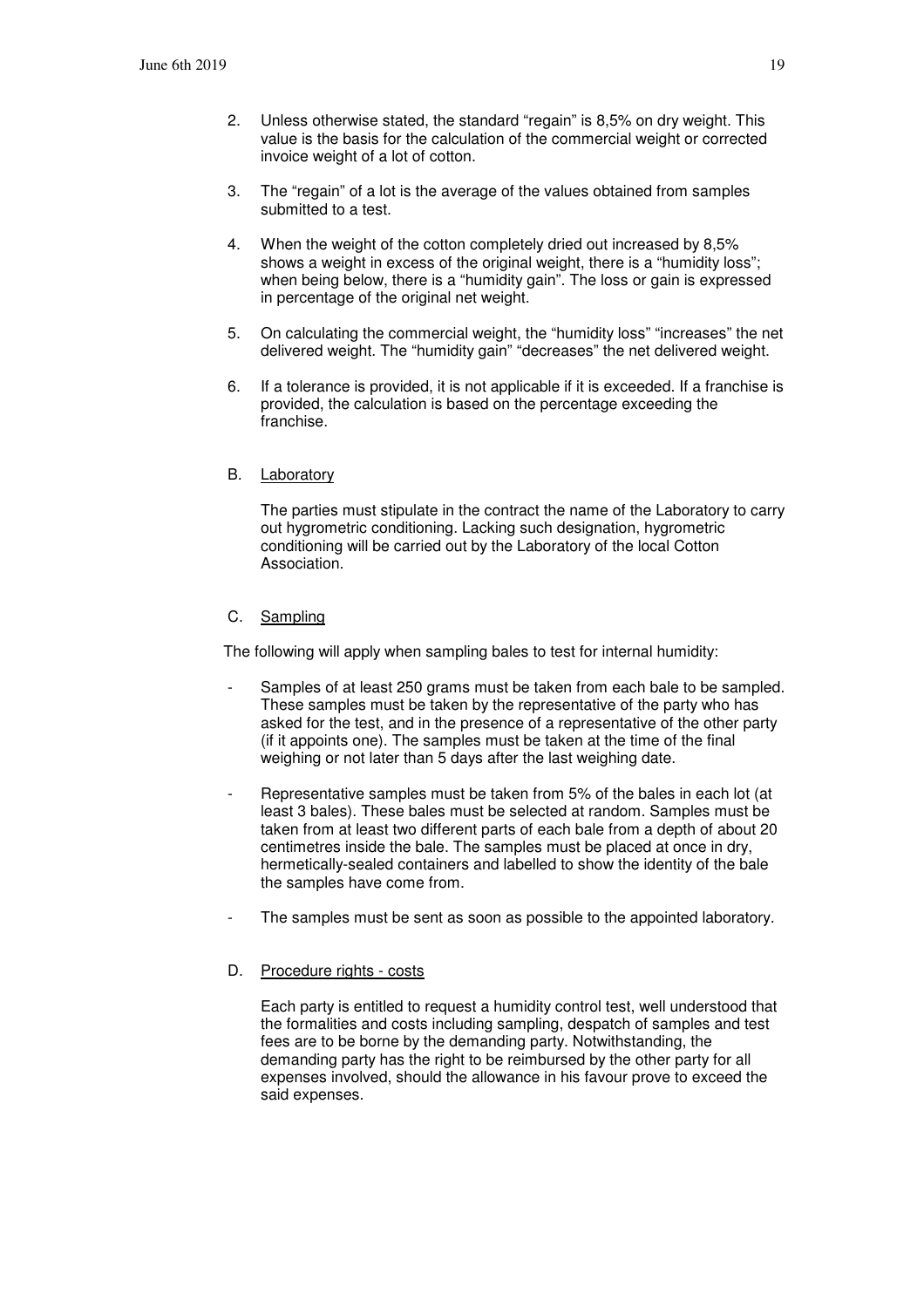- 2. Unless otherwise stated, the standard "regain" is 8,5% on dry weight. This value is the basis for the calculation of the commercial weight or corrected invoice weight of a lot of cotton.
- 3. The "regain" of a lot is the average of the values obtained from samples submitted to a test.
- 4. When the weight of the cotton completely dried out increased by 8,5% shows a weight in excess of the original weight, there is a "humidity loss"; when being below, there is a "humidity gain". The loss or gain is expressed in percentage of the original net weight.
- 5. On calculating the commercial weight, the "humidity loss" "increases" the net delivered weight. The "humidity gain" "decreases" the net delivered weight.
- 6. If a tolerance is provided, it is not applicable if it is exceeded. If a franchise is provided, the calculation is based on the percentage exceeding the franchise.
- B. Laboratory

 The parties must stipulate in the contract the name of the Laboratory to carry out hygrometric conditioning. Lacking such designation, hygrometric conditioning will be carried out by the Laboratory of the local Cotton Association.

#### C. Sampling

The following will apply when sampling bales to test for internal humidity:

- Samples of at least 250 grams must be taken from each bale to be sampled. These samples must be taken by the representative of the party who has asked for the test, and in the presence of a representative of the other party (if it appoints one). The samples must be taken at the time of the final weighing or not later than 5 days after the last weighing date.
- Representative samples must be taken from 5% of the bales in each lot (at least 3 bales). These bales must be selected at random. Samples must be taken from at least two different parts of each bale from a depth of about 20 centimetres inside the bale. The samples must be placed at once in dry, hermetically-sealed containers and labelled to show the identity of the bale the samples have come from.
- The samples must be sent as soon as possible to the appointed laboratory.

#### D. Procedure rights - costs

 Each party is entitled to request a humidity control test, well understood that the formalities and costs including sampling, despatch of samples and test fees are to be borne by the demanding party. Notwithstanding, the demanding party has the right to be reimbursed by the other party for all expenses involved, should the allowance in his favour prove to exceed the said expenses.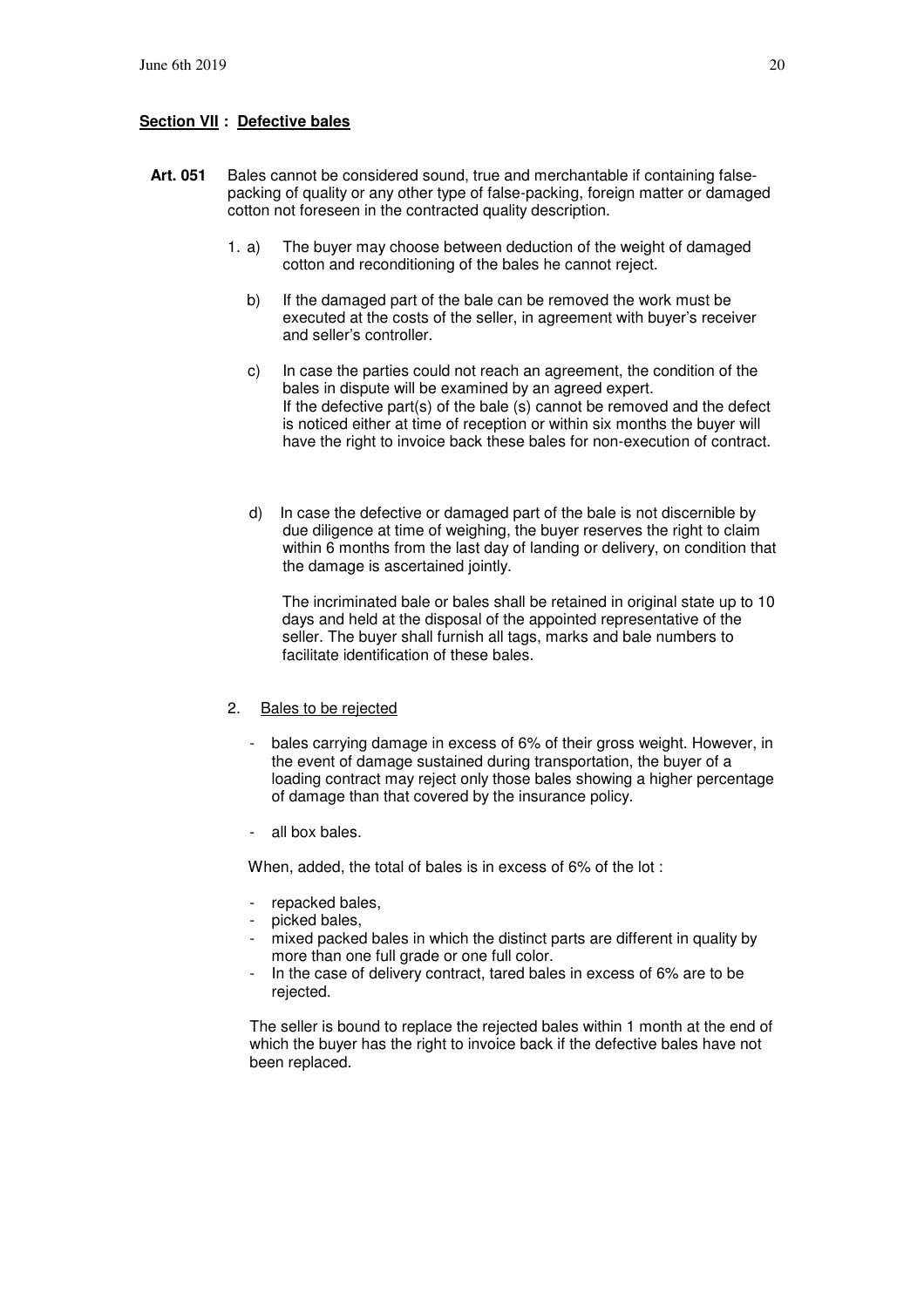#### **Section VII : Defective bales**

- **Art. 051** Bales cannot be considered sound, true and merchantable if containing falsepacking of quality or any other type of false-packing, foreign matter or damaged cotton not foreseen in the contracted quality description.
	- 1. a) The buyer may choose between deduction of the weight of damaged cotton and reconditioning of the bales he cannot reject.
		- b) If the damaged part of the bale can be removed the work must be executed at the costs of the seller, in agreement with buyer's receiver and seller's controller.
		- c) In case the parties could not reach an agreement, the condition of the bales in dispute will be examined by an agreed expert. If the defective part(s) of the bale (s) cannot be removed and the defect is noticed either at time of reception or within six months the buyer will have the right to invoice back these bales for non-execution of contract.
		- d) In case the defective or damaged part of the bale is not discernible by due diligence at time of weighing, the buyer reserves the right to claim within 6 months from the last day of landing or delivery, on condition that the damage is ascertained jointly.

The incriminated bale or bales shall be retained in original state up to 10 days and held at the disposal of the appointed representative of the seller. The buyer shall furnish all tags, marks and bale numbers to facilitate identification of these bales.

#### 2. Bales to be rejected

- bales carrying damage in excess of 6% of their gross weight. However, in the event of damage sustained during transportation, the buyer of a loading contract may reject only those bales showing a higher percentage of damage than that covered by the insurance policy.
- all box bales.

When, added, the total of bales is in excess of 6% of the lot :

- repacked bales,
- picked bales.
- mixed packed bales in which the distinct parts are different in quality by more than one full grade or one full color.
- In the case of delivery contract, tared bales in excess of 6% are to be rejected.

The seller is bound to replace the rejected bales within 1 month at the end of which the buyer has the right to invoice back if the defective bales have not been replaced.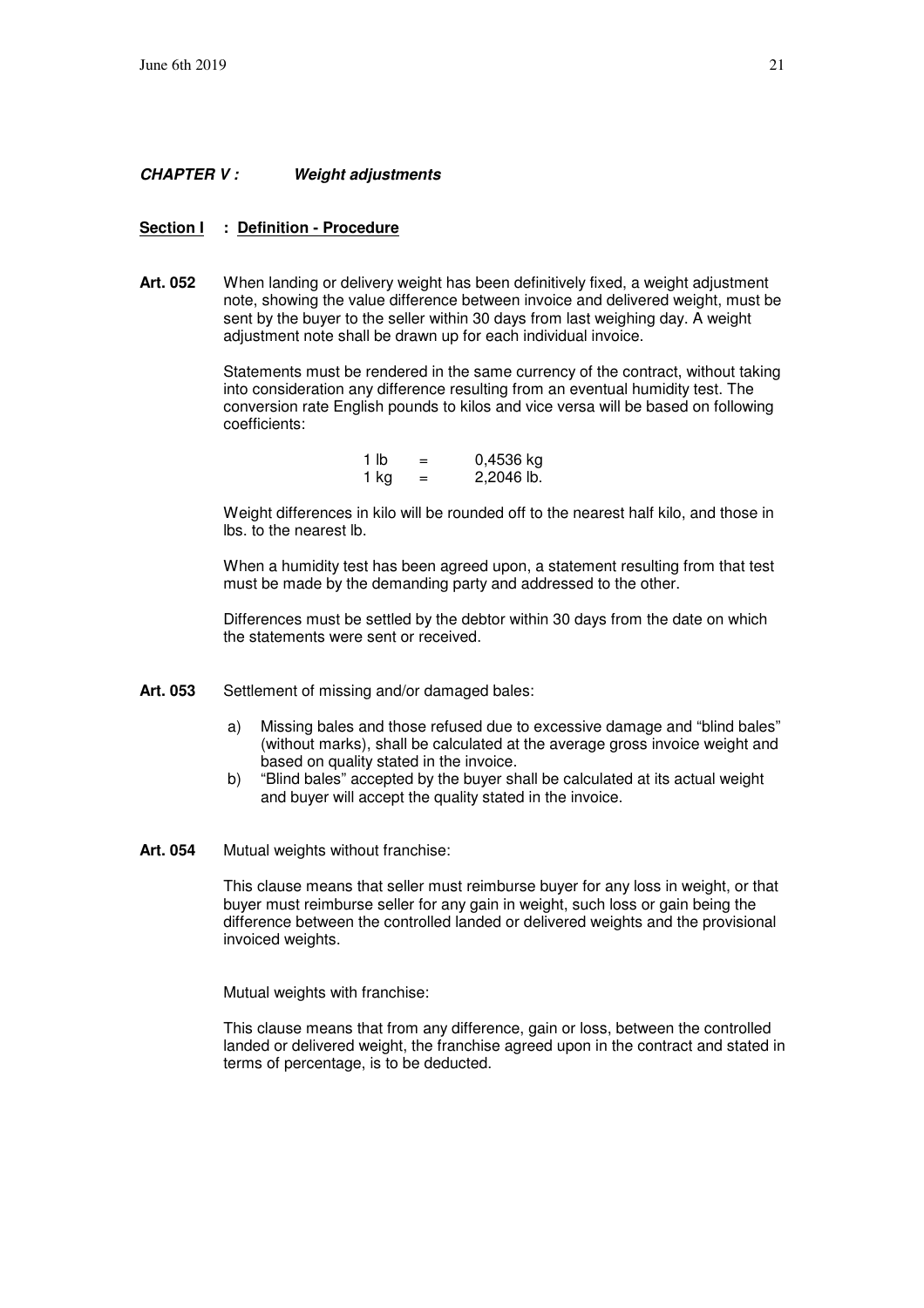#### **CHAPTER V : Weight adjustments**

#### **Section I : Definition - Procedure**

**Art. 052** When landing or delivery weight has been definitively fixed, a weight adjustment note, showing the value difference between invoice and delivered weight, must be sent by the buyer to the seller within 30 days from last weighing day. A weight adjustment note shall be drawn up for each individual invoice.

> Statements must be rendered in the same currency of the contract, without taking into consideration any difference resulting from an eventual humidity test. The conversion rate English pounds to kilos and vice versa will be based on following coefficients:

| 1 lb | $\overline{\phantom{0}}$ | 0,4536 kg  |
|------|--------------------------|------------|
| 1 ka |                          | 2,2046 lb. |

 Weight differences in kilo will be rounded off to the nearest half kilo, and those in lbs. to the nearest lb.

 When a humidity test has been agreed upon, a statement resulting from that test must be made by the demanding party and addressed to the other.

 Differences must be settled by the debtor within 30 days from the date on which the statements were sent or received.

- Art. 053 Settlement of missing and/or damaged bales:
	- a) Missing bales and those refused due to excessive damage and "blind bales" (without marks), shall be calculated at the average gross invoice weight and based on quality stated in the invoice.
	- b) "Blind bales" accepted by the buyer shall be calculated at its actual weight and buyer will accept the quality stated in the invoice.
- **Art. 054** Mutual weights without franchise:

 This clause means that seller must reimburse buyer for any loss in weight, or that buyer must reimburse seller for any gain in weight, such loss or gain being the difference between the controlled landed or delivered weights and the provisional invoiced weights.

Mutual weights with franchise:

 This clause means that from any difference, gain or loss, between the controlled landed or delivered weight, the franchise agreed upon in the contract and stated in terms of percentage, is to be deducted.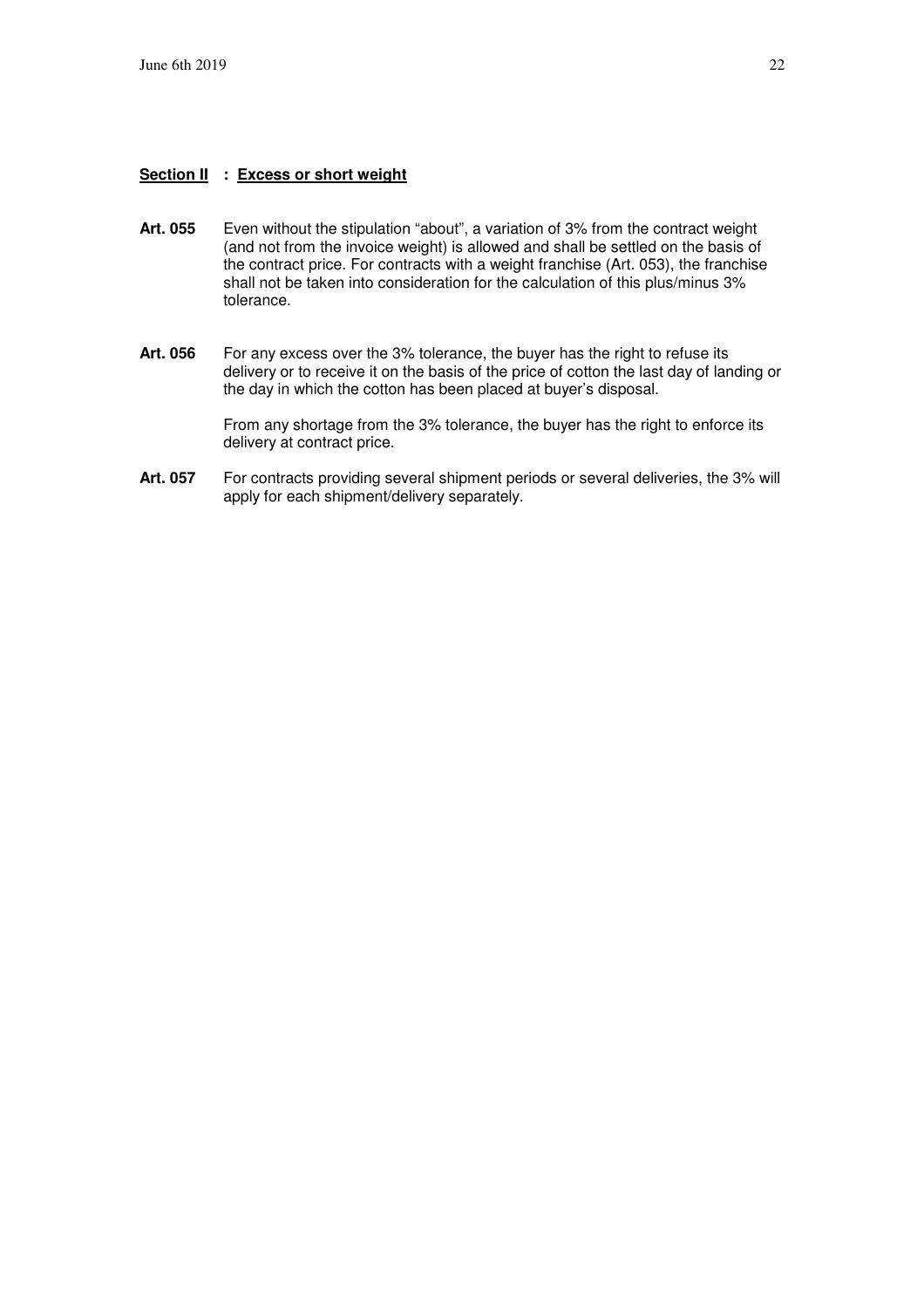#### **Section II : Excess or short weight**

- **Art. 055** Even without the stipulation "about", a variation of 3% from the contract weight (and not from the invoice weight) is allowed and shall be settled on the basis of the contract price. For contracts with a weight franchise (Art. 053), the franchise shall not be taken into consideration for the calculation of this plus/minus 3% tolerance.
- **Art. 056** For any excess over the 3% tolerance, the buyer has the right to refuse its delivery or to receive it on the basis of the price of cotton the last day of landing or the day in which the cotton has been placed at buyer's disposal.

 From any shortage from the 3% tolerance, the buyer has the right to enforce its delivery at contract price.

Art. 057 For contracts providing several shipment periods or several deliveries, the 3% will apply for each shipment/delivery separately.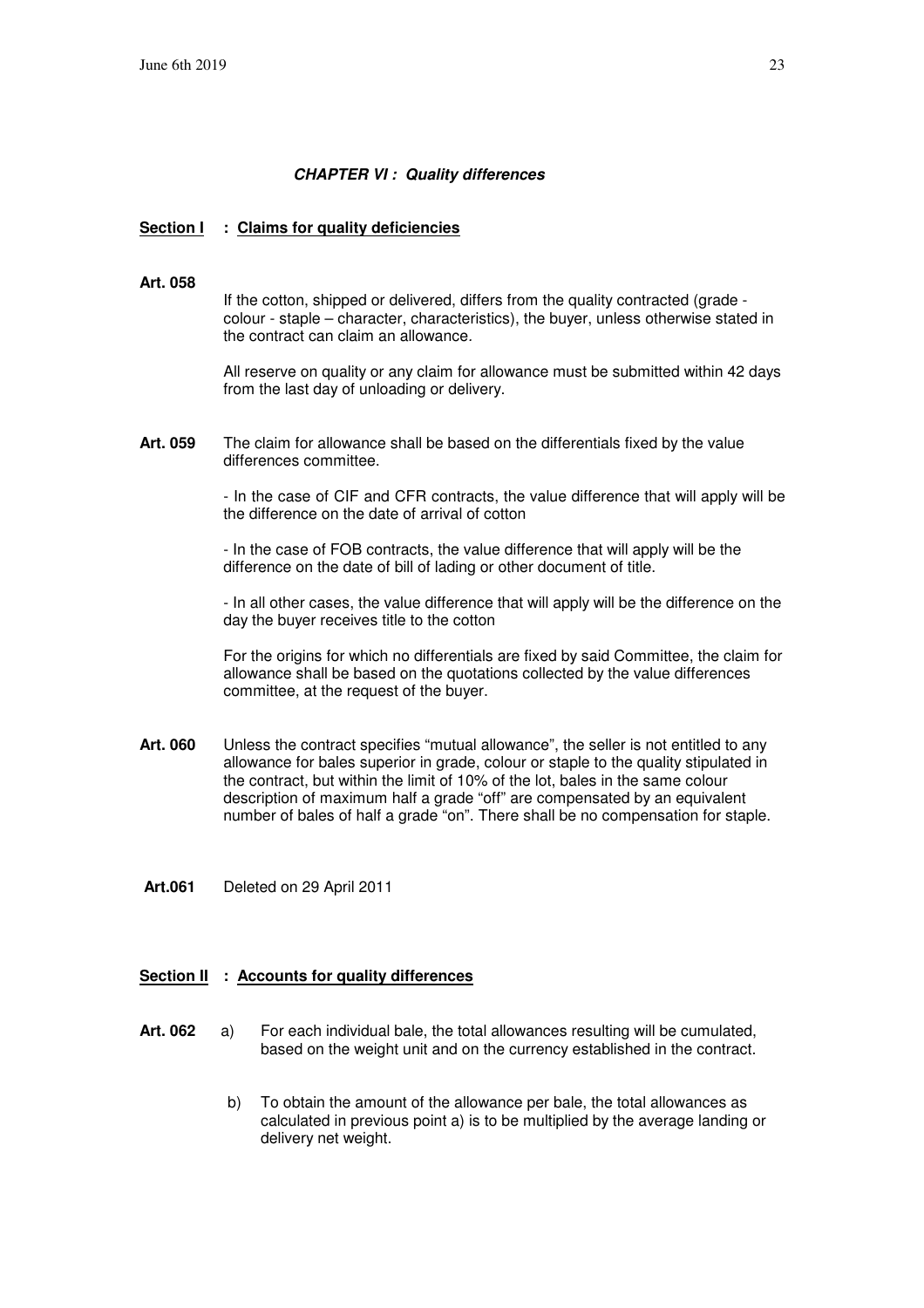#### **CHAPTER VI : Quality differences**

#### **Section I : Claims for quality deficiencies**

#### **Art. 058**

If the cotton, shipped or delivered, differs from the quality contracted (grade colour - staple – character, characteristics), the buyer, unless otherwise stated in the contract can claim an allowance.

 All reserve on quality or any claim for allowance must be submitted within 42 days from the last day of unloading or delivery.

**Art. 059** The claim for allowance shall be based on the differentials fixed by the value differences committee.

> - In the case of CIF and CFR contracts, the value difference that will apply will be the difference on the date of arrival of cotton

- In the case of FOB contracts, the value difference that will apply will be the difference on the date of bill of lading or other document of title.

- In all other cases, the value difference that will apply will be the difference on the day the buyer receives title to the cotton

For the origins for which no differentials are fixed by said Committee, the claim for allowance shall be based on the quotations collected by the value differences committee, at the request of the buyer.

- Art. 060 Unless the contract specifies "mutual allowance", the seller is not entitled to any allowance for bales superior in grade, colour or staple to the quality stipulated in the contract, but within the limit of 10% of the lot, bales in the same colour description of maximum half a grade "off" are compensated by an equivalent number of bales of half a grade "on". There shall be no compensation for staple.
- **Art.061** Deleted on 29 April 2011

#### **Section II : Accounts for quality differences**

- **Art. 062** a) For each individual bale, the total allowances resulting will be cumulated, based on the weight unit and on the currency established in the contract.
	- b) To obtain the amount of the allowance per bale, the total allowances as calculated in previous point a) is to be multiplied by the average landing or delivery net weight.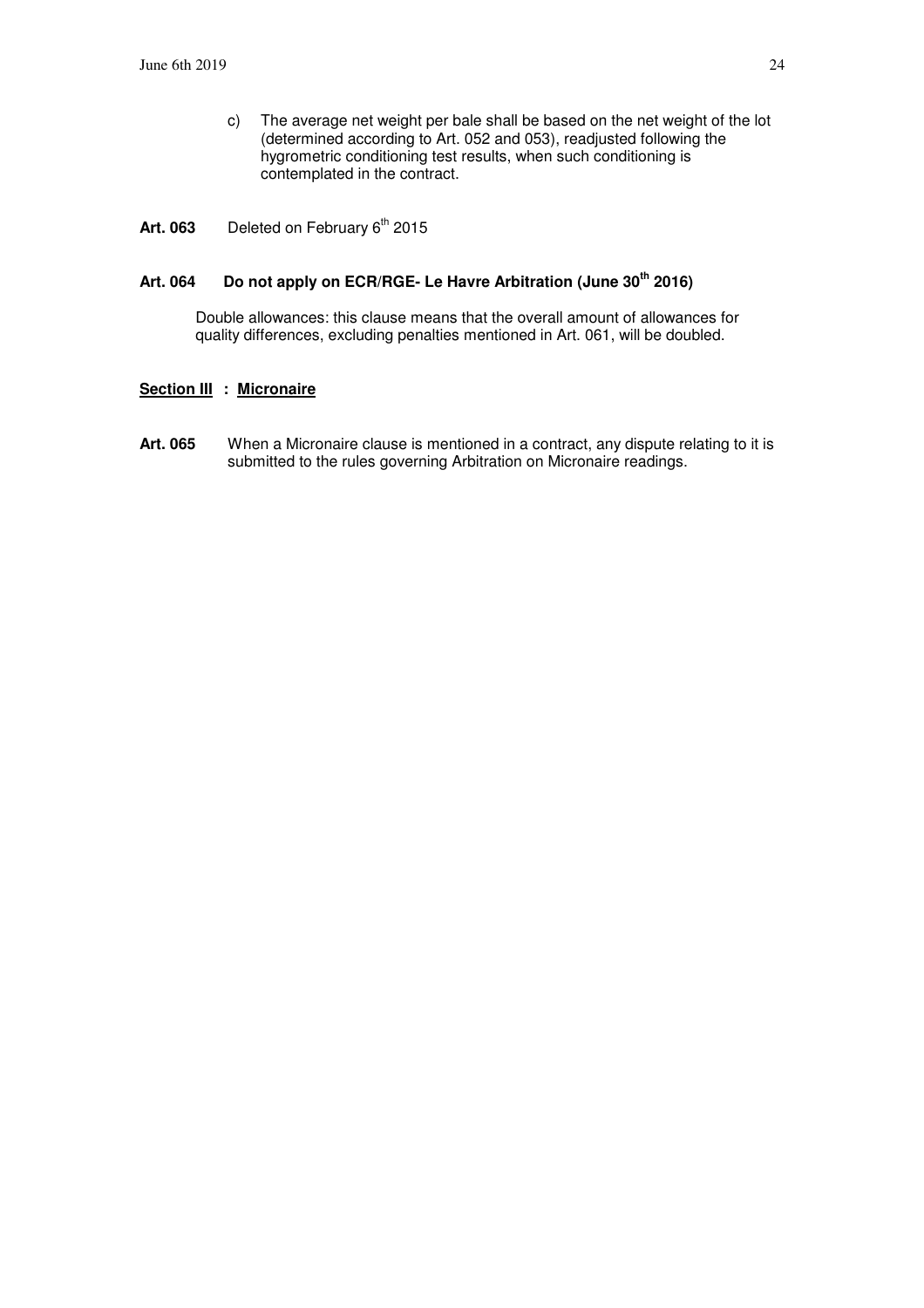- c) The average net weight per bale shall be based on the net weight of the lot (determined according to Art. 052 and 053), readjusted following the hygrometric conditioning test results, when such conditioning is contemplated in the contract.
- Art. 063 Deleted on February 6<sup>th</sup> 2015

#### **Art. 064 Do not apply on ECR/RGE- Le Havre Arbitration (June 30th 2016)**

Double allowances: this clause means that the overall amount of allowances for quality differences, excluding penalties mentioned in Art. 061, will be doubled.

#### **Section III : Micronaire**

Art. 065 When a Micronaire clause is mentioned in a contract, any dispute relating to it is submitted to the rules governing Arbitration on Micronaire readings.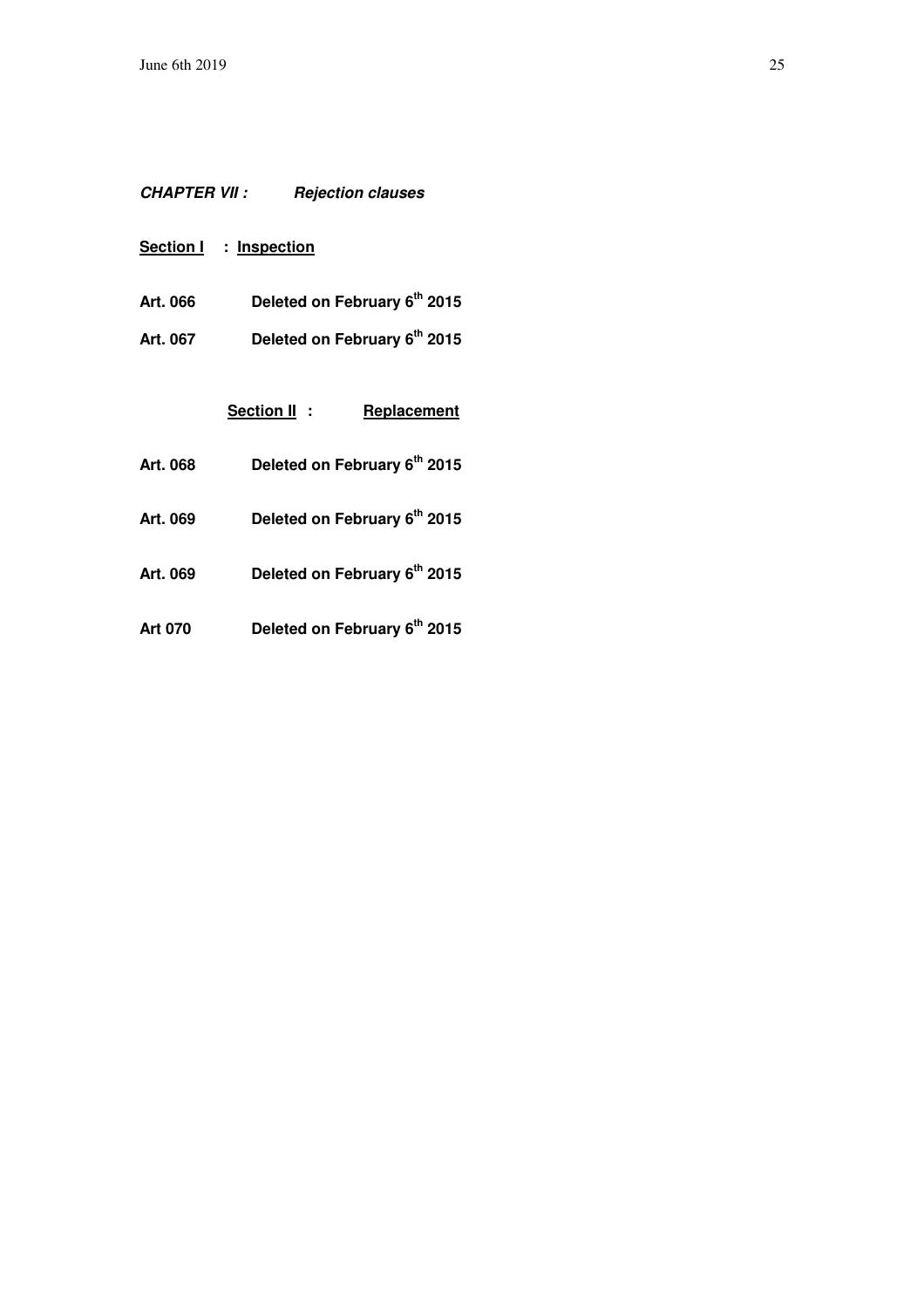- **CHAPTER VII : Rejection clauses**
- **Section I** : **Inspection**
- **Art. 066 Deleted on February 6th 2015**
- **Art. 067 Deleted on February 6th 2015**

|                | Section II: | Replacement                              |
|----------------|-------------|------------------------------------------|
| Art. 068       |             | Deleted on February 6th 2015             |
| Art. 069       |             | Deleted on February 6 <sup>th</sup> 2015 |
| Art. 069       |             | Deleted on February 6 <sup>th</sup> 2015 |
| <b>Art 070</b> |             | Deleted on February 6 <sup>th</sup> 2015 |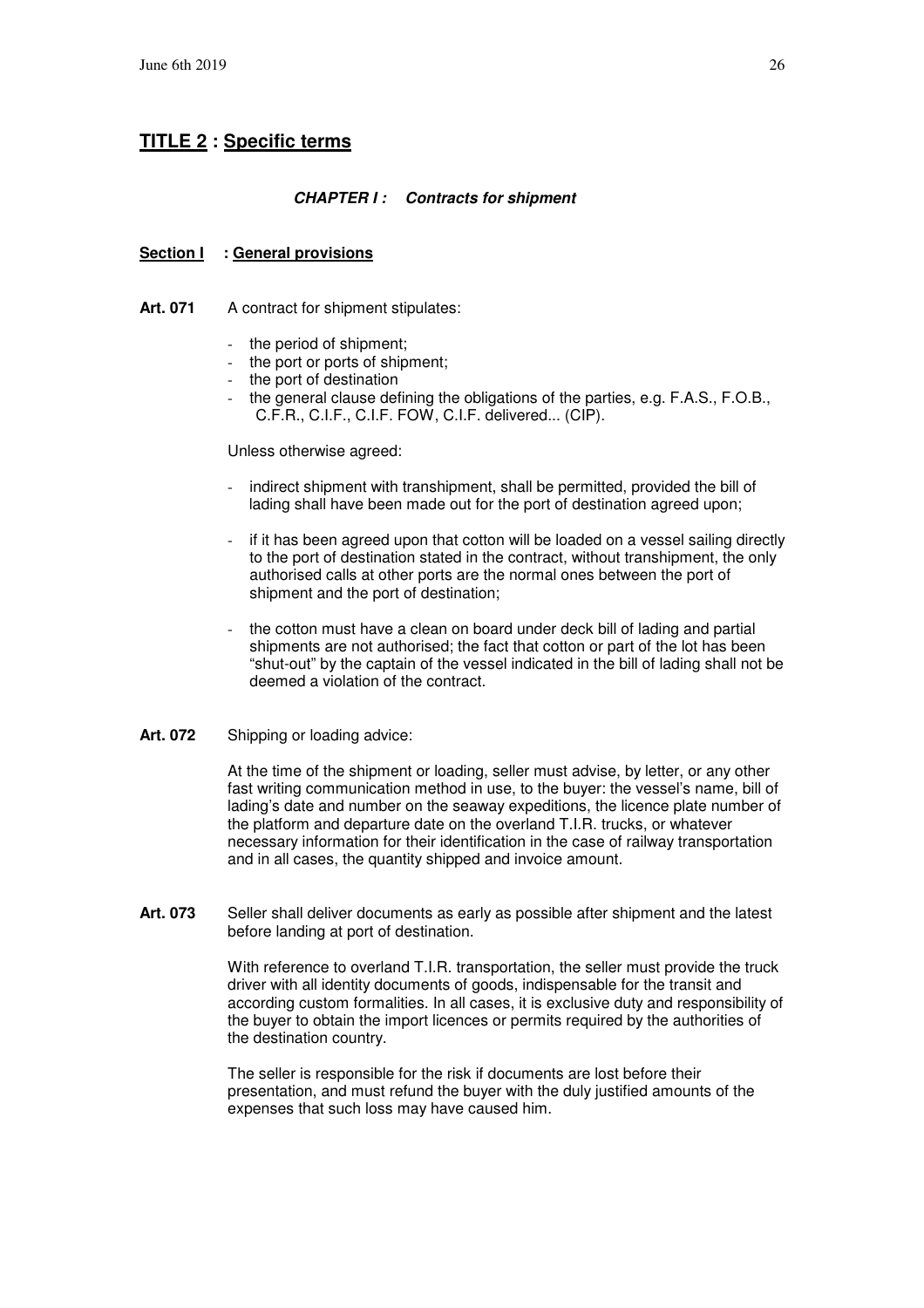# **TITLE 2 : Specific terms**

#### **CHAPTER I : Contracts for shipment**

#### **Section I : General provisions**

Art. 071 A contract for shipment stipulates:

- the period of shipment;
- the port or ports of shipment:
- the port of destination
- the general clause defining the obligations of the parties, e.g. F.A.S., F.O.B., C.F.R., C.I.F., C.I.F. FOW, C.I.F. delivered... (CIP).

#### Unless otherwise agreed:

- indirect shipment with transhipment, shall be permitted, provided the bill of lading shall have been made out for the port of destination agreed upon;
- if it has been agreed upon that cotton will be loaded on a vessel sailing directly to the port of destination stated in the contract, without transhipment, the only authorised calls at other ports are the normal ones between the port of shipment and the port of destination;
- the cotton must have a clean on board under deck bill of lading and partial shipments are not authorised; the fact that cotton or part of the lot has been "shut-out" by the captain of the vessel indicated in the bill of lading shall not be deemed a violation of the contract.
- **Art. 072** Shipping or loading advice:

 At the time of the shipment or loading, seller must advise, by letter, or any other fast writing communication method in use, to the buyer: the vessel's name, bill of lading's date and number on the seaway expeditions, the licence plate number of the platform and departure date on the overland T.I.R. trucks, or whatever necessary information for their identification in the case of railway transportation and in all cases, the quantity shipped and invoice amount.

Art. 073 Seller shall deliver documents as early as possible after shipment and the latest before landing at port of destination.

> With reference to overland T.I.R. transportation, the seller must provide the truck driver with all identity documents of goods, indispensable for the transit and according custom formalities. In all cases, it is exclusive duty and responsibility of the buyer to obtain the import licences or permits required by the authorities of the destination country.

 The seller is responsible for the risk if documents are lost before their presentation, and must refund the buyer with the duly justified amounts of the expenses that such loss may have caused him.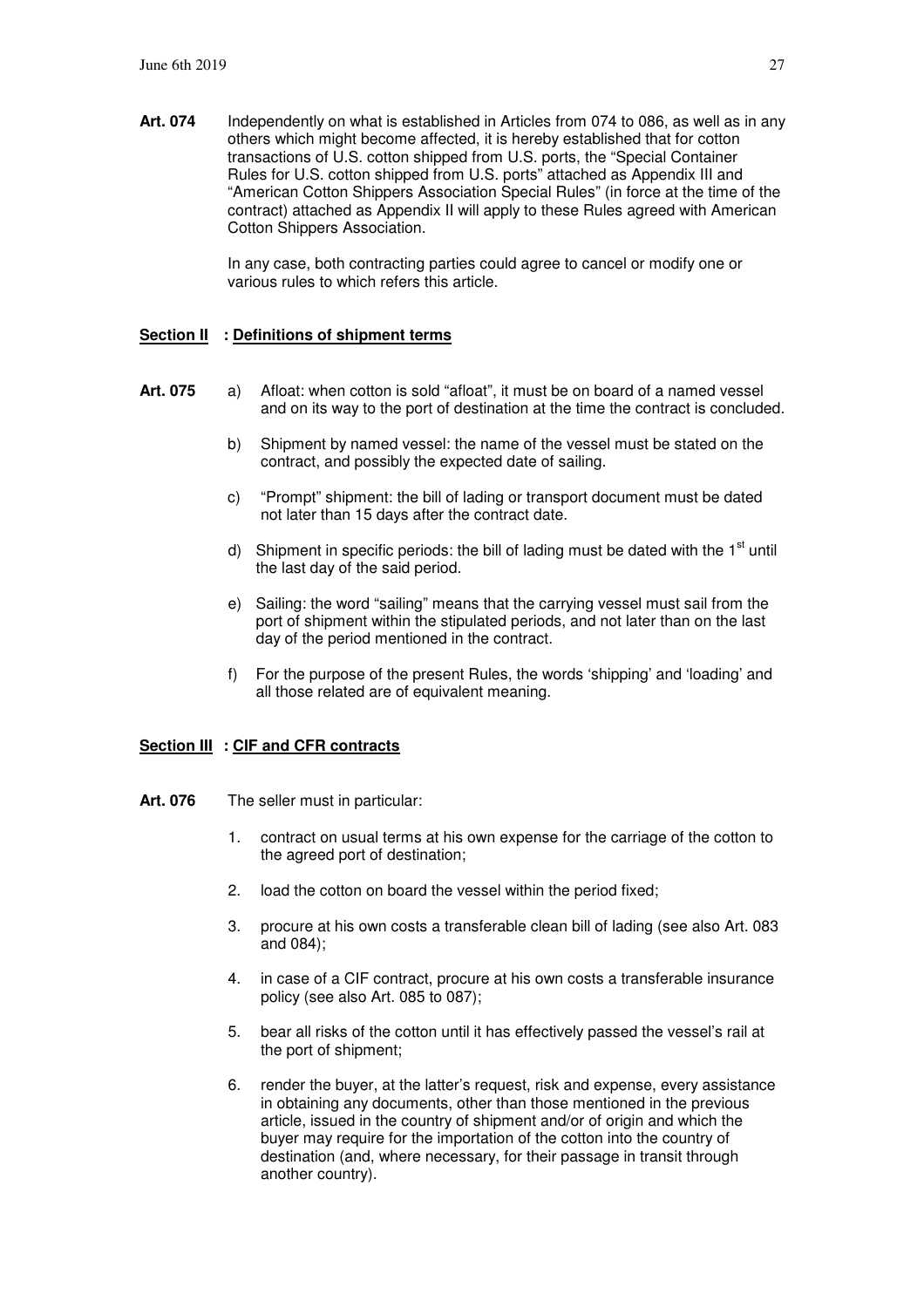**Art. 074** Independently on what is established in Articles from 074 to 086, as well as in any others which might become affected, it is hereby established that for cotton transactions of U.S. cotton shipped from U.S. ports, the "Special Container Rules for U.S. cotton shipped from U.S. ports" attached as Appendix III and "American Cotton Shippers Association Special Rules" (in force at the time of the contract) attached as Appendix II will apply to these Rules agreed with American Cotton Shippers Association.

> In any case, both contracting parties could agree to cancel or modify one or various rules to which refers this article.

#### **Section II : Definitions of shipment terms**

- **Art. 075** a) Afloat: when cotton is sold "afloat", it must be on board of a named vessel and on its way to the port of destination at the time the contract is concluded.
	- b) Shipment by named vessel: the name of the vessel must be stated on the contract, and possibly the expected date of sailing.
	- c) "Prompt" shipment: the bill of lading or transport document must be dated not later than 15 days after the contract date.
	- d) Shipment in specific periods: the bill of lading must be dated with the  $1<sup>st</sup>$  until the last day of the said period.
	- e) Sailing: the word "sailing" means that the carrying vessel must sail from the port of shipment within the stipulated periods, and not later than on the last day of the period mentioned in the contract.
	- f) For the purpose of the present Rules, the words 'shipping' and 'loading' and all those related are of equivalent meaning.

#### **Section III : CIF and CFR contracts**

- Art. 076 The seller must in particular:
	- 1. contract on usual terms at his own expense for the carriage of the cotton to the agreed port of destination;
	- 2. load the cotton on board the vessel within the period fixed;
	- 3. procure at his own costs a transferable clean bill of lading (see also Art. 083 and 084);
	- 4. in case of a CIF contract, procure at his own costs a transferable insurance policy (see also Art. 085 to 087);
	- 5. bear all risks of the cotton until it has effectively passed the vessel's rail at the port of shipment;
	- 6. render the buyer, at the latter's request, risk and expense, every assistance in obtaining any documents, other than those mentioned in the previous article, issued in the country of shipment and/or of origin and which the buyer may require for the importation of the cotton into the country of destination (and, where necessary, for their passage in transit through another country).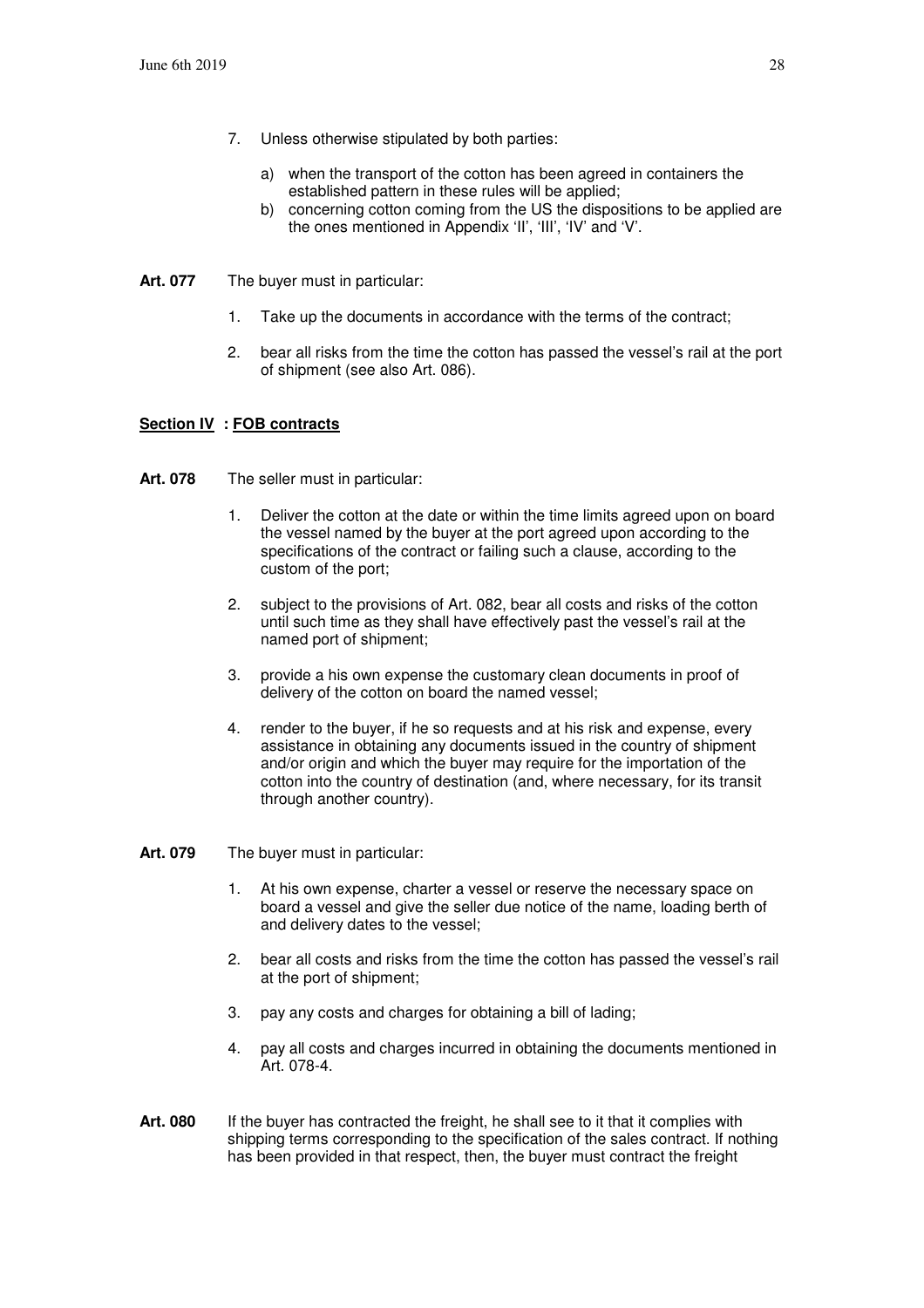- 7. Unless otherwise stipulated by both parties:
	- a) when the transport of the cotton has been agreed in containers the established pattern in these rules will be applied;
	- b) concerning cotton coming from the US the dispositions to be applied are the ones mentioned in Appendix 'II', 'III', 'IV' and 'V'.
- **Art. 077** The buyer must in particular:
	- 1. Take up the documents in accordance with the terms of the contract;
	- 2. bear all risks from the time the cotton has passed the vessel's rail at the port of shipment (see also Art. 086).

#### **Section IV : FOB contracts**

- **Art. 078** The seller must in particular:
	- 1. Deliver the cotton at the date or within the time limits agreed upon on board the vessel named by the buyer at the port agreed upon according to the specifications of the contract or failing such a clause, according to the custom of the port;
	- 2. subject to the provisions of Art. 082, bear all costs and risks of the cotton until such time as they shall have effectively past the vessel's rail at the named port of shipment;
	- 3. provide a his own expense the customary clean documents in proof of delivery of the cotton on board the named vessel;
	- 4. render to the buyer, if he so requests and at his risk and expense, every assistance in obtaining any documents issued in the country of shipment and/or origin and which the buyer may require for the importation of the cotton into the country of destination (and, where necessary, for its transit through another country).
- **Art. 079** The buyer must in particular:
	- 1. At his own expense, charter a vessel or reserve the necessary space on board a vessel and give the seller due notice of the name, loading berth of and delivery dates to the vessel;
	- 2. bear all costs and risks from the time the cotton has passed the vessel's rail at the port of shipment;
	- 3. pay any costs and charges for obtaining a bill of lading;
	- 4. pay all costs and charges incurred in obtaining the documents mentioned in Art. 078-4.
- Art. 080 If the buyer has contracted the freight, he shall see to it that it complies with shipping terms corresponding to the specification of the sales contract. If nothing has been provided in that respect, then, the buyer must contract the freight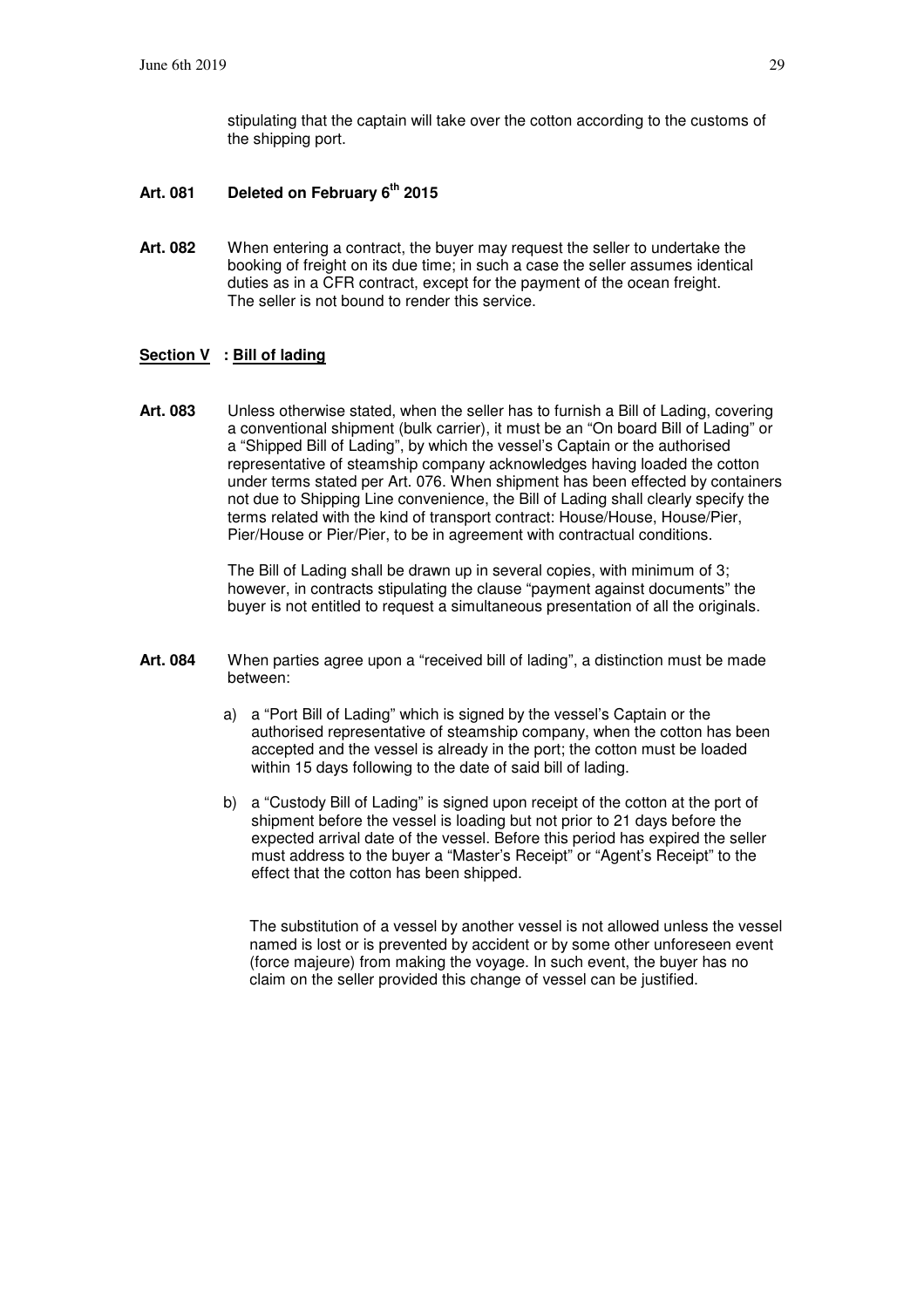stipulating that the captain will take over the cotton according to the customs of the shipping port.

- **Art. 081 Deleted on February 6th 2015**
- **Art. 082** When entering a contract, the buyer may request the seller to undertake the booking of freight on its due time; in such a case the seller assumes identical duties as in a CFR contract, except for the payment of the ocean freight. The seller is not bound to render this service.

#### **Section V : Bill of lading**

**Art. 083** Unless otherwise stated, when the seller has to furnish a Bill of Lading, covering a conventional shipment (bulk carrier), it must be an "On board Bill of Lading" or a "Shipped Bill of Lading", by which the vessel's Captain or the authorised representative of steamship company acknowledges having loaded the cotton under terms stated per Art. 076. When shipment has been effected by containers not due to Shipping Line convenience, the Bill of Lading shall clearly specify the terms related with the kind of transport contract: House/House, House/Pier, Pier/House or Pier/Pier, to be in agreement with contractual conditions.

> The Bill of Lading shall be drawn up in several copies, with minimum of 3; however, in contracts stipulating the clause "payment against documents" the buyer is not entitled to request a simultaneous presentation of all the originals.

- **Art. 084** When parties agree upon a "received bill of lading", a distinction must be made between:
	- a) a "Port Bill of Lading" which is signed by the vessel's Captain or the authorised representative of steamship company, when the cotton has been accepted and the vessel is already in the port; the cotton must be loaded within 15 days following to the date of said bill of lading.
	- b) a "Custody Bill of Lading" is signed upon receipt of the cotton at the port of shipment before the vessel is loading but not prior to 21 days before the expected arrival date of the vessel. Before this period has expired the seller must address to the buyer a "Master's Receipt" or "Agent's Receipt" to the effect that the cotton has been shipped.

The substitution of a vessel by another vessel is not allowed unless the vessel named is lost or is prevented by accident or by some other unforeseen event (force majeure) from making the voyage. In such event, the buyer has no claim on the seller provided this change of vessel can be justified.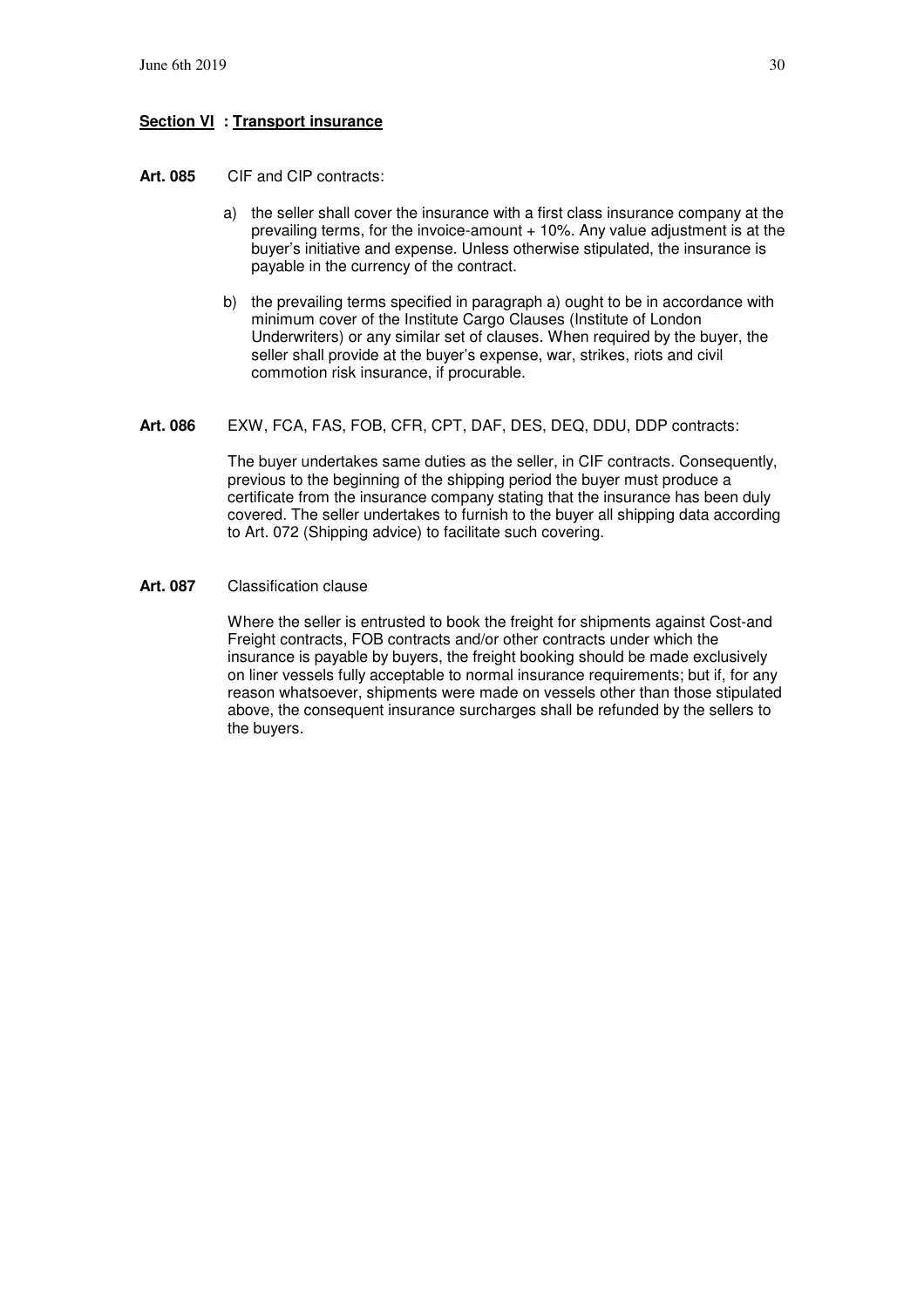#### **Section VI : Transport insurance**

- **Art. 085** CIF and CIP contracts:
	- a) the seller shall cover the insurance with a first class insurance company at the prevailing terms, for the invoice-amount  $+10\%$ . Any value adjustment is at the buyer's initiative and expense. Unless otherwise stipulated, the insurance is payable in the currency of the contract.
	- b) the prevailing terms specified in paragraph a) ought to be in accordance with minimum cover of the Institute Cargo Clauses (Institute of London Underwriters) or any similar set of clauses. When required by the buyer, the seller shall provide at the buyer's expense, war, strikes, riots and civil commotion risk insurance, if procurable.
- **Art. 086** EXW, FCA, FAS, FOB, CFR, CPT, DAF, DES, DEQ, DDU, DDP contracts:

The buyer undertakes same duties as the seller, in CIF contracts. Consequently, previous to the beginning of the shipping period the buyer must produce a certificate from the insurance company stating that the insurance has been duly covered. The seller undertakes to furnish to the buyer all shipping data according to Art. 072 (Shipping advice) to facilitate such covering.

**Art. 087** Classification clause

Where the seller is entrusted to book the freight for shipments against Cost-and Freight contracts, FOB contracts and/or other contracts under which the insurance is payable by buyers, the freight booking should be made exclusively on liner vessels fully acceptable to normal insurance requirements; but if, for any reason whatsoever, shipments were made on vessels other than those stipulated above, the consequent insurance surcharges shall be refunded by the sellers to the buyers.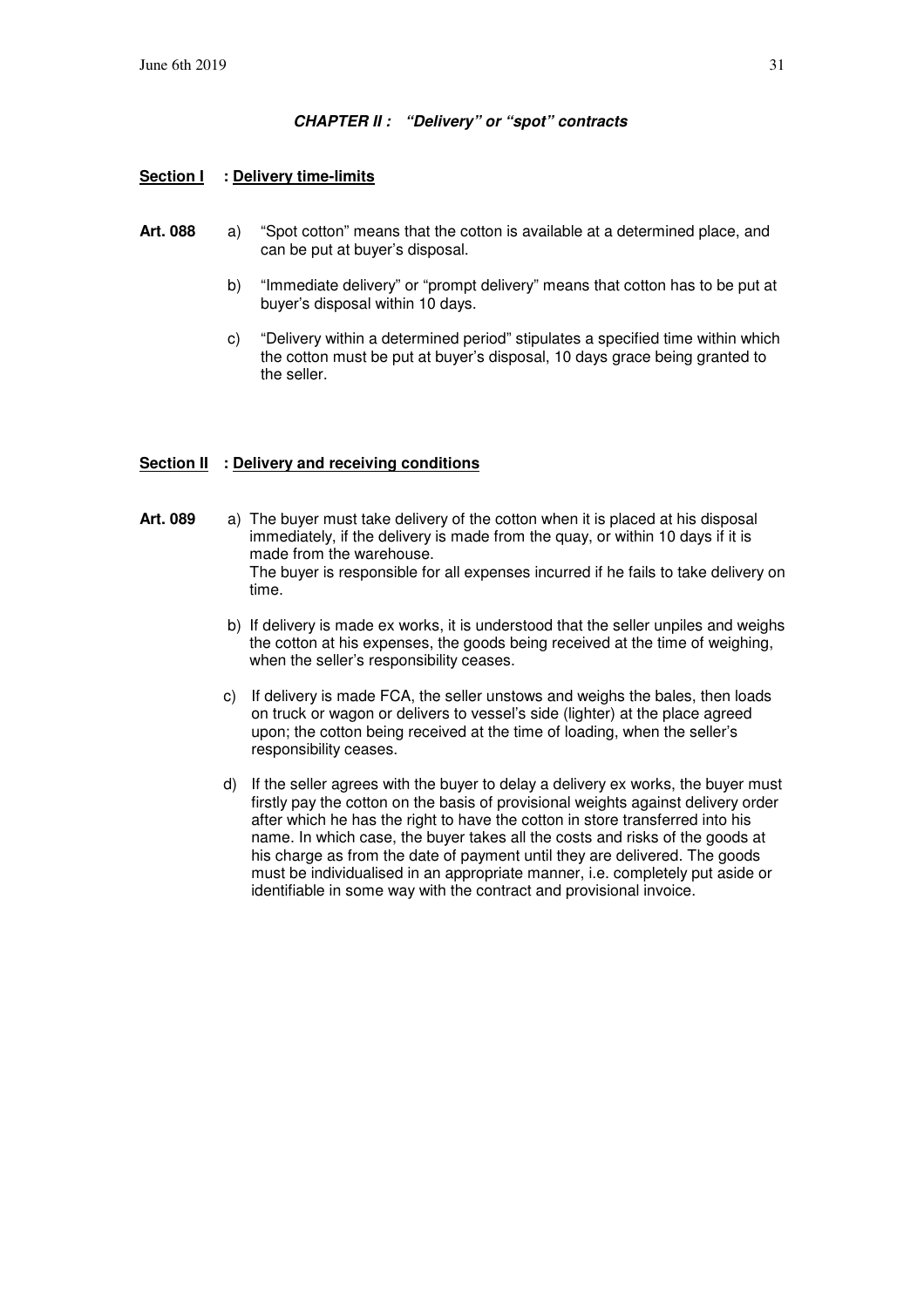#### **CHAPTER II : "Delivery" or "spot" contracts**

#### **Section I : Delivery time-limits**

- **Art. 088** a) "Spot cotton" means that the cotton is available at a determined place, and can be put at buyer's disposal.
	- b) "Immediate delivery" or "prompt delivery" means that cotton has to be put at buyer's disposal within 10 days.
	- c) "Delivery within a determined period" stipulates a specified time within which the cotton must be put at buyer's disposal, 10 days grace being granted to the seller.

#### **Section II : Delivery and receiving conditions**

- **Art. 089** a) The buyer must take delivery of the cotton when it is placed at his disposal immediately, if the delivery is made from the quay, or within 10 days if it is made from the warehouse. The buyer is responsible for all expenses incurred if he fails to take delivery on time.
	- b) If delivery is made ex works, it is understood that the seller unpiles and weighs the cotton at his expenses, the goods being received at the time of weighing, when the seller's responsibility ceases.
	- c) If delivery is made FCA, the seller unstows and weighs the bales, then loads on truck or wagon or delivers to vessel's side (lighter) at the place agreed upon; the cotton being received at the time of loading, when the seller's responsibility ceases.
	- d) If the seller agrees with the buyer to delay a delivery ex works, the buyer must firstly pay the cotton on the basis of provisional weights against delivery order after which he has the right to have the cotton in store transferred into his name. In which case, the buyer takes all the costs and risks of the goods at his charge as from the date of payment until they are delivered. The goods must be individualised in an appropriate manner, i.e. completely put aside or identifiable in some way with the contract and provisional invoice.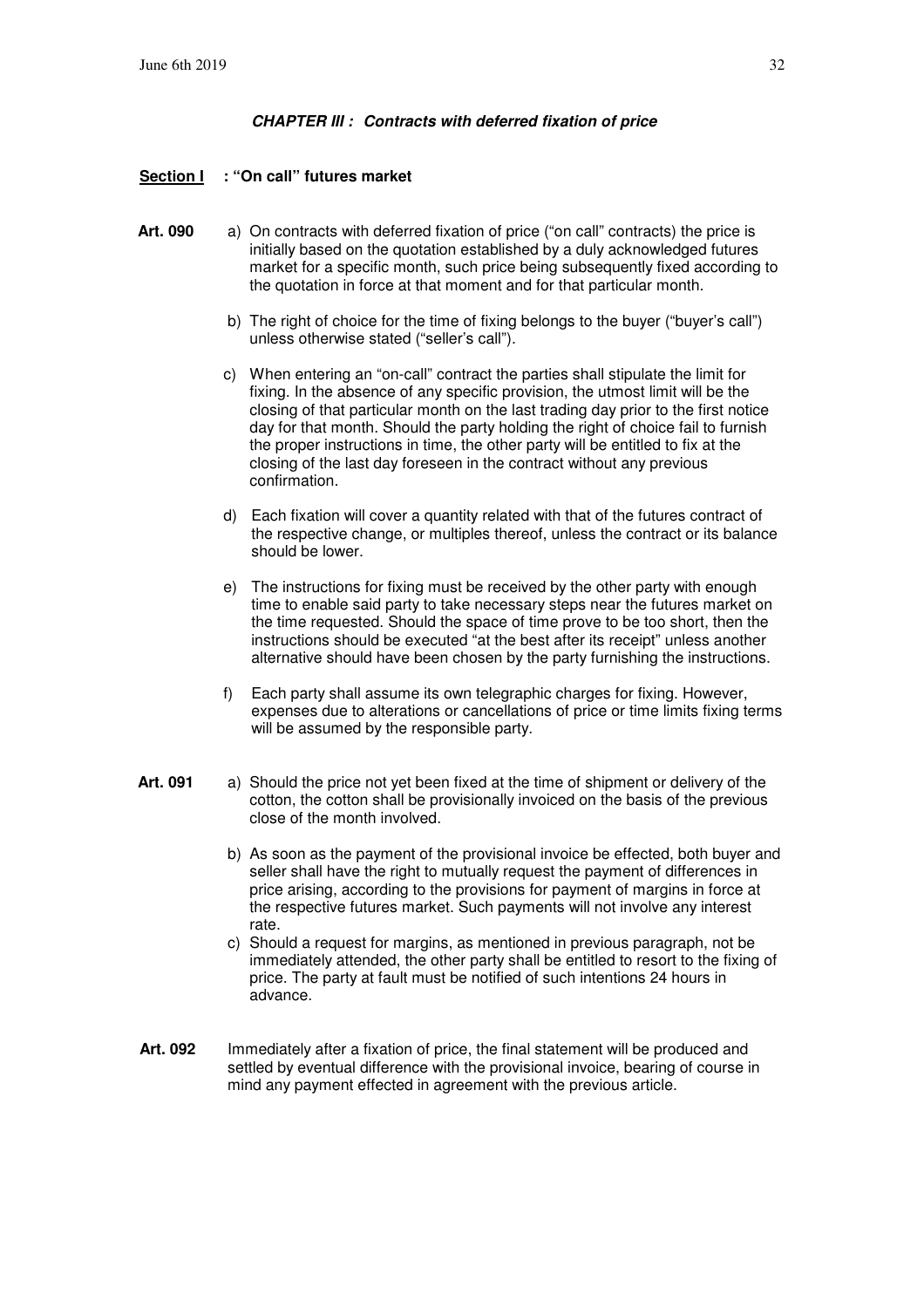#### **CHAPTER III : Contracts with deferred fixation of price**

#### **Section I : "On call" futures market**

- Art. 090 a) On contracts with deferred fixation of price ("on call" contracts) the price is initially based on the quotation established by a duly acknowledged futures market for a specific month, such price being subsequently fixed according to the quotation in force at that moment and for that particular month.
	- b) The right of choice for the time of fixing belongs to the buyer ("buyer's call") unless otherwise stated ("seller's call").
	- c) When entering an "on-call" contract the parties shall stipulate the limit for fixing. In the absence of any specific provision, the utmost limit will be the closing of that particular month on the last trading day prior to the first notice day for that month. Should the party holding the right of choice fail to furnish the proper instructions in time, the other party will be entitled to fix at the closing of the last day foreseen in the contract without any previous confirmation.
	- d) Each fixation will cover a quantity related with that of the futures contract of the respective change, or multiples thereof, unless the contract or its balance should be lower.
	- e) The instructions for fixing must be received by the other party with enough time to enable said party to take necessary steps near the futures market on the time requested. Should the space of time prove to be too short, then the instructions should be executed "at the best after its receipt" unless another alternative should have been chosen by the party furnishing the instructions.
	- f) Each party shall assume its own telegraphic charges for fixing. However, expenses due to alterations or cancellations of price or time limits fixing terms will be assumed by the responsible party.
- **Art. 091** a) Should the price not yet been fixed at the time of shipment or delivery of the cotton, the cotton shall be provisionally invoiced on the basis of the previous close of the month involved.
	- b) As soon as the payment of the provisional invoice be effected, both buyer and seller shall have the right to mutually request the payment of differences in price arising, according to the provisions for payment of margins in force at the respective futures market. Such payments will not involve any interest rate.
	- c) Should a request for margins, as mentioned in previous paragraph, not be immediately attended, the other party shall be entitled to resort to the fixing of price. The party at fault must be notified of such intentions 24 hours in advance.
- **Art. 092** Immediately after a fixation of price, the final statement will be produced and settled by eventual difference with the provisional invoice, bearing of course in mind any payment effected in agreement with the previous article.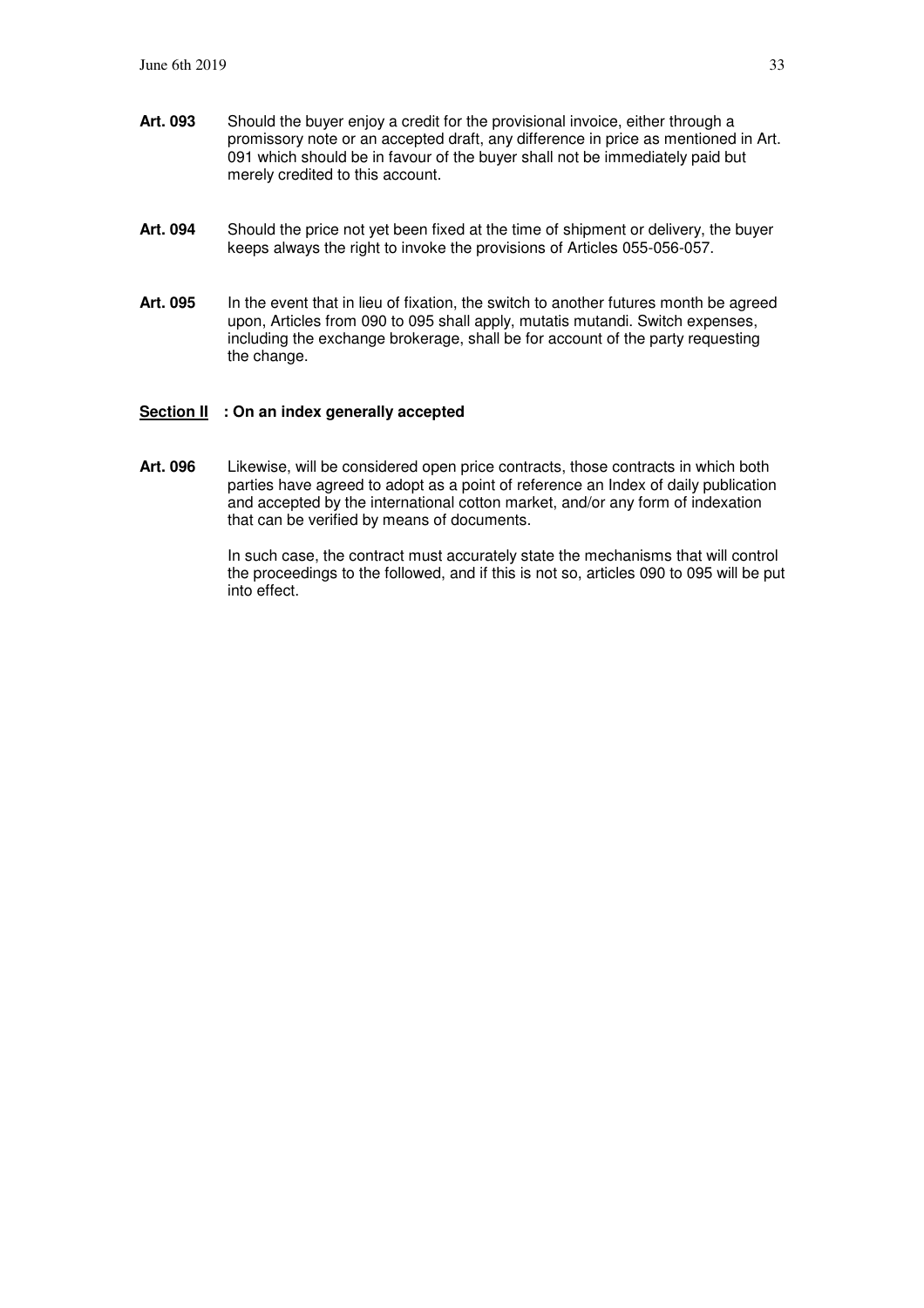- **Art. 093** Should the buyer enjoy a credit for the provisional invoice, either through a promissory note or an accepted draft, any difference in price as mentioned in Art. 091 which should be in favour of the buyer shall not be immediately paid but merely credited to this account.
- Art. 094 Should the price not yet been fixed at the time of shipment or delivery, the buyer keeps always the right to invoke the provisions of Articles 055-056-057.
- Art. 095 In the event that in lieu of fixation, the switch to another futures month be agreed upon, Articles from 090 to 095 shall apply, mutatis mutandi. Switch expenses, including the exchange brokerage, shall be for account of the party requesting the change.

#### **Section II : On an index generally accepted**

**Art. 096** Likewise, will be considered open price contracts, those contracts in which both parties have agreed to adopt as a point of reference an Index of daily publication and accepted by the international cotton market, and/or any form of indexation that can be verified by means of documents.

> In such case, the contract must accurately state the mechanisms that will control the proceedings to the followed, and if this is not so, articles 090 to 095 will be put into effect.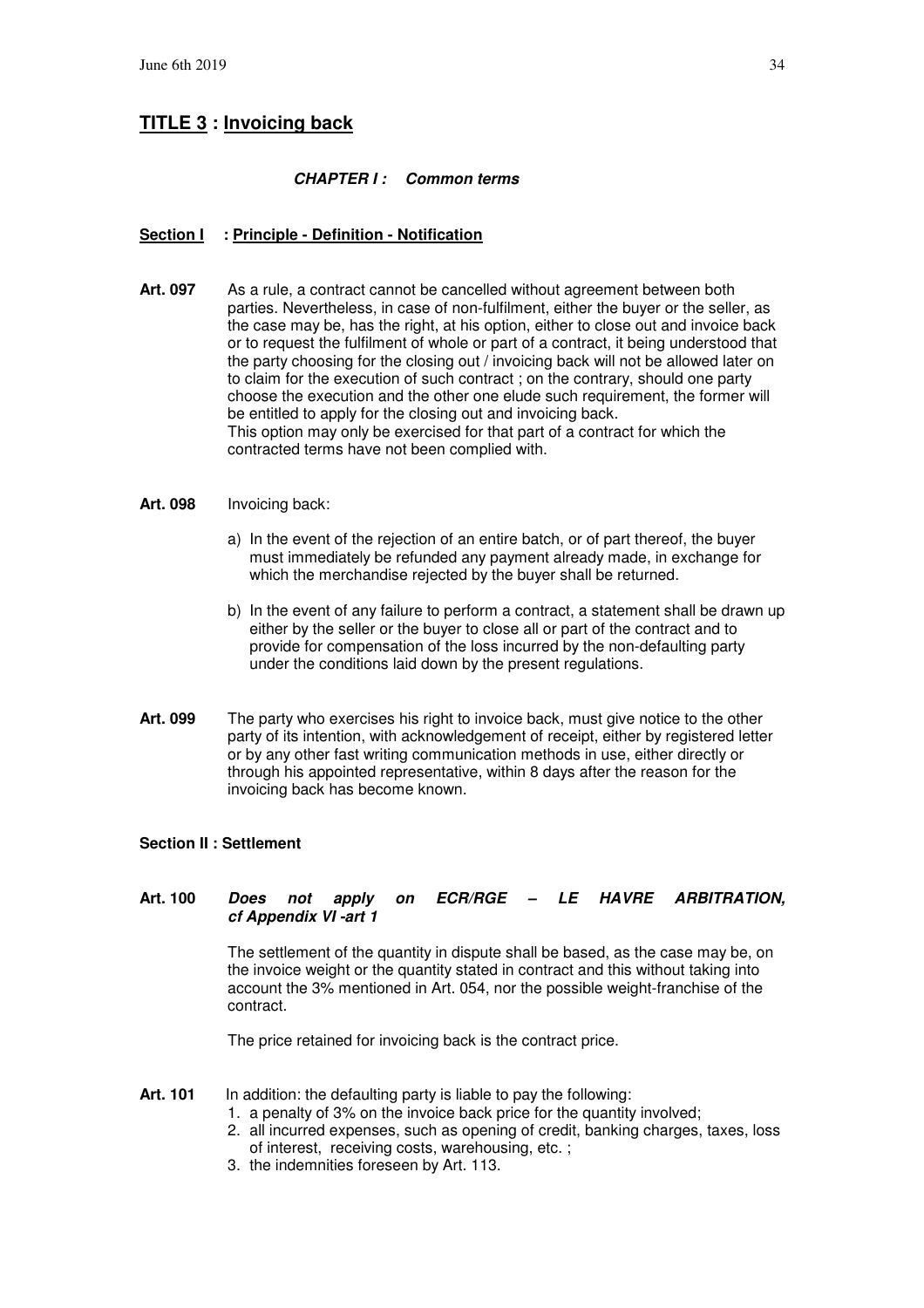# **TITLE 3 : Invoicing back**

#### **CHAPTER I : Common terms**

#### **Section I : Principle - Definition - Notification**

**Art. 097** As a rule, a contract cannot be cancelled without agreement between both parties. Nevertheless, in case of non-fulfilment, either the buyer or the seller, as the case may be, has the right, at his option, either to close out and invoice back or to request the fulfilment of whole or part of a contract, it being understood that the party choosing for the closing out / invoicing back will not be allowed later on to claim for the execution of such contract ; on the contrary, should one party choose the execution and the other one elude such requirement, the former will be entitled to apply for the closing out and invoicing back. This option may only be exercised for that part of a contract for which the contracted terms have not been complied with.

#### **Art. 098** Invoicing back:

- a) In the event of the rejection of an entire batch, or of part thereof, the buyer must immediately be refunded any payment already made, in exchange for which the merchandise rejected by the buyer shall be returned.
- b) In the event of any failure to perform a contract, a statement shall be drawn up either by the seller or the buyer to close all or part of the contract and to provide for compensation of the loss incurred by the non-defaulting party under the conditions laid down by the present regulations.
- **Art. 099** The party who exercises his right to invoice back, must give notice to the other party of its intention, with acknowledgement of receipt, either by registered letter or by any other fast writing communication methods in use, either directly or through his appointed representative, within 8 days after the reason for the invoicing back has become known.

#### **Section II : Settlement**

#### **Art. 100 Does not apply on ECR/RGE – LE HAVRE ARBITRATION, cf Appendix VI -art 1**

The settlement of the quantity in dispute shall be based, as the case may be, on the invoice weight or the quantity stated in contract and this without taking into account the 3% mentioned in Art. 054, nor the possible weight-franchise of the contract.

The price retained for invoicing back is the contract price.

- Art. 101 In addition: the defaulting party is liable to pay the following:
	- 1. a penalty of 3% on the invoice back price for the quantity involved;
	- 2. all incurred expenses, such as opening of credit, banking charges, taxes, loss of interest, receiving costs, warehousing, etc. ;
	- 3. the indemnities foreseen by Art. 113.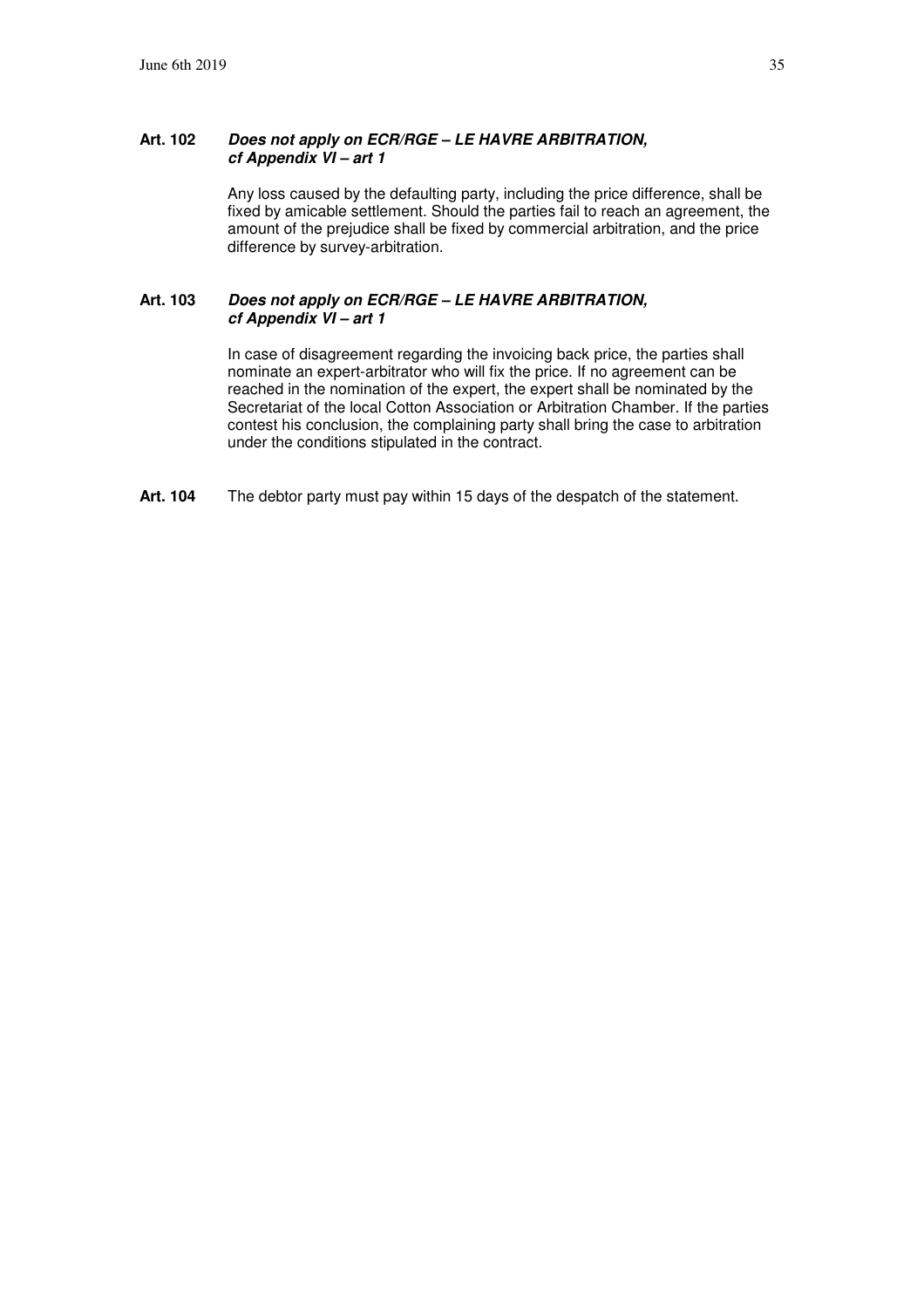#### **Art. 102 Does not apply on ECR/RGE – LE HAVRE ARBITRATION, cf Appendix VI – art 1**

Any loss caused by the defaulting party, including the price difference, shall be fixed by amicable settlement. Should the parties fail to reach an agreement, the amount of the prejudice shall be fixed by commercial arbitration, and the price difference by survey-arbitration.

#### **Art. 103 Does not apply on ECR/RGE – LE HAVRE ARBITRATION, cf Appendix VI – art 1**

In case of disagreement regarding the invoicing back price, the parties shall nominate an expert-arbitrator who will fix the price. If no agreement can be reached in the nomination of the expert, the expert shall be nominated by the Secretariat of the local Cotton Association or Arbitration Chamber. If the parties contest his conclusion, the complaining party shall bring the case to arbitration under the conditions stipulated in the contract.

**Art. 104** The debtor party must pay within 15 days of the despatch of the statement.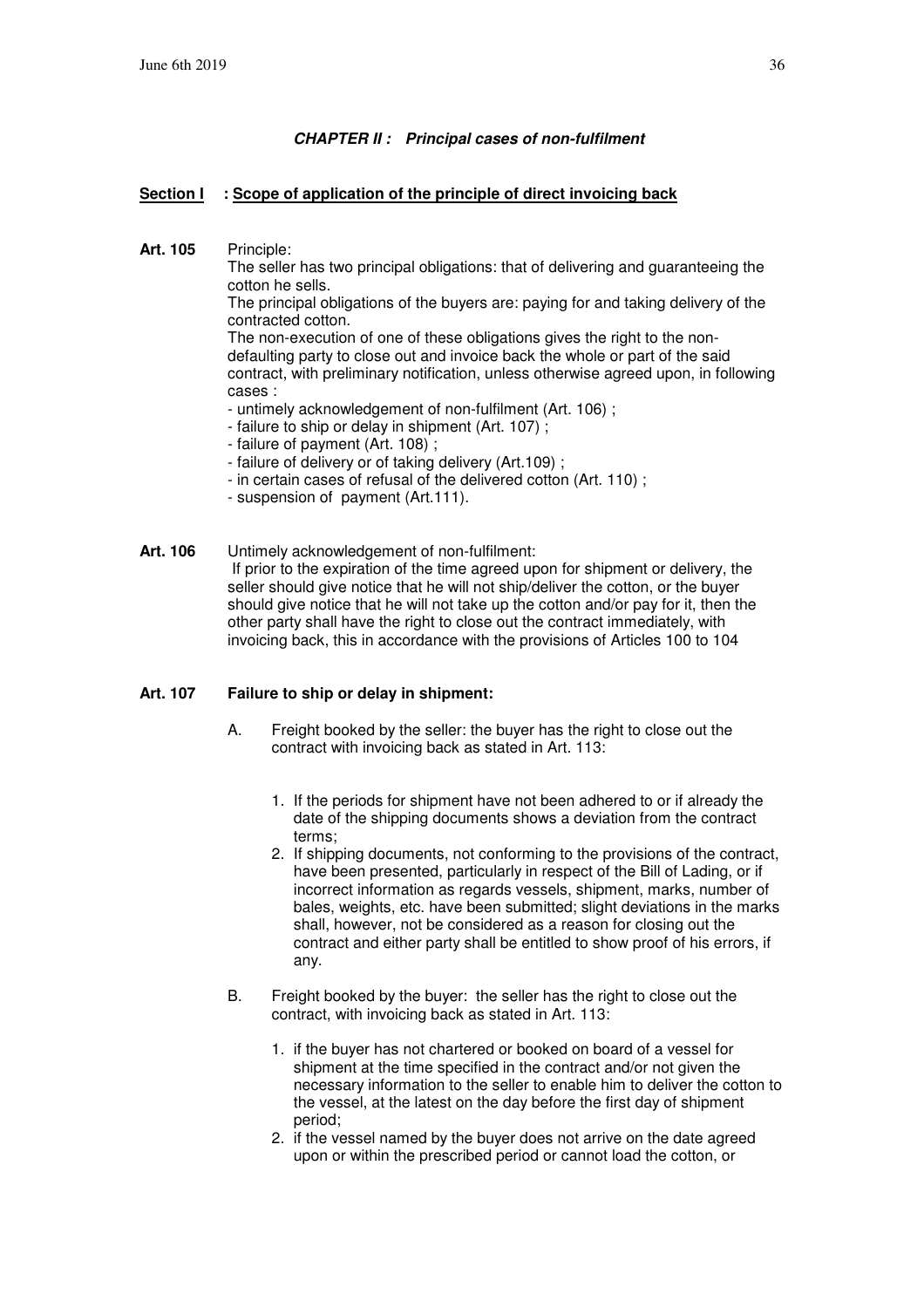#### **CHAPTER II : Principal cases of non-fulfilment**

#### **Section I** : Scope of application of the principle of direct invoicing back

**Art. 105** Principle:

The seller has two principal obligations: that of delivering and guaranteeing the cotton he sells.

The principal obligations of the buyers are: paying for and taking delivery of the contracted cotton.

The non-execution of one of these obligations gives the right to the nondefaulting party to close out and invoice back the whole or part of the said contract, with preliminary notification, unless otherwise agreed upon, in following cases :

- untimely acknowledgement of non-fulfilment (Art. 106) ;
- failure to ship or delay in shipment (Art. 107) ;
- failure of payment (Art. 108) ;
- failure of delivery or of taking delivery (Art.109) ;
- in certain cases of refusal of the delivered cotton (Art. 110) ;
- suspension of payment (Art.111).
- **Art. 106** Untimely acknowledgement of non-fulfilment: If prior to the expiration of the time agreed upon for shipment or delivery, the seller should give notice that he will not ship/deliver the cotton, or the buyer should give notice that he will not take up the cotton and/or pay for it, then the other party shall have the right to close out the contract immediately, with invoicing back, this in accordance with the provisions of Articles 100 to 104

#### **Art. 107 Failure to ship or delay in shipment:**

- A. Freight booked by the seller: the buyer has the right to close out the contract with invoicing back as stated in Art. 113:
	- 1. If the periods for shipment have not been adhered to or if already the date of the shipping documents shows a deviation from the contract terms;
	- 2. If shipping documents, not conforming to the provisions of the contract, have been presented, particularly in respect of the Bill of Lading, or if incorrect information as regards vessels, shipment, marks, number of bales, weights, etc. have been submitted; slight deviations in the marks shall, however, not be considered as a reason for closing out the contract and either party shall be entitled to show proof of his errors, if any.
- B. Freight booked by the buyer: the seller has the right to close out the contract, with invoicing back as stated in Art. 113:
	- 1. if the buyer has not chartered or booked on board of a vessel for shipment at the time specified in the contract and/or not given the necessary information to the seller to enable him to deliver the cotton to the vessel, at the latest on the day before the first day of shipment period;
	- 2. if the vessel named by the buyer does not arrive on the date agreed upon or within the prescribed period or cannot load the cotton, or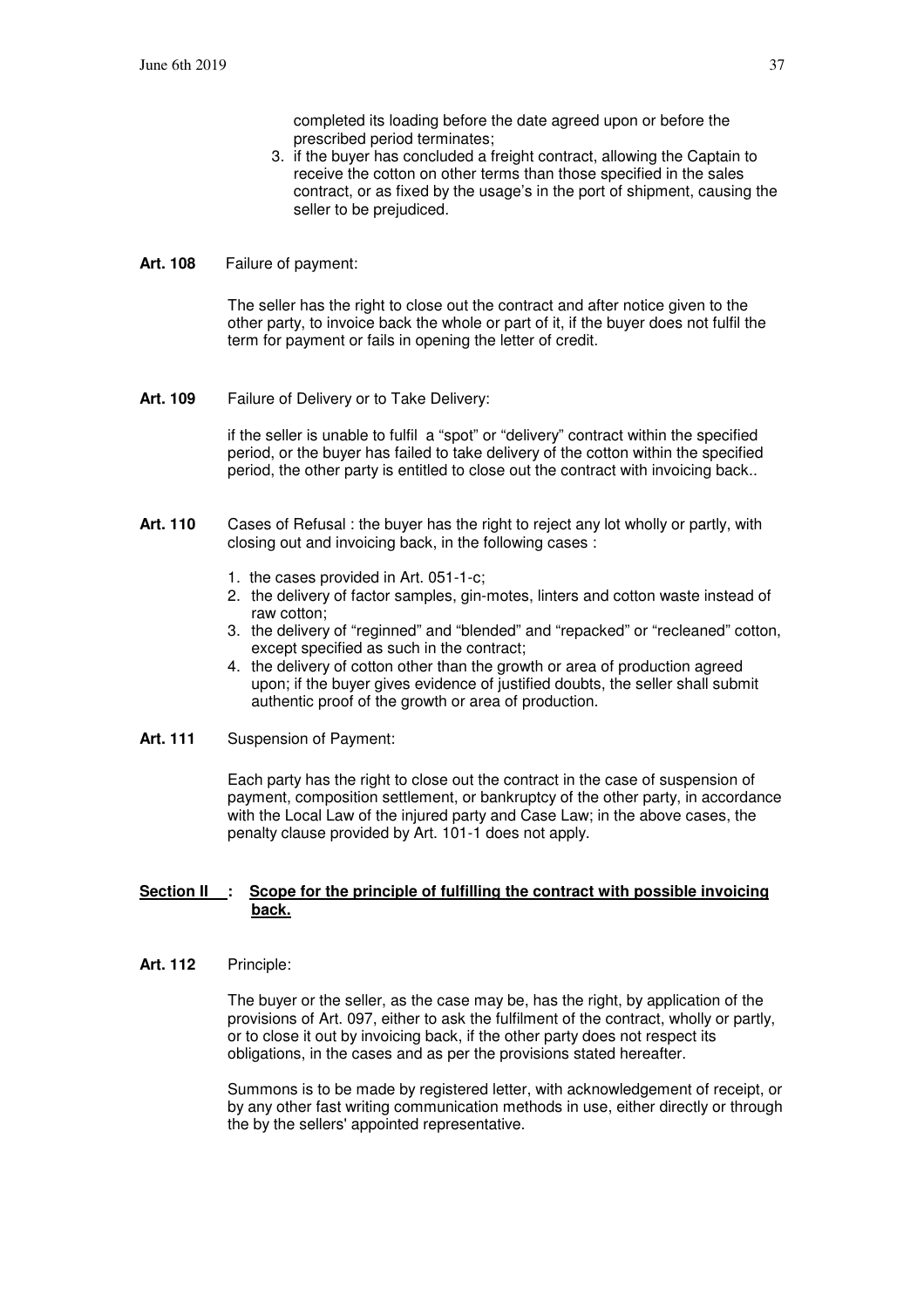3. if the buyer has concluded a freight contract, allowing the Captain to receive the cotton on other terms than those specified in the sales contract, or as fixed by the usage's in the port of shipment, causing the seller to be prejudiced.

#### **Art. 108** Failure of payment:

The seller has the right to close out the contract and after notice given to the other party, to invoice back the whole or part of it, if the buyer does not fulfil the term for payment or fails in opening the letter of credit.

**Art. 109** Failure of Delivery or to Take Delivery:

if the seller is unable to fulfil a "spot" or "delivery" contract within the specified period, or the buyer has failed to take delivery of the cotton within the specified period, the other party is entitled to close out the contract with invoicing back..

- **Art. 110** Cases of Refusal : the buyer has the right to reject any lot wholly or partly, with closing out and invoicing back, in the following cases :
	- 1. the cases provided in Art. 051-1-c;
	- 2. the delivery of factor samples, gin-motes, linters and cotton waste instead of raw cotton;
	- 3. the delivery of "reginned" and "blended" and "repacked" or "recleaned" cotton, except specified as such in the contract;
	- 4. the delivery of cotton other than the growth or area of production agreed upon; if the buyer gives evidence of justified doubts, the seller shall submit authentic proof of the growth or area of production.
- **Art. 111** Suspension of Payment:

Each party has the right to close out the contract in the case of suspension of payment, composition settlement, or bankruptcy of the other party, in accordance with the Local Law of the injured party and Case Law; in the above cases, the penalty clause provided by Art. 101-1 does not apply.

#### **<u>Section II : Scope for the principle of fulfilling the contract with possible invoicing</u> back.**

**Art. 112** Principle:

The buyer or the seller, as the case may be, has the right, by application of the provisions of Art. 097, either to ask the fulfilment of the contract, wholly or partly, or to close it out by invoicing back, if the other party does not respect its obligations, in the cases and as per the provisions stated hereafter.

Summons is to be made by registered letter, with acknowledgement of receipt, or by any other fast writing communication methods in use, either directly or through the by the sellers' appointed representative.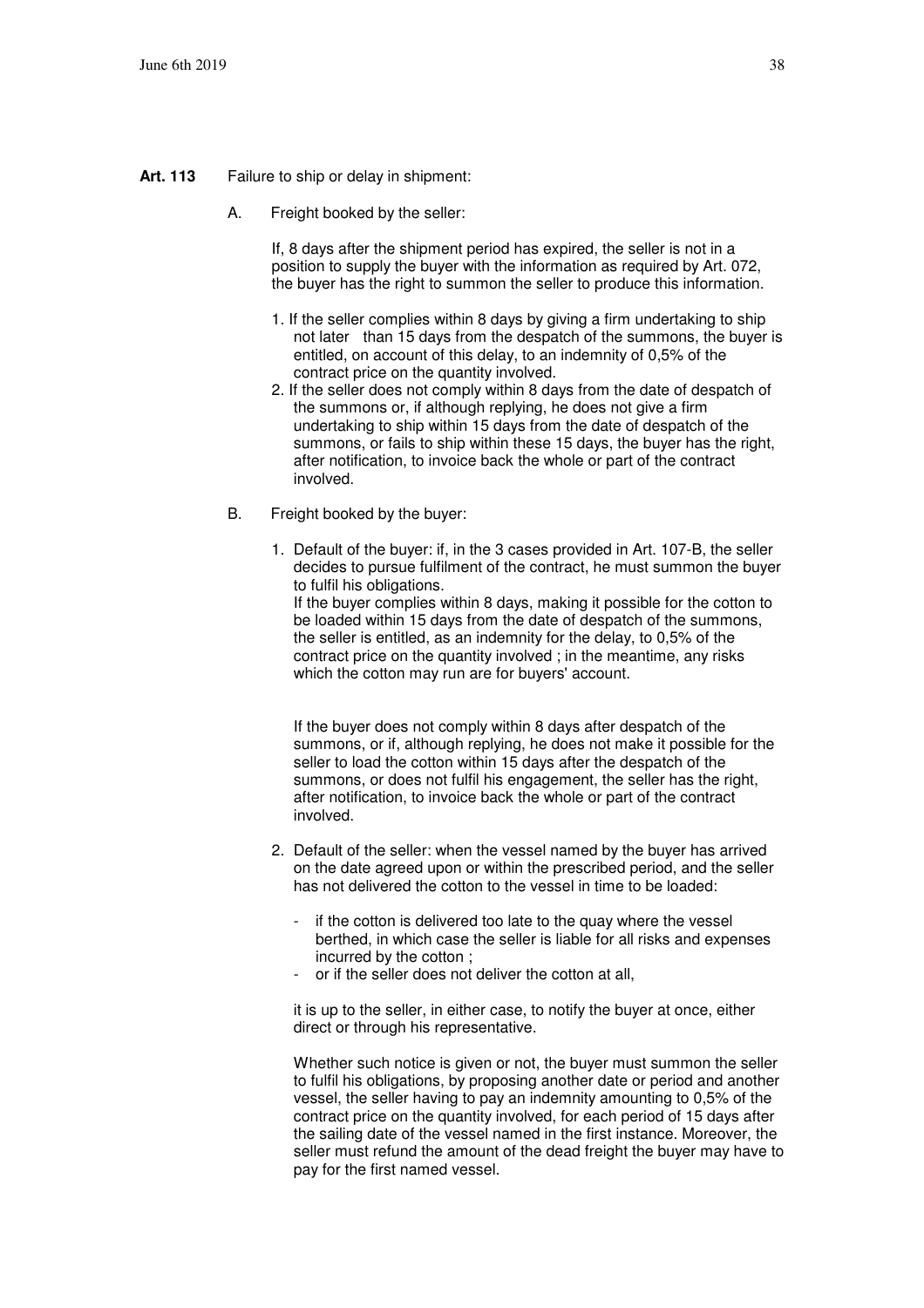#### **Art. 113** Failure to ship or delay in shipment:

A. Freight booked by the seller:

If, 8 days after the shipment period has expired, the seller is not in a position to supply the buyer with the information as required by Art. 072, the buyer has the right to summon the seller to produce this information.

- 1. If the seller complies within 8 days by giving a firm undertaking to ship not later than 15 days from the despatch of the summons, the buyer is entitled, on account of this delay, to an indemnity of 0,5% of the contract price on the quantity involved.
- 2. If the seller does not comply within 8 days from the date of despatch of the summons or, if although replying, he does not give a firm undertaking to ship within 15 days from the date of despatch of the summons, or fails to ship within these 15 days, the buyer has the right, after notification, to invoice back the whole or part of the contract involved.
- B. Freight booked by the buyer:
	- 1. Default of the buyer: if, in the 3 cases provided in Art. 107-B, the seller decides to pursue fulfilment of the contract, he must summon the buyer to fulfil his obligations. If the buyer complies within 8 days, making it possible for the cotton to be loaded within 15 days from the date of despatch of the summons, the seller is entitled, as an indemnity for the delay, to 0,5% of the contract price on the quantity involved ; in the meantime, any risks which the cotton may run are for buyers' account.

If the buyer does not comply within 8 days after despatch of the summons, or if, although replying, he does not make it possible for the seller to load the cotton within 15 days after the despatch of the summons, or does not fulfil his engagement, the seller has the right, after notification, to invoice back the whole or part of the contract involved.

- 2. Default of the seller: when the vessel named by the buyer has arrived on the date agreed upon or within the prescribed period, and the seller has not delivered the cotton to the vessel in time to be loaded:
	- if the cotton is delivered too late to the quay where the vessel berthed, in which case the seller is liable for all risks and expenses incurred by the cotton ;
	- or if the seller does not deliver the cotton at all.

it is up to the seller, in either case, to notify the buyer at once, either direct or through his representative.

Whether such notice is given or not, the buyer must summon the seller to fulfil his obligations, by proposing another date or period and another vessel, the seller having to pay an indemnity amounting to 0,5% of the contract price on the quantity involved, for each period of 15 days after the sailing date of the vessel named in the first instance. Moreover, the seller must refund the amount of the dead freight the buyer may have to pay for the first named vessel.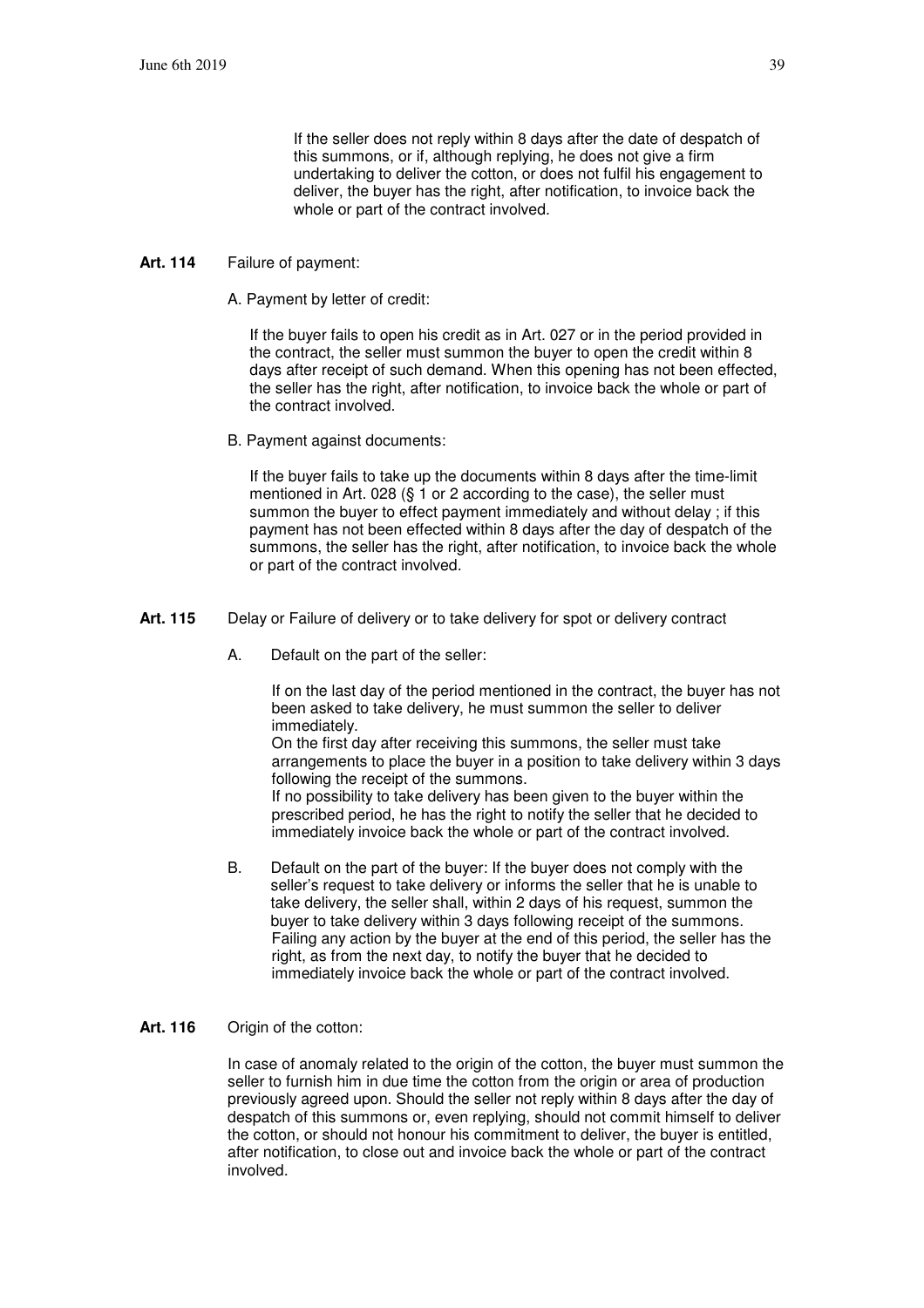If the seller does not reply within 8 days after the date of despatch of this summons, or if, although replying, he does not give a firm undertaking to deliver the cotton, or does not fulfil his engagement to deliver, the buyer has the right, after notification, to invoice back the whole or part of the contract involved.

#### **Art. 114** Failure of payment:

A. Payment by letter of credit:

If the buyer fails to open his credit as in Art. 027 or in the period provided in the contract, the seller must summon the buyer to open the credit within 8 days after receipt of such demand. When this opening has not been effected, the seller has the right, after notification, to invoice back the whole or part of the contract involved.

B. Payment against documents:

If the buyer fails to take up the documents within 8 days after the time-limit mentioned in Art. 028 (§ 1 or 2 according to the case), the seller must summon the buyer to effect payment immediately and without delay ; if this payment has not been effected within 8 days after the day of despatch of the summons, the seller has the right, after notification, to invoice back the whole or part of the contract involved.

- **Art. 115** Delay or Failure of delivery or to take delivery for spot or delivery contract
	- A. Default on the part of the seller:

If on the last day of the period mentioned in the contract, the buyer has not been asked to take delivery, he must summon the seller to deliver immediately.

On the first day after receiving this summons, the seller must take arrangements to place the buyer in a position to take delivery within 3 days following the receipt of the summons.

If no possibility to take delivery has been given to the buyer within the prescribed period, he has the right to notify the seller that he decided to immediately invoice back the whole or part of the contract involved.

B. Default on the part of the buyer: If the buyer does not comply with the seller's request to take delivery or informs the seller that he is unable to take delivery, the seller shall, within 2 days of his request, summon the buyer to take delivery within 3 days following receipt of the summons. Failing any action by the buyer at the end of this period, the seller has the right, as from the next day, to notify the buyer that he decided to immediately invoice back the whole or part of the contract involved.

#### **Art. 116** Origin of the cotton:

In case of anomaly related to the origin of the cotton, the buyer must summon the seller to furnish him in due time the cotton from the origin or area of production previously agreed upon. Should the seller not reply within 8 days after the day of despatch of this summons or, even replying, should not commit himself to deliver the cotton, or should not honour his commitment to deliver, the buyer is entitled, after notification, to close out and invoice back the whole or part of the contract involved.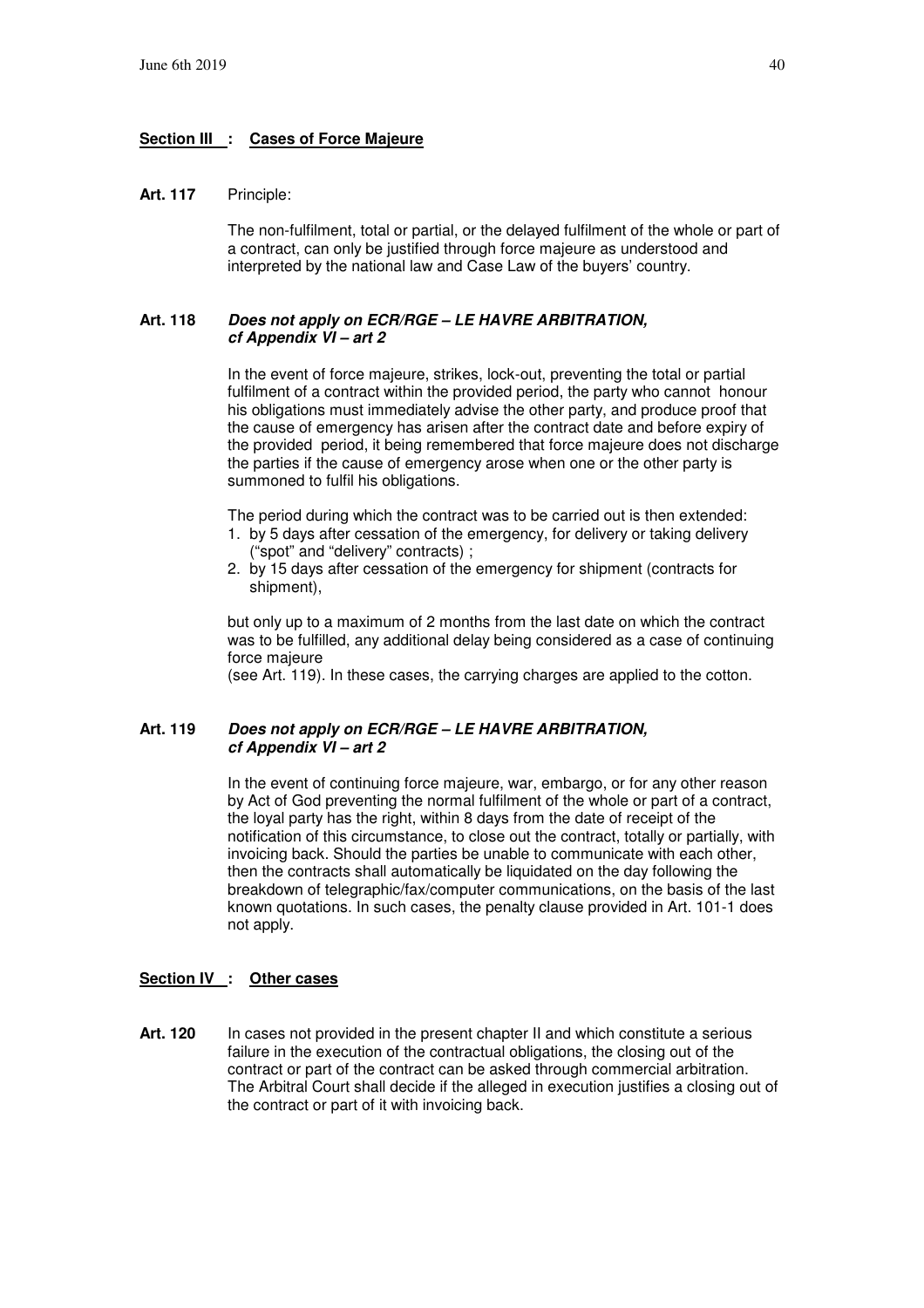#### **Section III : Cases of Force Majeure**

#### **Art. 117** Principle:

The non-fulfilment, total or partial, or the delayed fulfilment of the whole or part of a contract, can only be justified through force majeure as understood and interpreted by the national law and Case Law of the buyers' country.

#### **Art. 118 Does not apply on ECR/RGE – LE HAVRE ARBITRATION, cf Appendix VI – art 2**

In the event of force majeure, strikes, lock-out, preventing the total or partial fulfilment of a contract within the provided period, the party who cannot honour his obligations must immediately advise the other party, and produce proof that the cause of emergency has arisen after the contract date and before expiry of the provided period, it being remembered that force majeure does not discharge the parties if the cause of emergency arose when one or the other party is summoned to fulfil his obligations.

The period during which the contract was to be carried out is then extended:

- 1. by 5 days after cessation of the emergency, for delivery or taking delivery ("spot" and "delivery" contracts) ;
- 2. by 15 days after cessation of the emergency for shipment (contracts for shipment),

but only up to a maximum of 2 months from the last date on which the contract was to be fulfilled, any additional delay being considered as a case of continuing force majeure

(see Art. 119). In these cases, the carrying charges are applied to the cotton.

#### **Art. 119 Does not apply on ECR/RGE – LE HAVRE ARBITRATION, cf Appendix VI – art 2**

In the event of continuing force majeure, war, embargo, or for any other reason by Act of God preventing the normal fulfilment of the whole or part of a contract, the loyal party has the right, within 8 days from the date of receipt of the notification of this circumstance, to close out the contract, totally or partially, with invoicing back. Should the parties be unable to communicate with each other, then the contracts shall automatically be liquidated on the day following the breakdown of telegraphic/fax/computer communications, on the basis of the last known quotations. In such cases, the penalty clause provided in Art. 101-1 does not apply.

#### **Section IV : Other cases**

**Art. 120** In cases not provided in the present chapter II and which constitute a serious failure in the execution of the contractual obligations, the closing out of the contract or part of the contract can be asked through commercial arbitration. The Arbitral Court shall decide if the alleged in execution justifies a closing out of the contract or part of it with invoicing back.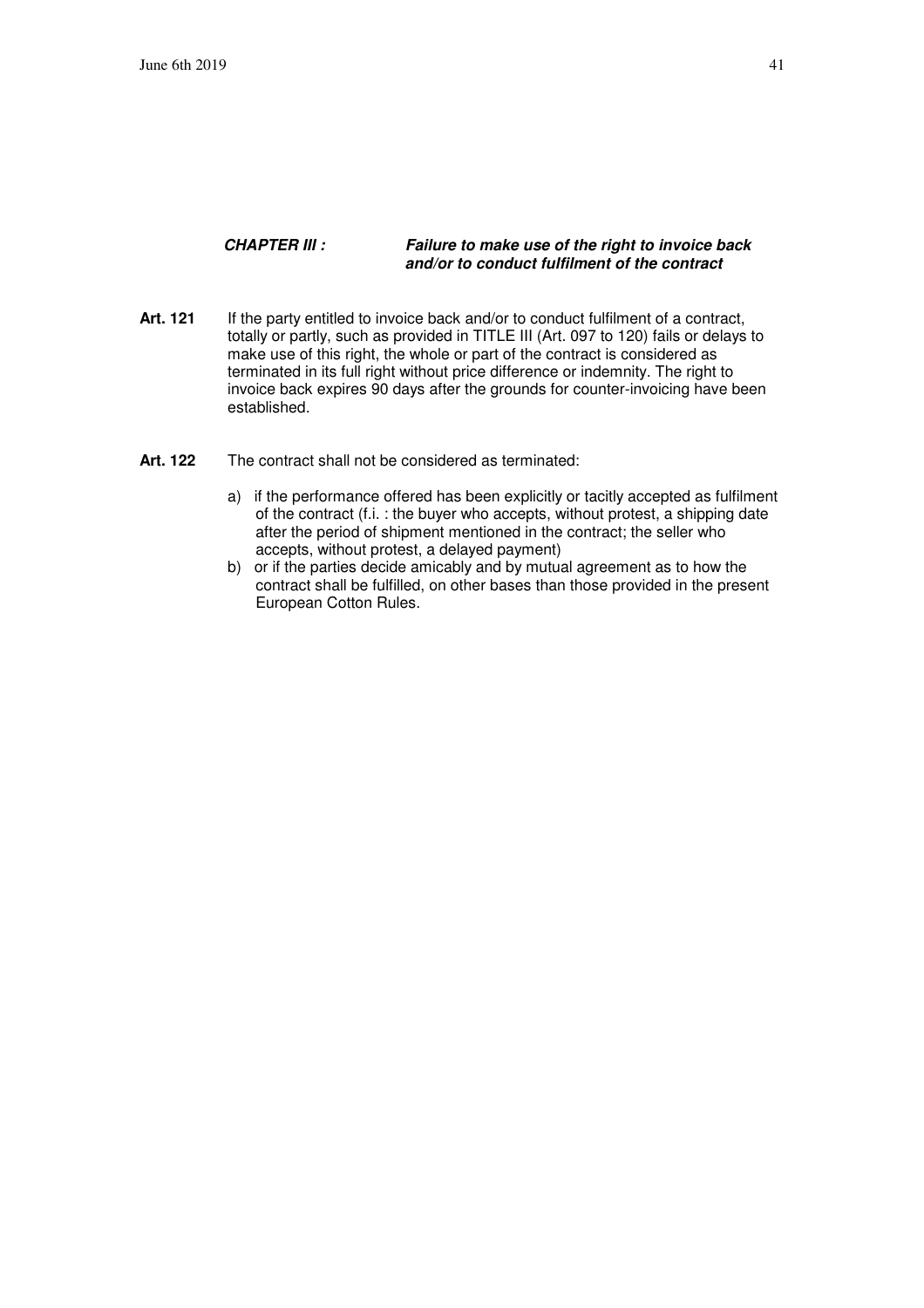#### **CHAPTER III : Failure to make use of the right to invoice back and/or to conduct fulfilment of the contract**

- **Art. 121** If the party entitled to invoice back and/or to conduct fulfilment of a contract, totally or partly, such as provided in TITLE III (Art. 097 to 120) fails or delays to make use of this right, the whole or part of the contract is considered as terminated in its full right without price difference or indemnity. The right to invoice back expires 90 days after the grounds for counter-invoicing have been established.
- Art. 122 The contract shall not be considered as terminated:
	- a) if the performance offered has been explicitly or tacitly accepted as fulfilment of the contract (f.i. : the buyer who accepts, without protest, a shipping date after the period of shipment mentioned in the contract; the seller who accepts, without protest, a delayed payment)
	- b) or if the parties decide amicably and by mutual agreement as to how the contract shall be fulfilled, on other bases than those provided in the present European Cotton Rules.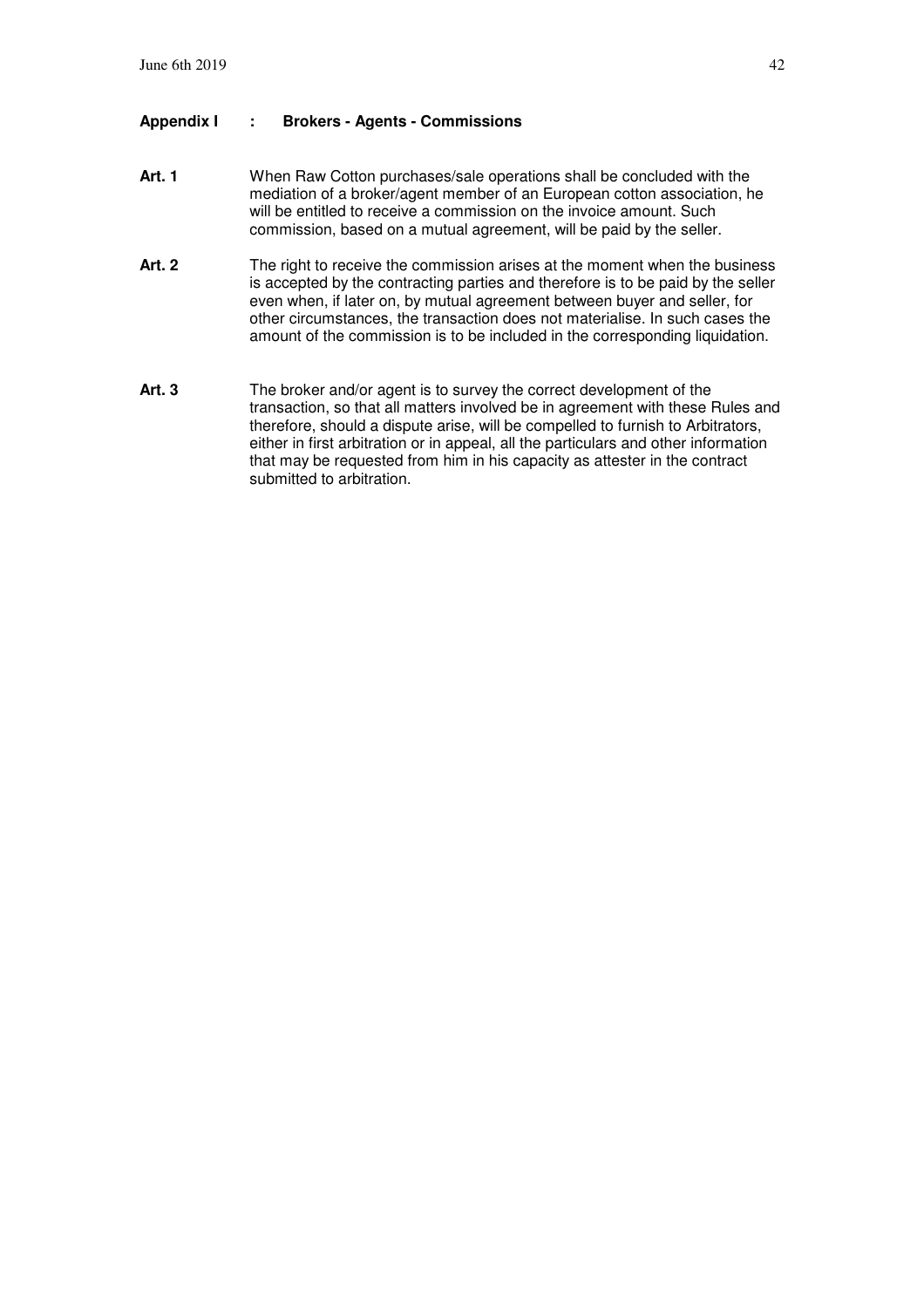#### **Appendix I : Brokers - Agents - Commissions**

- **Art. 1** When Raw Cotton purchases/sale operations shall be concluded with the mediation of a broker/agent member of an European cotton association, he will be entitled to receive a commission on the invoice amount. Such commission, based on a mutual agreement, will be paid by the seller.
- Art. 2 The right to receive the commission arises at the moment when the business is accepted by the contracting parties and therefore is to be paid by the seller even when, if later on, by mutual agreement between buyer and seller, for other circumstances, the transaction does not materialise. In such cases the amount of the commission is to be included in the corresponding liquidation.
- **Art. 3** The broker and/or agent is to survey the correct development of the transaction, so that all matters involved be in agreement with these Rules and therefore, should a dispute arise, will be compelled to furnish to Arbitrators, either in first arbitration or in appeal, all the particulars and other information that may be requested from him in his capacity as attester in the contract submitted to arbitration.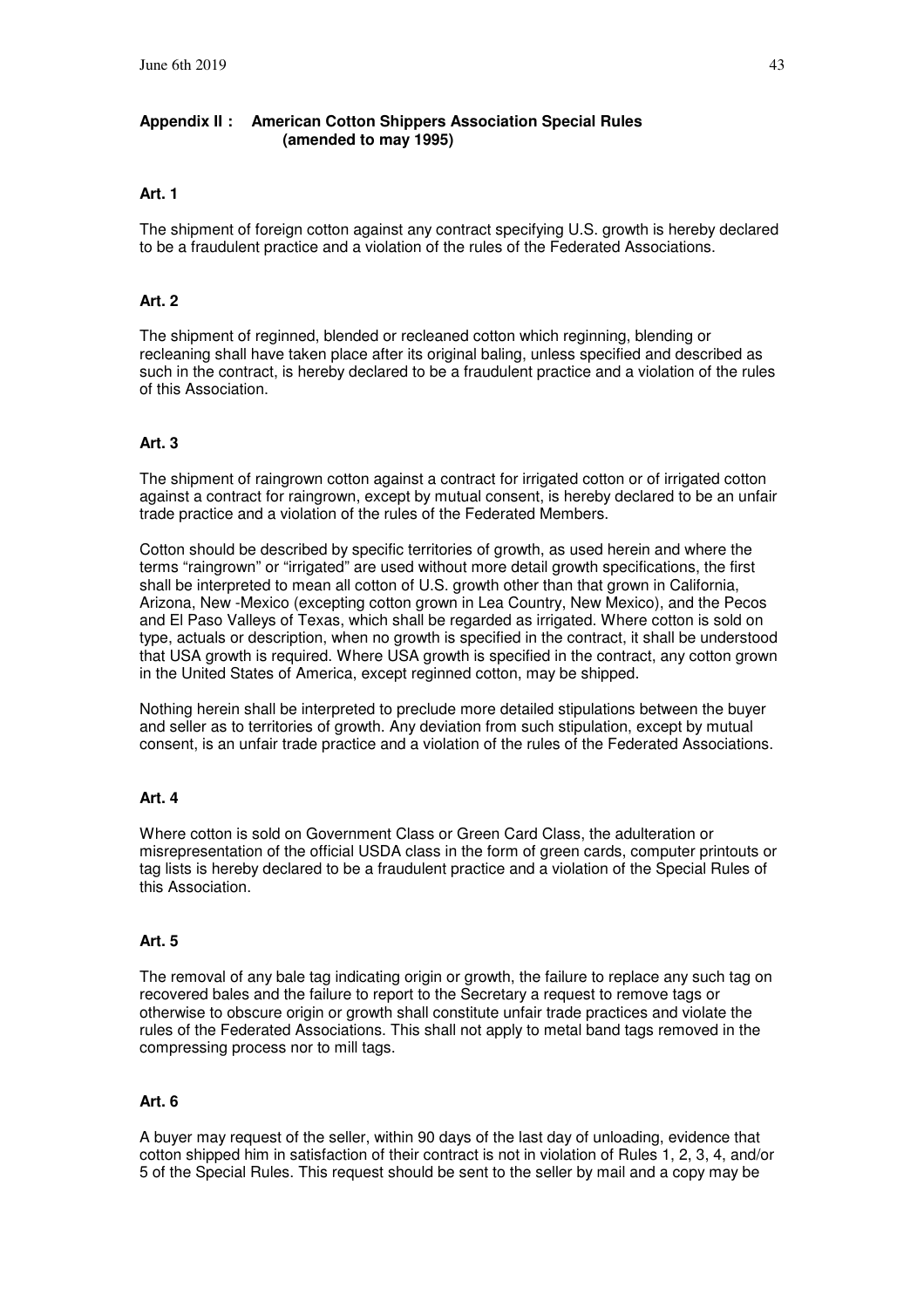#### **Appendix II : American Cotton Shippers Association Special Rules (amended to may 1995)**

#### **Art. 1**

The shipment of foreign cotton against any contract specifying U.S. growth is hereby declared to be a fraudulent practice and a violation of the rules of the Federated Associations.

#### **Art. 2**

The shipment of reginned, blended or recleaned cotton which reginning, blending or recleaning shall have taken place after its original baling, unless specified and described as such in the contract, is hereby declared to be a fraudulent practice and a violation of the rules of this Association.

#### **Art. 3**

The shipment of raingrown cotton against a contract for irrigated cotton or of irrigated cotton against a contract for raingrown, except by mutual consent, is hereby declared to be an unfair trade practice and a violation of the rules of the Federated Members.

Cotton should be described by specific territories of growth, as used herein and where the terms "raingrown" or "irrigated" are used without more detail growth specifications, the first shall be interpreted to mean all cotton of U.S. growth other than that grown in California, Arizona, New -Mexico (excepting cotton grown in Lea Country, New Mexico), and the Pecos and El Paso Valleys of Texas, which shall be regarded as irrigated. Where cotton is sold on type, actuals or description, when no growth is specified in the contract, it shall be understood that USA growth is required. Where USA growth is specified in the contract, any cotton grown in the United States of America, except reginned cotton, may be shipped.

Nothing herein shall be interpreted to preclude more detailed stipulations between the buyer and seller as to territories of growth. Any deviation from such stipulation, except by mutual consent, is an unfair trade practice and a violation of the rules of the Federated Associations.

#### **Art. 4**

Where cotton is sold on Government Class or Green Card Class, the adulteration or misrepresentation of the official USDA class in the form of green cards, computer printouts or tag lists is hereby declared to be a fraudulent practice and a violation of the Special Rules of this Association.

#### **Art. 5**

The removal of any bale tag indicating origin or growth, the failure to replace any such tag on recovered bales and the failure to report to the Secretary a request to remove tags or otherwise to obscure origin or growth shall constitute unfair trade practices and violate the rules of the Federated Associations. This shall not apply to metal band tags removed in the compressing process nor to mill tags.

#### **Art. 6**

A buyer may request of the seller, within 90 days of the last day of unloading, evidence that cotton shipped him in satisfaction of their contract is not in violation of Rules 1, 2, 3, 4, and/or 5 of the Special Rules. This request should be sent to the seller by mail and a copy may be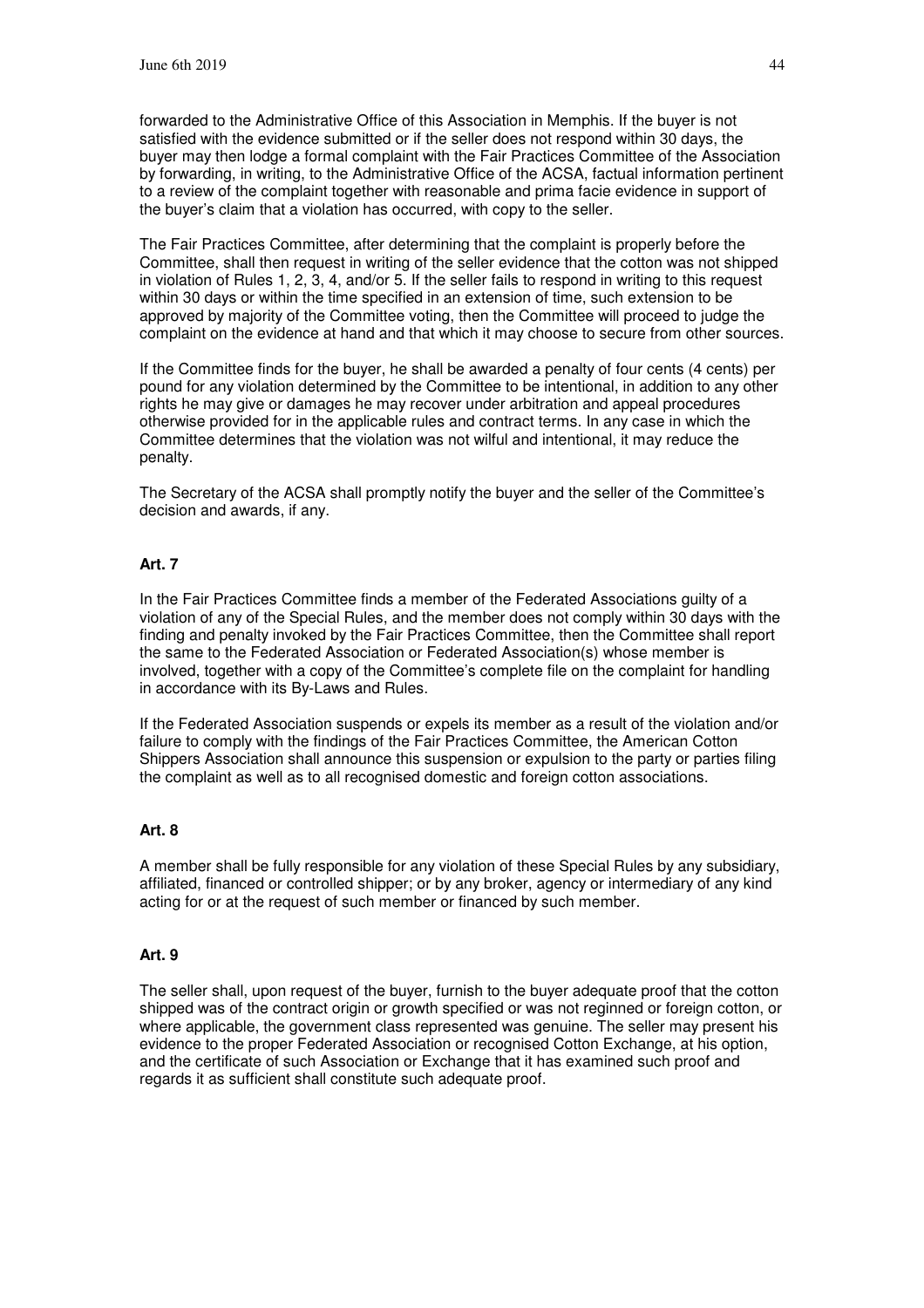forwarded to the Administrative Office of this Association in Memphis. If the buyer is not satisfied with the evidence submitted or if the seller does not respond within 30 days, the buyer may then lodge a formal complaint with the Fair Practices Committee of the Association by forwarding, in writing, to the Administrative Office of the ACSA, factual information pertinent to a review of the complaint together with reasonable and prima facie evidence in support of the buyer's claim that a violation has occurred, with copy to the seller.

The Fair Practices Committee, after determining that the complaint is properly before the Committee, shall then request in writing of the seller evidence that the cotton was not shipped in violation of Rules 1, 2, 3, 4, and/or 5. If the seller fails to respond in writing to this request within 30 days or within the time specified in an extension of time, such extension to be approved by majority of the Committee voting, then the Committee will proceed to judge the complaint on the evidence at hand and that which it may choose to secure from other sources.

If the Committee finds for the buyer, he shall be awarded a penalty of four cents (4 cents) per pound for any violation determined by the Committee to be intentional, in addition to any other rights he may give or damages he may recover under arbitration and appeal procedures otherwise provided for in the applicable rules and contract terms. In any case in which the Committee determines that the violation was not wilful and intentional, it may reduce the penalty.

The Secretary of the ACSA shall promptly notify the buyer and the seller of the Committee's decision and awards, if any.

#### **Art. 7**

In the Fair Practices Committee finds a member of the Federated Associations guilty of a violation of any of the Special Rules, and the member does not comply within 30 days with the finding and penalty invoked by the Fair Practices Committee, then the Committee shall report the same to the Federated Association or Federated Association(s) whose member is involved, together with a copy of the Committee's complete file on the complaint for handling in accordance with its By-Laws and Rules.

If the Federated Association suspends or expels its member as a result of the violation and/or failure to comply with the findings of the Fair Practices Committee, the American Cotton Shippers Association shall announce this suspension or expulsion to the party or parties filing the complaint as well as to all recognised domestic and foreign cotton associations.

#### **Art. 8**

A member shall be fully responsible for any violation of these Special Rules by any subsidiary, affiliated, financed or controlled shipper; or by any broker, agency or intermediary of any kind acting for or at the request of such member or financed by such member.

#### **Art. 9**

The seller shall, upon request of the buyer, furnish to the buyer adequate proof that the cotton shipped was of the contract origin or growth specified or was not reginned or foreign cotton, or where applicable, the government class represented was genuine. The seller may present his evidence to the proper Federated Association or recognised Cotton Exchange, at his option, and the certificate of such Association or Exchange that it has examined such proof and regards it as sufficient shall constitute such adequate proof.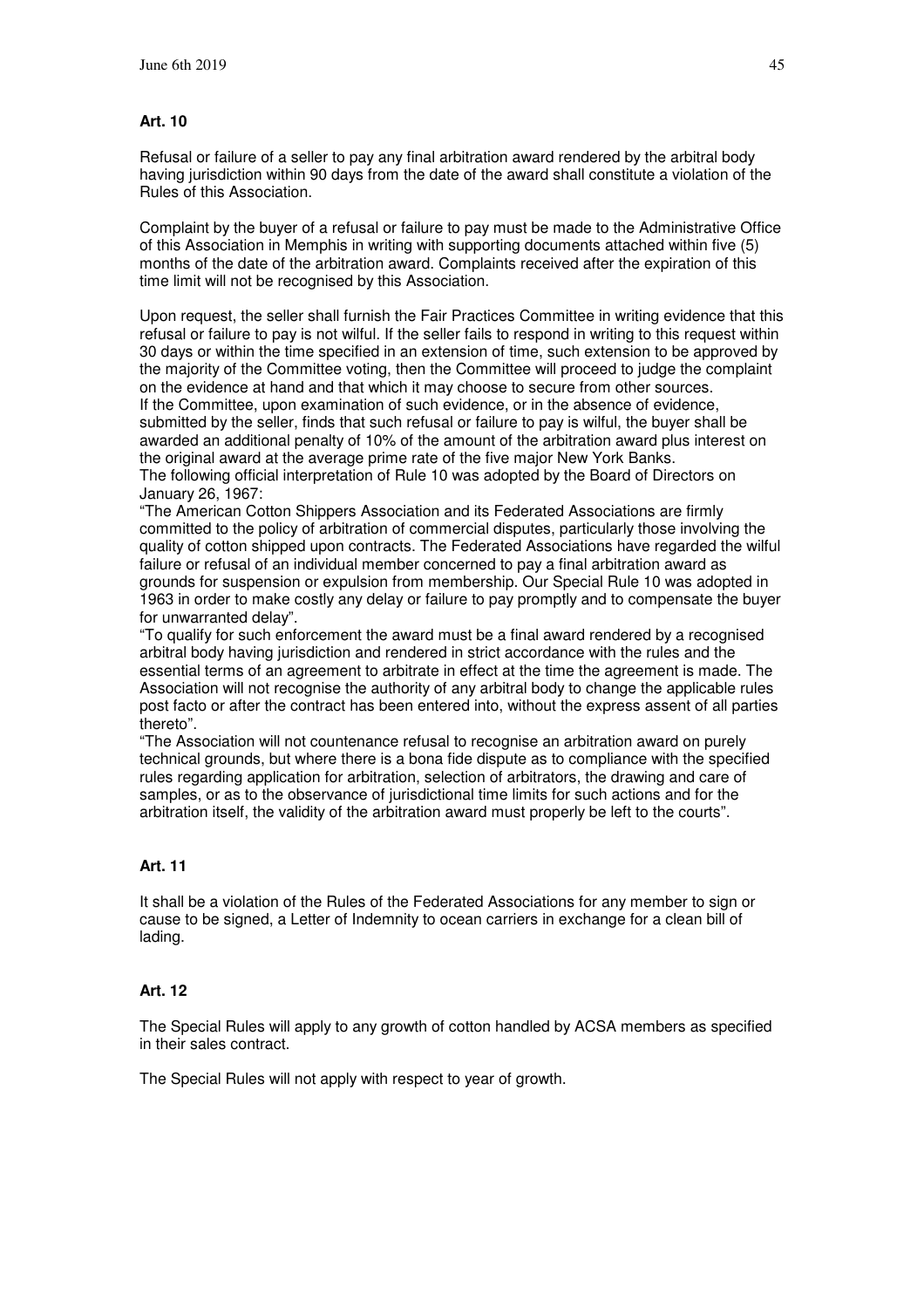#### **Art. 10**

Refusal or failure of a seller to pay any final arbitration award rendered by the arbitral body having jurisdiction within 90 days from the date of the award shall constitute a violation of the Rules of this Association.

Complaint by the buyer of a refusal or failure to pay must be made to the Administrative Office of this Association in Memphis in writing with supporting documents attached within five (5) months of the date of the arbitration award. Complaints received after the expiration of this time limit will not be recognised by this Association.

Upon request, the seller shall furnish the Fair Practices Committee in writing evidence that this refusal or failure to pay is not wilful. If the seller fails to respond in writing to this request within 30 days or within the time specified in an extension of time, such extension to be approved by the majority of the Committee voting, then the Committee will proceed to judge the complaint on the evidence at hand and that which it may choose to secure from other sources. If the Committee, upon examination of such evidence, or in the absence of evidence, submitted by the seller, finds that such refusal or failure to pay is wilful, the buyer shall be awarded an additional penalty of 10% of the amount of the arbitration award plus interest on the original award at the average prime rate of the five major New York Banks. The following official interpretation of Rule 10 was adopted by the Board of Directors on January 26, 1967:

"The American Cotton Shippers Association and its Federated Associations are firmly committed to the policy of arbitration of commercial disputes, particularly those involving the quality of cotton shipped upon contracts. The Federated Associations have regarded the wilful failure or refusal of an individual member concerned to pay a final arbitration award as grounds for suspension or expulsion from membership. Our Special Rule 10 was adopted in 1963 in order to make costly any delay or failure to pay promptly and to compensate the buyer for unwarranted delay".

"To qualify for such enforcement the award must be a final award rendered by a recognised arbitral body having jurisdiction and rendered in strict accordance with the rules and the essential terms of an agreement to arbitrate in effect at the time the agreement is made. The Association will not recognise the authority of any arbitral body to change the applicable rules post facto or after the contract has been entered into, without the express assent of all parties thereto".

"The Association will not countenance refusal to recognise an arbitration award on purely technical grounds, but where there is a bona fide dispute as to compliance with the specified rules regarding application for arbitration, selection of arbitrators, the drawing and care of samples, or as to the observance of jurisdictional time limits for such actions and for the arbitration itself, the validity of the arbitration award must properly be left to the courts".

#### **Art. 11**

It shall be a violation of the Rules of the Federated Associations for any member to sign or cause to be signed, a Letter of Indemnity to ocean carriers in exchange for a clean bill of lading.

#### **Art. 12**

The Special Rules will apply to any growth of cotton handled by ACSA members as specified in their sales contract.

The Special Rules will not apply with respect to year of growth.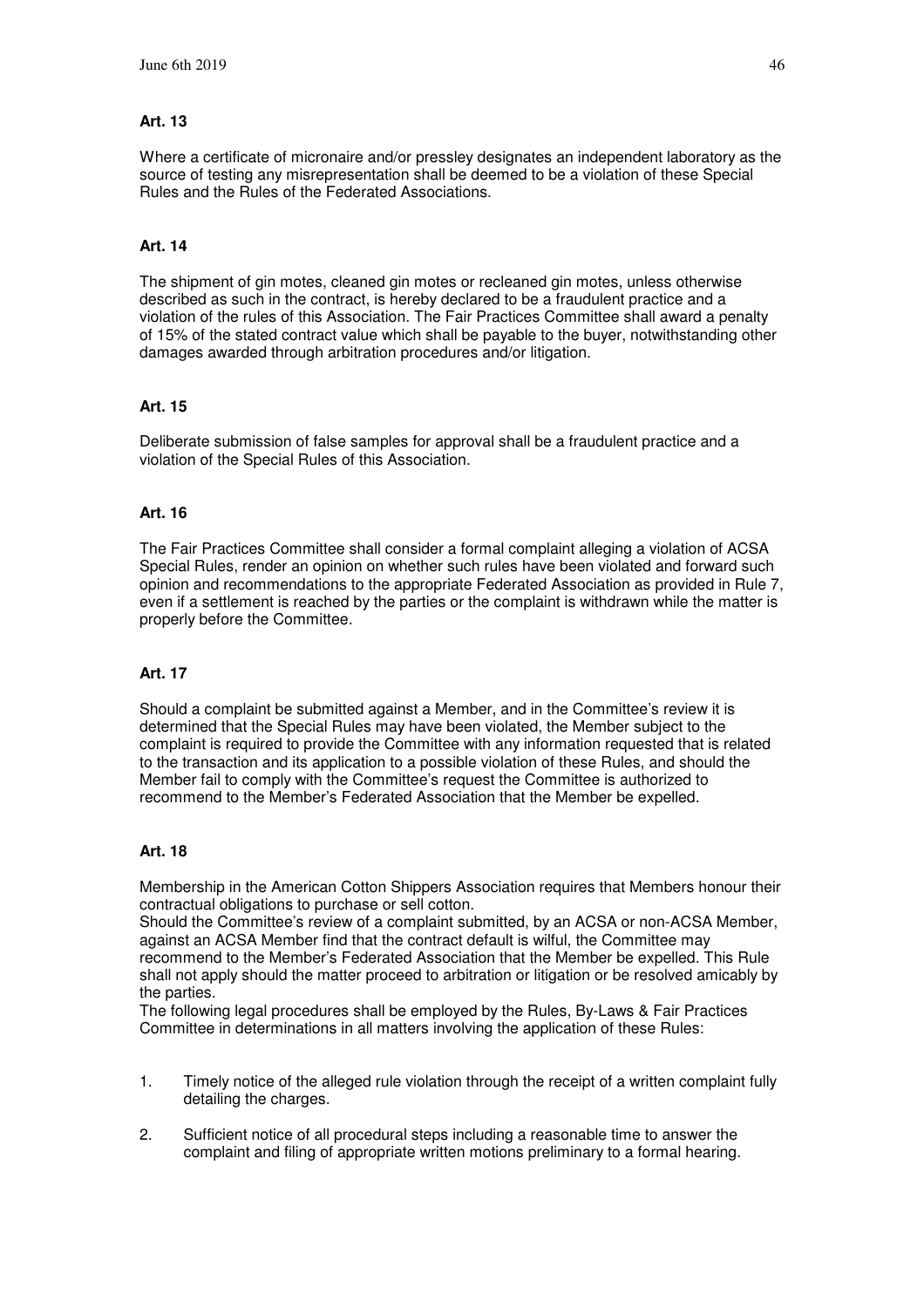#### **Art. 13**

Where a certificate of micronaire and/or pressley designates an independent laboratory as the source of testing any misrepresentation shall be deemed to be a violation of these Special Rules and the Rules of the Federated Associations.

#### **Art. 14**

The shipment of gin motes, cleaned gin motes or recleaned gin motes, unless otherwise described as such in the contract, is hereby declared to be a fraudulent practice and a violation of the rules of this Association. The Fair Practices Committee shall award a penalty of 15% of the stated contract value which shall be payable to the buyer, notwithstanding other damages awarded through arbitration procedures and/or litigation.

#### **Art. 15**

Deliberate submission of false samples for approval shall be a fraudulent practice and a violation of the Special Rules of this Association.

#### **Art. 16**

The Fair Practices Committee shall consider a formal complaint alleging a violation of ACSA Special Rules, render an opinion on whether such rules have been violated and forward such opinion and recommendations to the appropriate Federated Association as provided in Rule 7, even if a settlement is reached by the parties or the complaint is withdrawn while the matter is properly before the Committee.

#### **Art. 17**

Should a complaint be submitted against a Member, and in the Committee's review it is determined that the Special Rules may have been violated, the Member subject to the complaint is required to provide the Committee with any information requested that is related to the transaction and its application to a possible violation of these Rules, and should the Member fail to comply with the Committee's request the Committee is authorized to recommend to the Member's Federated Association that the Member be expelled.

#### **Art. 18**

Membership in the American Cotton Shippers Association requires that Members honour their contractual obligations to purchase or sell cotton.

Should the Committee's review of a complaint submitted, by an ACSA or non-ACSA Member, against an ACSA Member find that the contract default is wilful, the Committee may recommend to the Member's Federated Association that the Member be expelled. This Rule shall not apply should the matter proceed to arbitration or litigation or be resolved amicably by the parties.

The following legal procedures shall be employed by the Rules, By-Laws & Fair Practices Committee in determinations in all matters involving the application of these Rules:

- 1. Timely notice of the alleged rule violation through the receipt of a written complaint fully detailing the charges.
- 2. Sufficient notice of all procedural steps including a reasonable time to answer the complaint and filing of appropriate written motions preliminary to a formal hearing.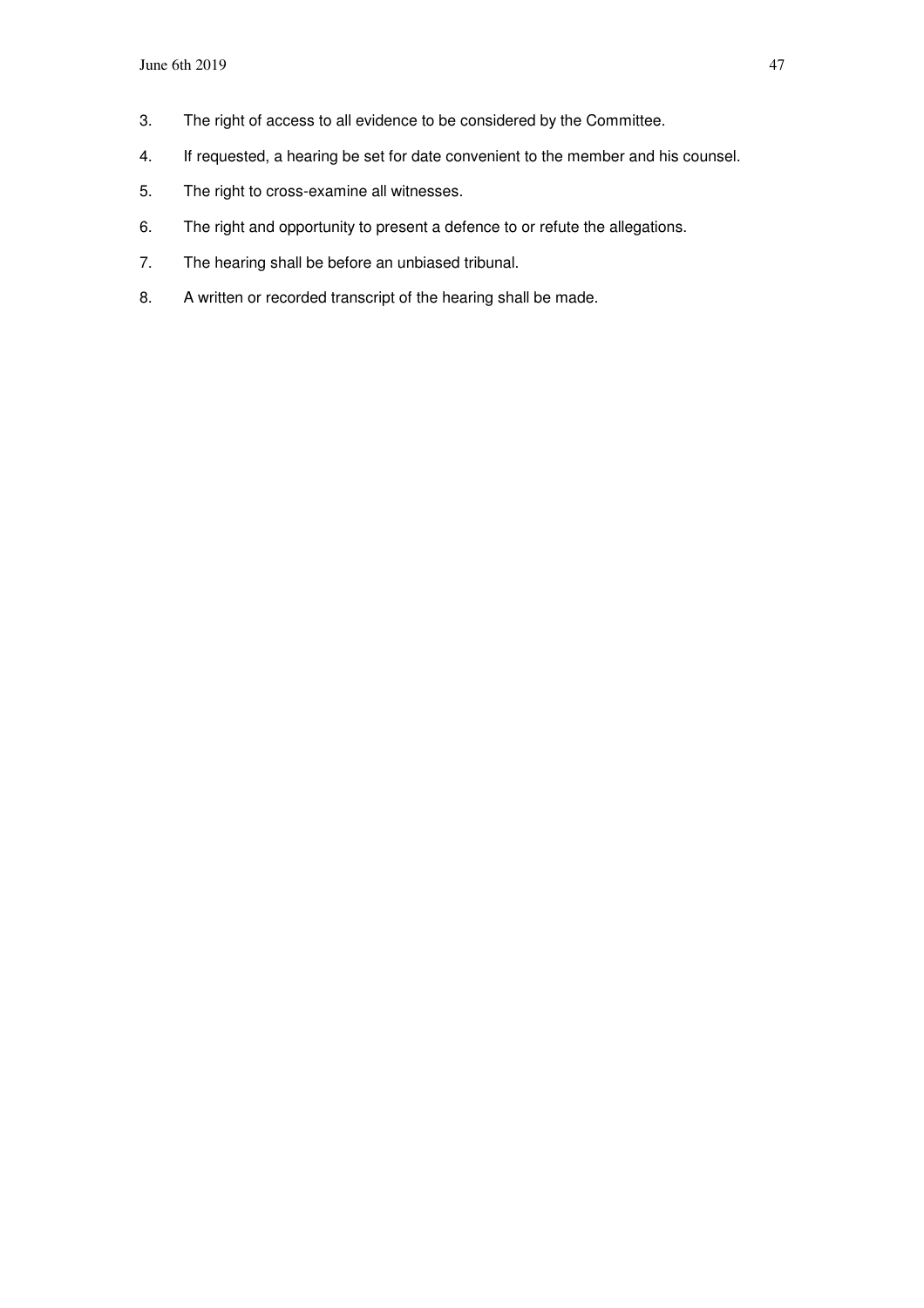- 3. The right of access to all evidence to be considered by the Committee.
- 4. If requested, a hearing be set for date convenient to the member and his counsel.
- 5. The right to cross-examine all witnesses.
- 6. The right and opportunity to present a defence to or refute the allegations.
- 7. The hearing shall be before an unbiased tribunal.
- 8. A written or recorded transcript of the hearing shall be made.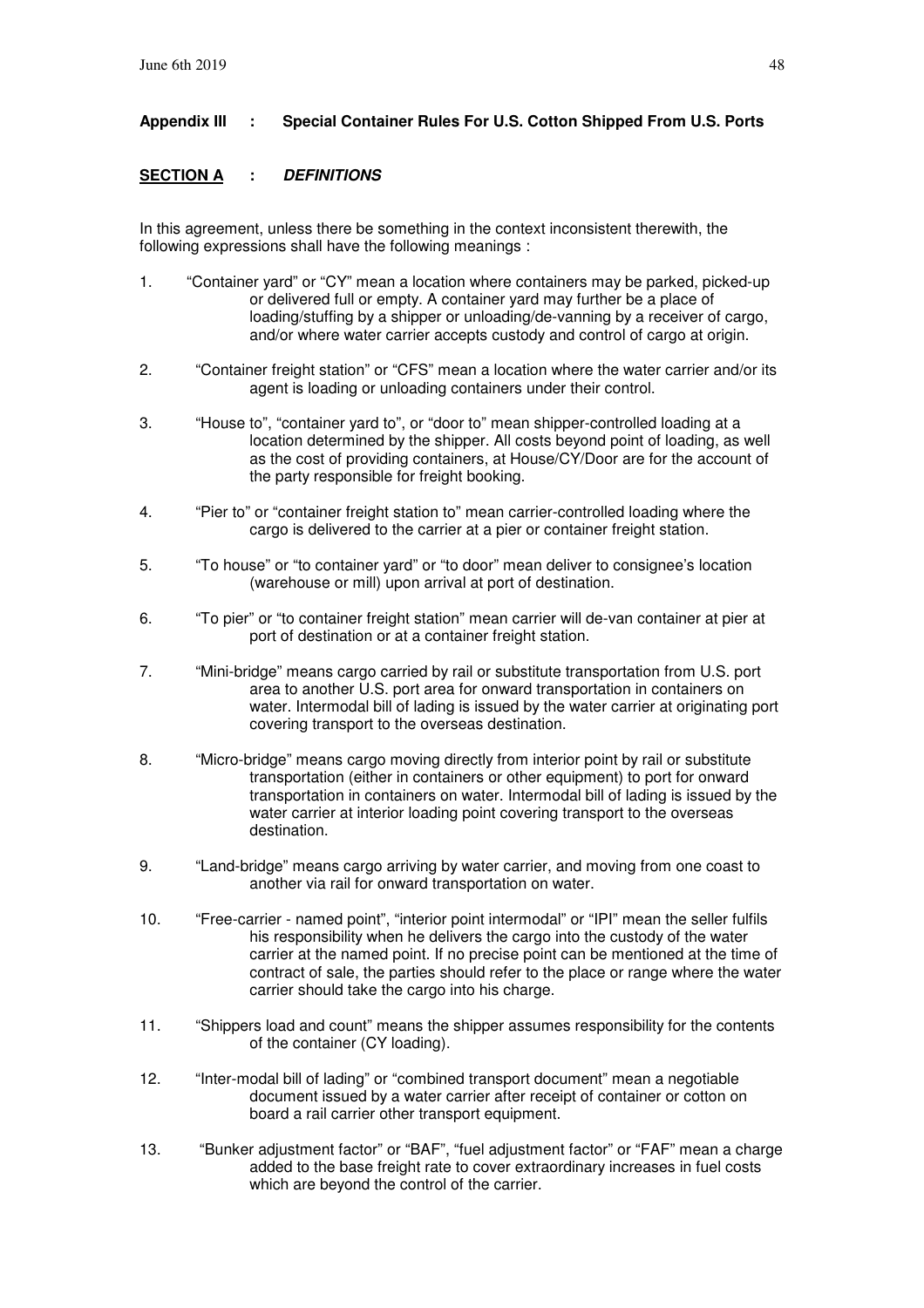#### **Appendix III : Special Container Rules For U.S. Cotton Shipped From U.S. Ports**

#### **SECTION A : DEFINITIONS**

In this agreement, unless there be something in the context inconsistent therewith, the following expressions shall have the following meanings :

- 1. "Container yard" or "CY" mean a location where containers may be parked, picked-up or delivered full or empty. A container yard may further be a place of loading/stuffing by a shipper or unloading/de-vanning by a receiver of cargo, and/or where water carrier accepts custody and control of cargo at origin.
- 2. "Container freight station" or "CFS" mean a location where the water carrier and/or its agent is loading or unloading containers under their control.
- 3. "House to", "container yard to", or "door to" mean shipper-controlled loading at a location determined by the shipper. All costs beyond point of loading, as well as the cost of providing containers, at House/CY/Door are for the account of the party responsible for freight booking.
- 4. "Pier to" or "container freight station to" mean carrier-controlled loading where the cargo is delivered to the carrier at a pier or container freight station.
- 5. "To house" or "to container yard" or "to door" mean deliver to consignee's location (warehouse or mill) upon arrival at port of destination.
- 6. "To pier" or "to container freight station" mean carrier will de-van container at pier at port of destination or at a container freight station.
- 7. "Mini-bridge" means cargo carried by rail or substitute transportation from U.S. port area to another U.S. port area for onward transportation in containers on water. Intermodal bill of lading is issued by the water carrier at originating port covering transport to the overseas destination.
- 8. "Micro-bridge" means cargo moving directly from interior point by rail or substitute transportation (either in containers or other equipment) to port for onward transportation in containers on water. Intermodal bill of lading is issued by the water carrier at interior loading point covering transport to the overseas destination.
- 9. "Land-bridge" means cargo arriving by water carrier, and moving from one coast to another via rail for onward transportation on water.
- 10. "Free-carrier named point", "interior point intermodal" or "IPI" mean the seller fulfils his responsibility when he delivers the cargo into the custody of the water carrier at the named point. If no precise point can be mentioned at the time of contract of sale, the parties should refer to the place or range where the water carrier should take the cargo into his charge.
- 11. "Shippers load and count" means the shipper assumes responsibility for the contents of the container (CY loading).
- 12. "Inter-modal bill of lading" or "combined transport document" mean a negotiable document issued by a water carrier after receipt of container or cotton on board a rail carrier other transport equipment.
- 13. "Bunker adjustment factor" or "BAF", "fuel adjustment factor" or "FAF" mean a charge added to the base freight rate to cover extraordinary increases in fuel costs which are beyond the control of the carrier.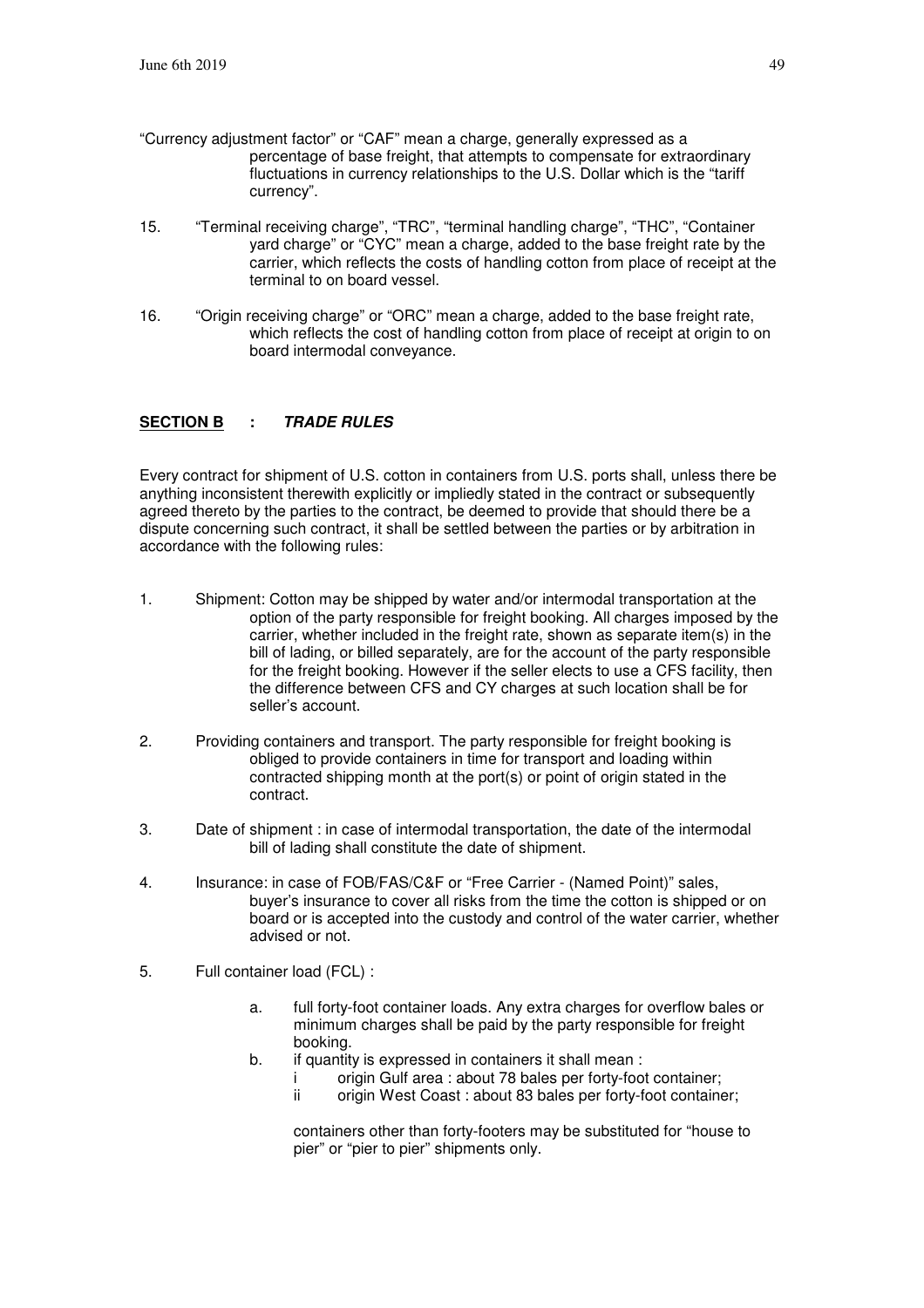- "Currency adjustment factor" or "CAF" mean a charge, generally expressed as a percentage of base freight, that attempts to compensate for extraordinary fluctuations in currency relationships to the U.S. Dollar which is the "tariff currency".
- 15. "Terminal receiving charge", "TRC", "terminal handling charge", "THC", "Container yard charge" or "CYC" mean a charge, added to the base freight rate by the carrier, which reflects the costs of handling cotton from place of receipt at the terminal to on board vessel.
- 16. "Origin receiving charge" or "ORC" mean a charge, added to the base freight rate, which reflects the cost of handling cotton from place of receipt at origin to on board intermodal conveyance.

#### **SECTION B : TRADE RULES**

Every contract for shipment of U.S. cotton in containers from U.S. ports shall, unless there be anything inconsistent therewith explicitly or impliedly stated in the contract or subsequently agreed thereto by the parties to the contract, be deemed to provide that should there be a dispute concerning such contract, it shall be settled between the parties or by arbitration in accordance with the following rules:

- 1. Shipment: Cotton may be shipped by water and/or intermodal transportation at the option of the party responsible for freight booking. All charges imposed by the carrier, whether included in the freight rate, shown as separate item(s) in the bill of lading, or billed separately, are for the account of the party responsible for the freight booking. However if the seller elects to use a CFS facility, then the difference between CFS and CY charges at such location shall be for seller's account.
- 2. Providing containers and transport. The party responsible for freight booking is obliged to provide containers in time for transport and loading within contracted shipping month at the port(s) or point of origin stated in the contract.
- 3. Date of shipment : in case of intermodal transportation, the date of the intermodal bill of lading shall constitute the date of shipment.
- 4. Insurance: in case of FOB/FAS/C&F or "Free Carrier (Named Point)" sales, buyer's insurance to cover all risks from the time the cotton is shipped or on board or is accepted into the custody and control of the water carrier, whether advised or not.
- 5. Full container load (FCL) :
	- a. full forty-foot container loads. Any extra charges for overflow bales or minimum charges shall be paid by the party responsible for freight booking.
	- b. if quantity is expressed in containers it shall mean :
		- i origin Gulf area : about 78 bales per forty-foot container;<br>ii origin West Coast : about 83 bales per forty-foot containe
		- origin West Coast : about 83 bales per forty-foot container;

 containers other than forty-footers may be substituted for "house to pier" or "pier to pier" shipments only.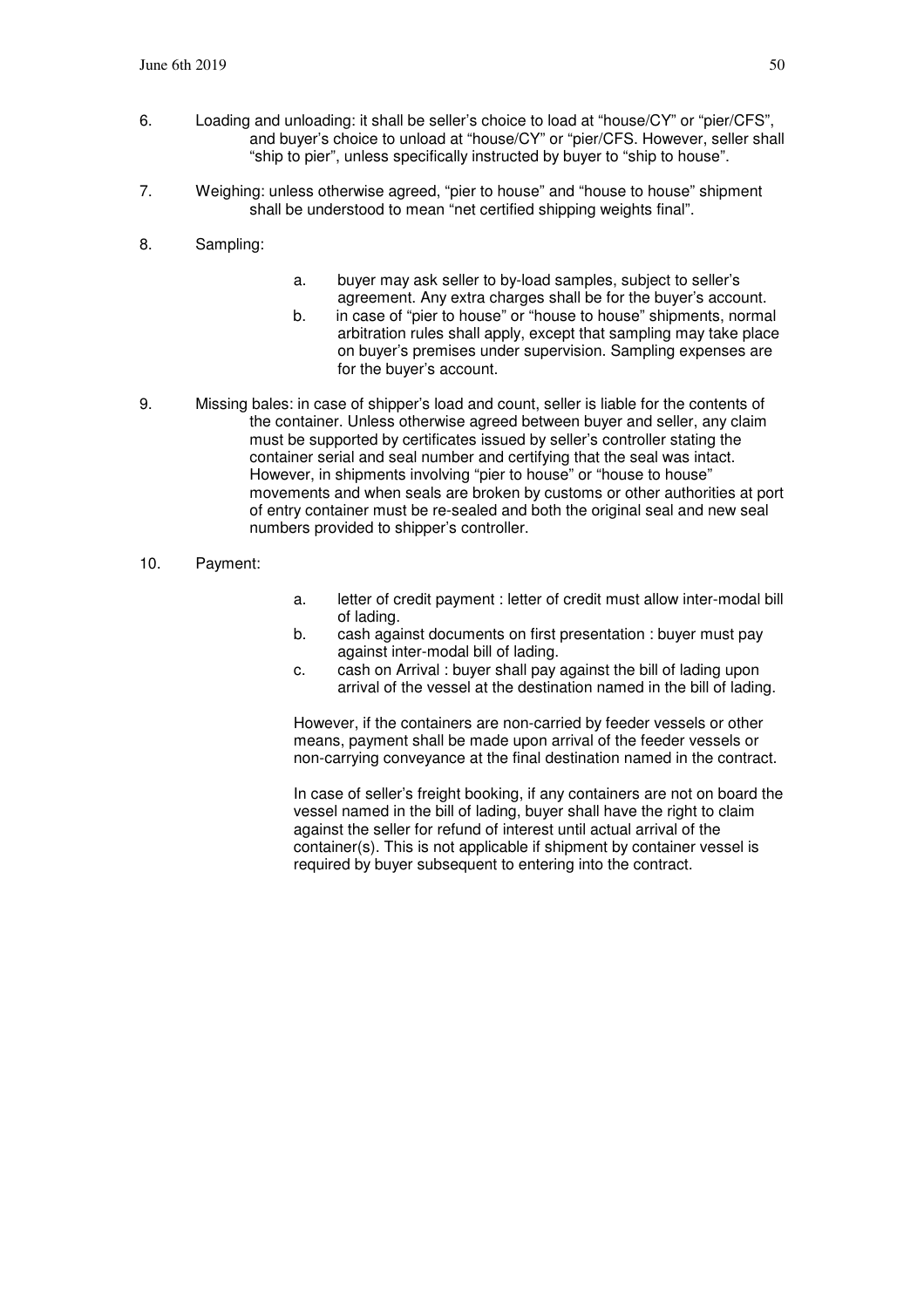- 6. Loading and unloading: it shall be seller's choice to load at "house/CY" or "pier/CFS", and buyer's choice to unload at "house/CY" or "pier/CFS. However, seller shall "ship to pier", unless specifically instructed by buyer to "ship to house".
- 7. Weighing: unless otherwise agreed, "pier to house" and "house to house" shipment shall be understood to mean "net certified shipping weights final".
- 8. Sampling:
- a. buyer may ask seller to by-load samples, subject to seller's agreement. Any extra charges shall be for the buyer's account.
- b. in case of "pier to house" or "house to house" shipments, normal arbitration rules shall apply, except that sampling may take place on buyer's premises under supervision. Sampling expenses are for the buyer's account.
- 9. Missing bales: in case of shipper's load and count, seller is liable for the contents of the container. Unless otherwise agreed between buyer and seller, any claim must be supported by certificates issued by seller's controller stating the container serial and seal number and certifying that the seal was intact. However, in shipments involving "pier to house" or "house to house" movements and when seals are broken by customs or other authorities at port of entry container must be re-sealed and both the original seal and new seal numbers provided to shipper's controller.
- 10. Payment:
- a. letter of credit payment : letter of credit must allow inter-modal bill of lading.
- b. cash against documents on first presentation : buyer must pay against inter-modal bill of lading.
- c. cash on Arrival : buyer shall pay against the bill of lading upon arrival of the vessel at the destination named in the bill of lading.

However, if the containers are non-carried by feeder vessels or other means, payment shall be made upon arrival of the feeder vessels or non-carrying conveyance at the final destination named in the contract.

In case of seller's freight booking, if any containers are not on board the vessel named in the bill of lading, buyer shall have the right to claim against the seller for refund of interest until actual arrival of the container(s). This is not applicable if shipment by container vessel is required by buyer subsequent to entering into the contract.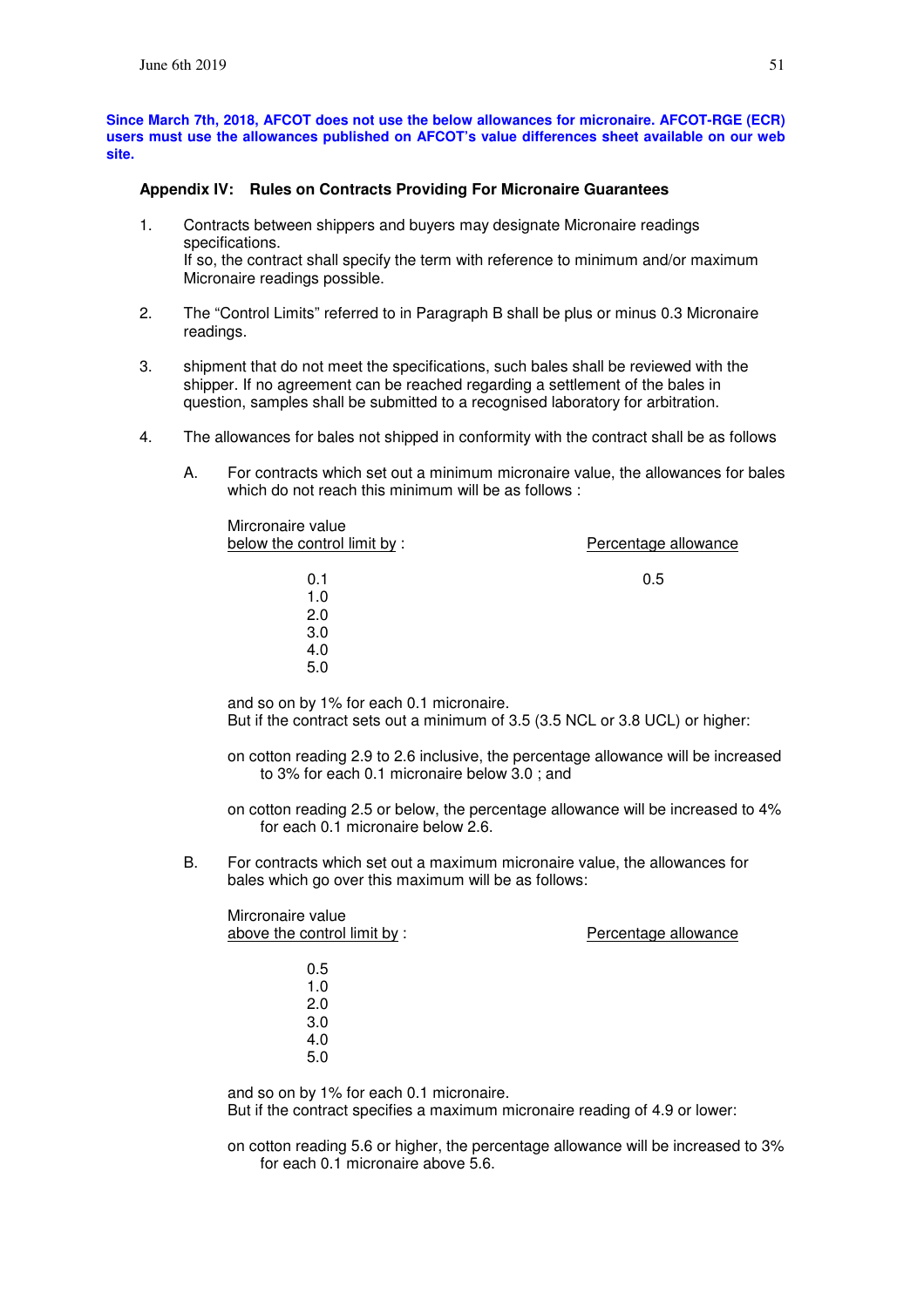**Since March 7th, 2018, AFCOT does not use the below allowances for micronaire. AFCOT-RGE (ECR) users must use the allowances published on AFCOT's value differences sheet available on our web site.** 

#### **Appendix IV: Rules on Contracts Providing For Micronaire Guarantees**

- 1. Contracts between shippers and buyers may designate Micronaire readings specifications. If so, the contract shall specify the term with reference to minimum and/or maximum Micronaire readings possible.
- 2. The "Control Limits" referred to in Paragraph B shall be plus or minus 0.3 Micronaire readings.
- 3. shipment that do not meet the specifications, such bales shall be reviewed with the shipper. If no agreement can be reached regarding a settlement of the bales in question, samples shall be submitted to a recognised laboratory for arbitration.
- 4. The allowances for bales not shipped in conformity with the contract shall be as follows
	- A. For contracts which set out a minimum micronaire value, the allowances for bales which do not reach this minimum will be as follows :

| Mircronaire value<br>below the control limit by: | Percentage allowance |
|--------------------------------------------------|----------------------|
| 0.1                                              | 0.5                  |
| 1.0                                              |                      |
| 2.0                                              |                      |
| 3.0                                              |                      |
| 4.0                                              |                      |
| 5.0                                              |                      |
|                                                  |                      |

and so on by 1% for each 0.1 micronaire. But if the contract sets out a minimum of 3.5 (3.5 NCL or 3.8 UCL) or higher:

on cotton reading 2.9 to 2.6 inclusive, the percentage allowance will be increased to 3% for each 0.1 micronaire below 3.0 ; and

on cotton reading 2.5 or below, the percentage allowance will be increased to 4% for each 0.1 micronaire below 2.6.

B. For contracts which set out a maximum micronaire value, the allowances for bales which go over this maximum will be as follows:

| Mircronaire value<br>above the control limit by: | Percentage allowance |
|--------------------------------------------------|----------------------|
| 0.5                                              |                      |
| 1.0                                              |                      |
| 2.0                                              |                      |
| 3.0                                              |                      |
| 4.0                                              |                      |
| 5.0                                              |                      |
|                                                  |                      |

and so on by 1% for each 0.1 micronaire. But if the contract specifies a maximum micronaire reading of 4.9 or lower:

on cotton reading 5.6 or higher, the percentage allowance will be increased to 3% for each 0.1 micronaire above 5.6.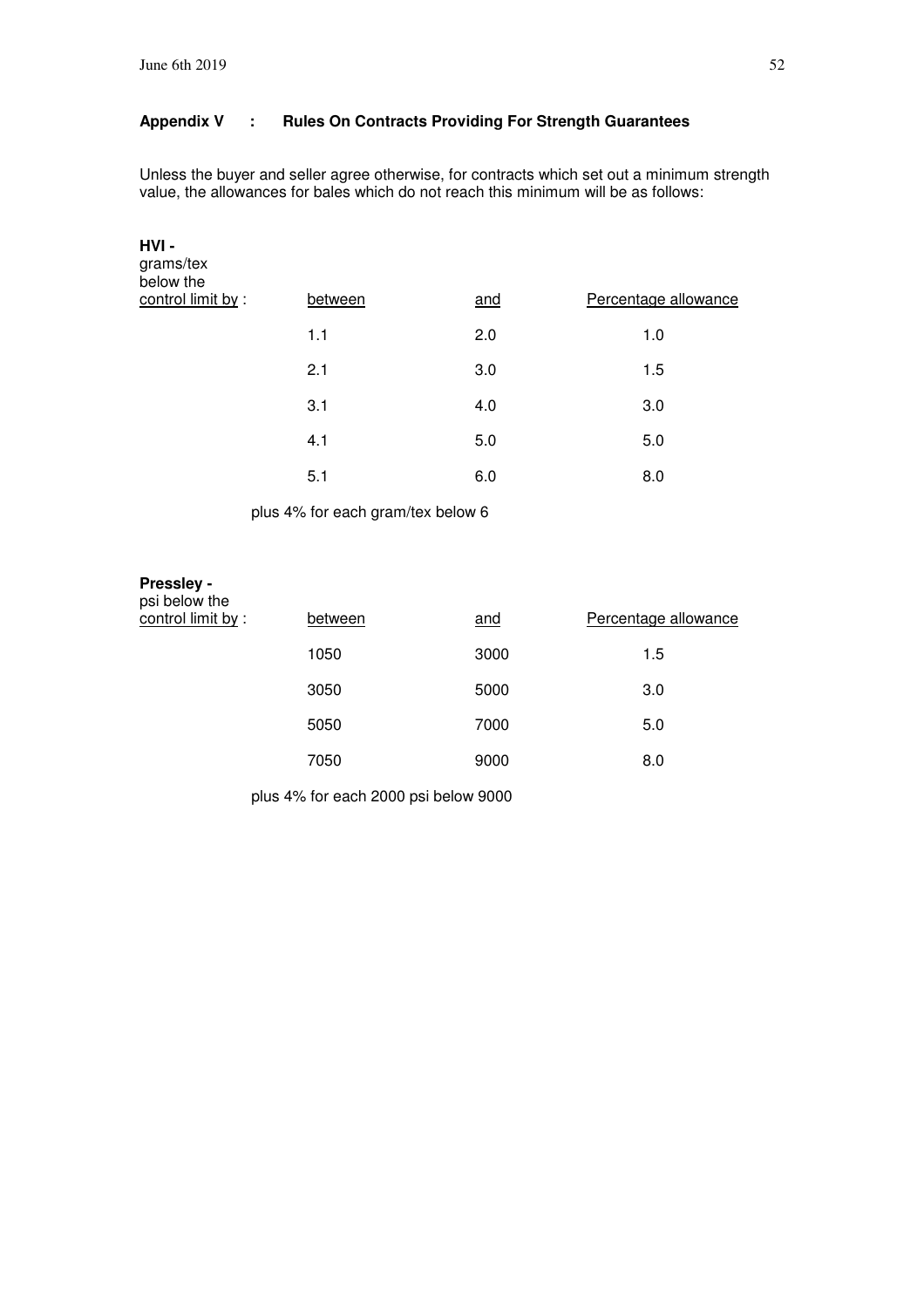#### **Appendix V : Rules On Contracts Providing For Strength Guarantees**

Unless the buyer and seller agree otherwise, for contracts which set out a minimum strength value, the allowances for bales which do not reach this minimum will be as follows:

| HVI-<br>grams/tex<br>below the |         |     |                      |
|--------------------------------|---------|-----|----------------------|
| control limit by:              | between | and | Percentage allowance |
|                                | 1.1     | 2.0 | 1.0                  |
|                                | 2.1     | 3.0 | 1.5                  |
|                                | 3.1     | 4.0 | 3.0                  |
|                                | 4.1     | 5.0 | 5.0                  |
|                                | 5.1     | 6.0 | 8.0                  |

plus 4% for each gram/tex below 6

#### **Pressley**  psi below the

| control limit by: |      | and  | Percentage allowance |
|-------------------|------|------|----------------------|
|                   | 1050 | 3000 | 1.5                  |
|                   | 3050 | 5000 | 3.0                  |
|                   | 5050 | 7000 | 5.0                  |
|                   | 7050 | 9000 | 8.0                  |

plus 4% for each 2000 psi below 9000